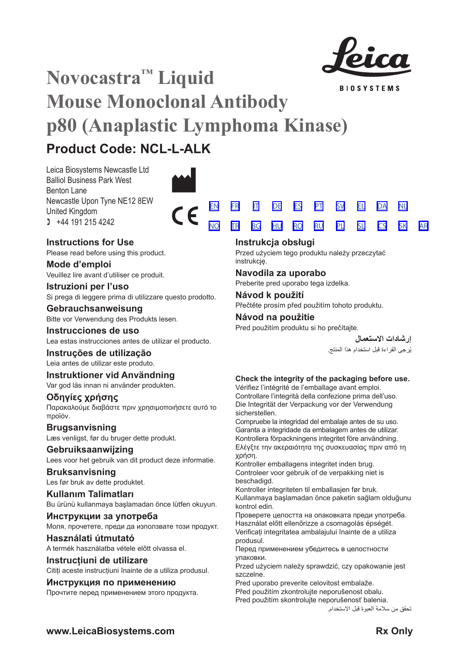

**BIOSYSTEMS** 

[SV](#page-20-0) [EL](#page-23-0) [DA](#page-26-0)

[NL](#page-29-0)

# **Novocastra™ Liquid Mouse Monoclonal Antibody p80 (Anaplastic Lymphoma Kinase) Product Code: NCL-L-ALK**

Leica Biosystems Newcastle Ltd Balliol Business Park West Benton Lane Newcastle Upon Tyne NE12 8EW United Kingdom  $1 +44 191 215 4242$ 





# **Instructions for Use**

Please read before using this product.

**Mode d'emploi** Veuillez lire avant d'utiliser ce produit.

# **Istruzioni per l'uso**

Si prega di leggere prima di utilizzare questo prodotto.

# **Gebrauchsanweisung**

Bitte vor Verwendung des Produkts lesen.

# **Instrucciones de uso**

Lea estas instrucciones antes de utilizar el producto.

# **Instruções de utilização**

Leia antes de utilizar este produto.

# **Instruktioner vid Användning**

Var god läs innan ni använder produkten.

# **Οδηγίες χρήσης**

Παρακαλούμε διαβάστε πριν χρησιμοποιήσετε αυτό το προϊόν.

# **Brugsanvisning**

Læs venligst, før du bruger dette produkt.

**Gebruiksaanwijzing** Lees voor het gebruik van dit product deze informatie.

# **Bruksanvisning**

Les før bruk av dette produktet.

**Kullanım Talimatları** Bu ürünü kullanmaya başlamadan önce lütfen okuyun.

**Инструкции за употреба** Моля, прочетете, преди да използвате този продукт.

# **Használati útmutató**

A termék használatba vétele előtt olvassa el.

# **Instrucțiuni de utilizare**

Citiți aceste instrucțiuni înainte de a utiliza produsul.

# **Инструкция по применению**

Прочтите перед применением этого продукта.

|  |  | <u>EN FRITIDE ES PT SV EL DANIL</u>     |  |  |  |
|--|--|-----------------------------------------|--|--|--|
|  |  | <u>NO TROBGE HUN ROCKUPLISLICS SKAR</u> |  |  |  |

# **Instrukcja obsługi**

Przed użyciem tego produktu należy przeczytać instrukcję.

# **Navodila za uporabo**

Preberite pred uporabo tega izdelka.

# **Návod k použití**

Přečtěte prosím před použitím tohoto produktu.

# **Návod na použitie**

Pred použitím produktu si ho prečítajte.

**إرشادات االستعمال** ُرجى القراءة قبل استخدام هذا المنتج. ي

# **Check the integrity of the packaging before use.**

Vérifiez l'intégrité de l'emballage avant emploi. Controllare l'integrità della confezione prima dell'uso. Die Integrität der Verpackung vor der Verwendung sicherstellen.

Compruebe la integridad del embalaje antes de su uso. Garanta a integridade da embalagem antes de utilizar. Kontrollera förpackningens integritet före användning. Ελέγξτε την ακεραιότητα της συσκευασίας πριν από τη χρήση.

Kontroller emballagens integritet inden brug. Controleer voor gebruik of de verpakking niet is beschadigd.

Kontroller integriteten til emballasjen før bruk. Kullanmaya başlamadan önce paketin sağlam olduğunu kontrol edin.

Проверете целостта на опаковката преди употреба. Használat előtt ellenőrizze a csomagolás épségét. Verificați integritatea ambalajului înainte de a utiliza produsul.

Перед применением убедитесь в целостности упаковки.

Przed użyciem należy sprawdzić, czy opakowanie jest szczelne.

Pred uporabo preverite celovitost embalaže. Před použitím zkontrolujte neporušenost obalu. Pred použitím skontrolujte neporušenosť balenia.

تحقق من سالمة العبوة قبل االستخدام.

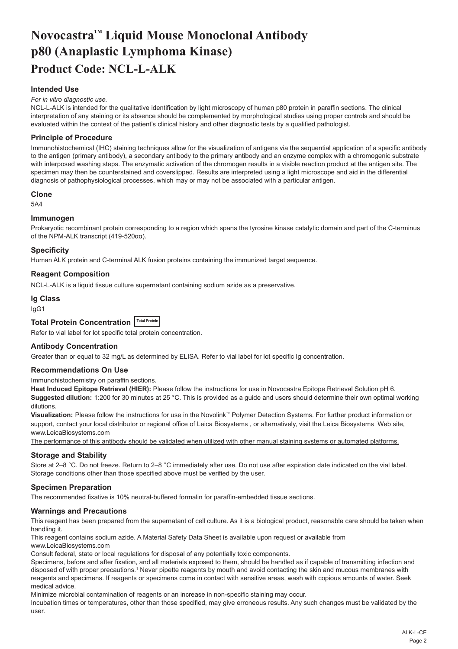# <span id="page-2-0"></span>**Novocastra™ Liquid Mouse Monoclonal Antibody p80 (Anaplastic Lymphoma Kinase) Product Code: NCL-L-ALK**

# **Intended Use**

#### *For in vitro diagnostic use.*

NCL-L-ALK is intended for the qualitative identification by light microscopy of human p80 protein in paraffin sections. The clinical interpretation of any staining or its absence should be complemented by morphological studies using proper controls and should be evaluated within the context of the patient's clinical history and other diagnostic tests by a qualified pathologist.

#### **Principle of Procedure**

Immunohistochemical (IHC) staining techniques allow for the visualization of antigens via the sequential application of a specific antibody to the antigen (primary antibody), a secondary antibody to the primary antibody and an enzyme complex with a chromogenic substrate with interposed washing steps. The enzymatic activation of the chromogen results in a visible reaction product at the antigen site. The specimen may then be counterstained and coverslipped. Results are interpreted using a light microscope and aid in the differential diagnosis of pathophysiological processes, which may or may not be associated with a particular antigen.

#### **Clone**

5A4

#### **Immunogen**

Prokaryotic recombinant protein corresponding to a region which spans the tyrosine kinase catalytic domain and part of the C-terminus of the NPM-ALK transcript (419-520αα).

#### **Specificity**

Human ALK protein and C-terminal ALK fusion proteins containing the immunized target sequence.

#### **Reagent Composition**

NCL-L-ALK is a liquid tissue culture supernatant containing sodium azide as a preservative.

# **Ig Class**

IgG1

# **Total Protein Concentration Total Protein**

Refer to vial label for lot specific total protein concentration.

#### **Antibody Concentration**

Greater than or equal to 32 mg/L as determined by ELISA. Refer to vial label for lot specific Ig concentration.

#### **Recommendations On Use**

Immunohistochemistry on paraffin sections.

**Heat Induced Epitope Retrieval (HIER):** Please follow the instructions for use in Novocastra Epitope Retrieval Solution pH 6. **Suggested dilution:** 1:200 for 30 minutes at 25 °C. This is provided as a guide and users should determine their own optimal working dilutions.

**Visualization:** Please follow the instructions for use in the Novolink™ Polymer Detection Systems. For further product information or support, contact your local distributor or regional office of Leica Biosystems, or alternatively, visit the Leica Biosystems Web site, www.LeicaBiosystems.com

The performance of this antibody should be validated when utilized with other manual staining systems or automated platforms.

#### **Storage and Stability**

Store at 2–8 °C. Do not freeze. Return to 2–8 °C immediately after use. Do not use after expiration date indicated on the vial label. Storage conditions other than those specified above must be verified by the user.

#### **Specimen Preparation**

The recommended fixative is 10% neutral-buffered formalin for paraffin-embedded tissue sections.

#### **Warnings and Precautions**

This reagent has been prepared from the supernatant of cell culture. As it is a biological product, reasonable care should be taken when handling it.

This reagent contains sodium azide. A Material Safety Data Sheet is available upon request or available from www.LeicaBiosystems.com

Consult federal, state or local regulations for disposal of any potentially toxic components.

Specimens, before and after fixation, and all materials exposed to them, should be handled as if capable of transmitting infection and disposed of with proper precautions.1 Never pipette reagents by mouth and avoid contacting the skin and mucous membranes with reagents and specimens. If reagents or specimens come in contact with sensitive areas, wash with copious amounts of water. Seek medical advice.

Minimize microbial contamination of reagents or an increase in non-specific staining may occur.

Incubation times or temperatures, other than those specified, may give erroneous results. Any such changes must be validated by the user.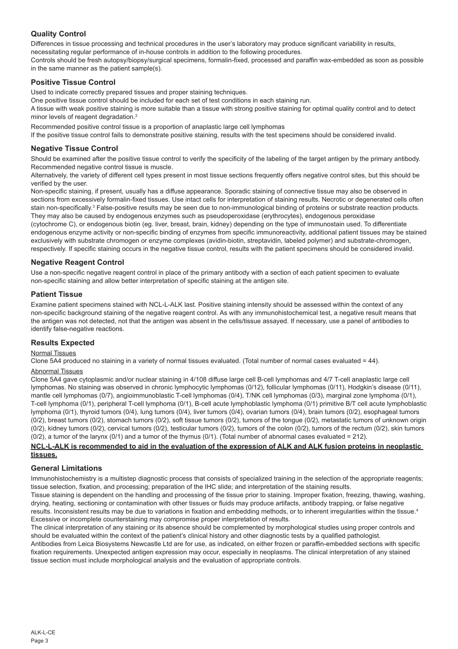# **Quality Control**

Differences in tissue processing and technical procedures in the user's laboratory may produce significant variability in results, necessitating regular performance of in-house controls in addition to the following procedures.

Controls should be fresh autopsy/biopsy/surgical specimens, formalin-fixed, processed and paraffin wax-embedded as soon as possible in the same manner as the patient sample(s).

# **Positive Tissue Control**

Used to indicate correctly prepared tissues and proper staining techniques.

One positive tissue control should be included for each set of test conditions in each staining run.

A tissue with weak positive staining is more suitable than a tissue with strong positive staining for optimal quality control and to detect minor levels of reagent degradation.<sup>2</sup>

Recommended positive control tissue is a proportion of anaplastic large cell lymphomas

If the positive tissue control fails to demonstrate positive staining, results with the test specimens should be considered invalid.

#### **Negative Tissue Control**

Should be examined after the positive tissue control to verify the specificity of the labeling of the target antigen by the primary antibody. Recommended negative control tissue is muscle.

Alternatively, the variety of different cell types present in most tissue sections frequently offers negative control sites, but this should be verified by the user.

Non-specific staining, if present, usually has a diffuse appearance. Sporadic staining of connective tissue may also be observed in sections from excessively formalin-fixed tissues. Use intact cells for interpretation of staining results. Necrotic or degenerated cells often stain non-specifically.<sup>3</sup> False-positive results may be seen due to non-immunological binding of proteins or substrate reaction products. They may also be caused by endogenous enzymes such as pseudoperoxidase (erythrocytes), endogenous peroxidase

(cytochrome C), or endogenous biotin (eg. liver, breast, brain, kidney) depending on the type of immunostain used. To differentiate endogenous enzyme activity or non-specific binding of enzymes from specific immunoreactivity, additional patient tissues may be stained exclusively with substrate chromogen or enzyme complexes (avidin-biotin, streptavidin, labeled polymer) and substrate-chromogen, respectively. If specific staining occurs in the negative tissue control, results with the patient specimens should be considered invalid.

# **Negative Reagent Control**

Use a non-specific negative reagent control in place of the primary antibody with a section of each patient specimen to evaluate non-specific staining and allow better interpretation of specific staining at the antigen site.

#### **Patient Tissue**

Examine patient specimens stained with NCL-L-ALK last. Positive staining intensity should be assessed within the context of any non-specific background staining of the negative reagent control. As with any immunohistochemical test, a negative result means that the antigen was not detected, not that the antigen was absent in the cells/tissue assayed. If necessary, use a panel of antibodies to identify false-negative reactions.

# **Results Expected**

# Normal Tissues

Clone 5A4 produced no staining in a variety of normal tissues evaluated. (Total number of normal cases evaluated = 44).

#### Abnormal Tissues

Clone 5A4 gave cytoplasmic and/or nuclear staining in 4/108 diffuse large cell B-cell lymphomas and 4/7 T-cell anaplastic large cell lymphomas. No staining was observed in chronic lymphocytic lymphomas (0/12), follicular lymphomas (0/11), Hodgkin's disease (0/11), mantle cell lymphomas (0/7), angioimmunoblastic T-cell lymphomas (0/4), T/NK cell lymphomas (0/3), marginal zone lymphoma (0/1), T-cell lymphoma (0/1), peripheral T-cell lymphoma (0/1), B-cell acute lymphoblastic lymphoma (0/1) primitive B/T cell acute lymphoblastic lymphoma (0/1), thyroid tumors (0/4), lung tumors (0/4), liver tumors (0/4), ovarian tumors (0/4), brain tumors (0/2), esophageal tumors (0/2), breast tumors (0/2), stomach tumors (0/2), soft tissue tumors (0/2), tumors of the tongue (0/2), metastatic tumors of unknown origin (0/2), kidney tumors (0/2), cervical tumors (0/2), testicular tumors (0/2), tumors of the colon (0/2), tumors of the rectum (0/2), skin tumors (0/2), a tumor of the larynx (0/1) and a tumor of the thymus (0/1). (Total number of abnormal cases evaluated = 212).

#### **NCL-L-ALK is recommended to aid in the evaluation of the expression of ALK and ALK fusion proteins in neoplastic tissues.**

#### **General Limitations**

Immunohistochemistry is a multistep diagnostic process that consists of specialized training in the selection of the appropriate reagents; tissue selection, fixation, and processing; preparation of the IHC slide; and interpretation of the staining results.

Tissue staining is dependent on the handling and processing of the tissue prior to staining. Improper fixation, freezing, thawing, washing, drying, heating, sectioning or contamination with other tissues or fluids may produce artifacts, antibody trapping, or false negative results. Inconsistent results may be due to variations in fixation and embedding methods, or to inherent irregularities within the tissue.<sup>4</sup> Excessive or incomplete counterstaining may compromise proper interpretation of results.

The clinical interpretation of any staining or its absence should be complemented by morphological studies using proper controls and should be evaluated within the context of the patient's clinical history and other diagnostic tests by a qualified pathologist.

Antibodies from Leica Biosystems Newcastle Ltd are for use, as indicated, on either frozen or paraffin-embedded sections with specific fixation requirements. Unexpected antigen expression may occur, especially in neoplasms. The clinical interpretation of any stained tissue section must include morphological analysis and the evaluation of appropriate controls.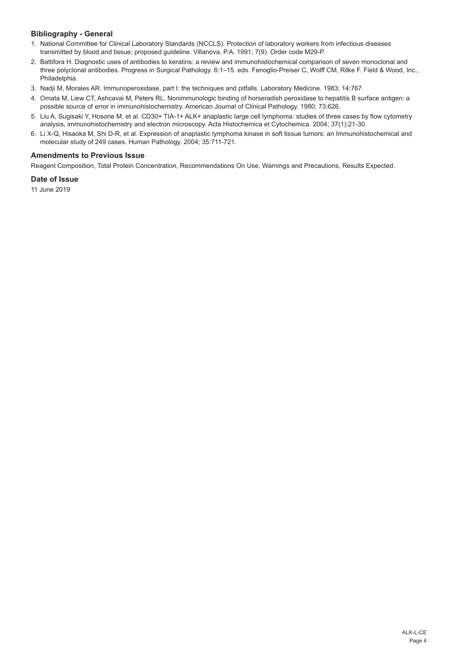# **Bibliography - General**

- 1. National Committee for Clinical Laboratory Standards (NCCLS). Protection of laboratory workers from infectious diseases transmitted by blood and tissue; proposed guideline. Villanova, P.A. 1991; 7(9). Order code M29-P.
- 2. Battifora H. Diagnostic uses of antibodies to keratins: a review and immunohistochemical comparison of seven monoclonal and three polyclonal antibodies. Progress in Surgical Pathology. 6:1–15. eds. Fenoglio-Preiser C, Wolff CM, Rilke F. Field & Wood, Inc., Philadelphia.
- 3. Nadji M, Morales AR. Immunoperoxidase, part I: the techniques and pitfalls. Laboratory Medicine. 1983; 14:767.
- 4. Omata M, Liew CT, Ashcavai M, Peters RL. Nonimmunologic binding of horseradish peroxidase to hepatitis B surface antigen: a possible source of error in immunohistochemistry. American Journal of Clinical Pathology. 1980; 73:626.
- 5. Liu A, Sugisaki Y, Hosone M, et al. CD30+ TIA-1+ ALK+ anaplastic large cell lymphoma: studies of three cases by flow cytometry analysis, immunohistochemistry and electron microscopy. Acta Histochemica et Cytochemica. 2004; 37(1):21-30.
- 6. Li X-Q, Hisaoka M, Shi D-R, et al. Expression of anaplastic lymphoma kinase in soft tissue tumors: an Immunohistochemical and molecular study of 249 cases. Human Pathology. 2004; 35:711-721.

# **Amendments to Previous Issue**

Reagent Composition, Total Protein Concentration, Recommendations On Use, Warnings and Precautions, Results Expected.

# **Date of Issue**

11 June 2019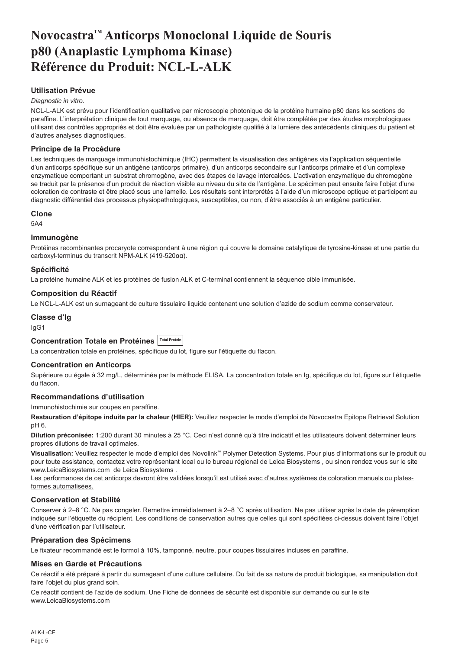# <span id="page-5-0"></span>**Novocastra™ Anticorps Monoclonal Liquide de Souris p80 (Anaplastic Lymphoma Kinase) Référence du Produit: NCL-L-ALK**

# **Utilisation Prévue**

# *Diagnostic in vitro*.

NCL-L-ALK est prévu pour l'identification qualitative par microscopie photonique de la protéine humaine p80 dans les sections de paraffine. L'interprétation clinique de tout marquage, ou absence de marquage, doit être complétée par des études morphologiques utilisant des contrôles appropriés et doit être évaluée par un pathologiste qualifié à la lumière des antécédents cliniques du patient et d'autres analyses diagnostiques.

# **Principe de la Procédure**

Les techniques de marquage immunohistochimique (IHC) permettent la visualisation des antigènes via l'application séquentielle d'un anticorps spécifique sur un antigène (anticorps primaire), d'un anticorps secondaire sur l'anticorps primaire et d'un complexe enzymatique comportant un substrat chromogène, avec des étapes de lavage intercalées. L'activation enzymatique du chromogène se traduit par la présence d'un produit de réaction visible au niveau du site de l'antigène. Le spécimen peut ensuite faire l'objet d'une coloration de contraste et être placé sous une lamelle. Les résultats sont interprétés à l'aide d'un microscope optique et participent au diagnostic différentiel des processus physiopathologiques, susceptibles, ou non, d'être associés à un antigène particulier.

#### **Clone**

5A4

#### **Immunogène**

Protéines recombinantes procaryote correspondant à une région qui couvre le domaine catalytique de tyrosine-kinase et une partie du carboxyl-terminus du transcrit NPM-ALK (419-520αα).

#### **Spécificité**

La protéine humaine ALK et les protéines de fusion ALK et C-terminal contiennent la séquence cible immunisée.

#### **Composition du Réactif**

Le NCL-L-ALK est un surnageant de culture tissulaire liquide contenant une solution d'azide de sodium comme conservateur.

#### **Classe d'Ig**

IgG1

# **Concentration Totale en Protéines Total Protein**

La concentration totale en protéines, spécifique du lot, figure sur l'étiquette du flacon.

#### **Concentration en Anticorps**

Supérieure ou égale à 32 mg/L, déterminée par la méthode ELISA. La concentration totale en Ig, spécifique du lot, figure sur l'étiquette du flacon.

#### **Recommandations d'utilisation**

Immunohistochimie sur coupes en paraffine.

**Restauration d'épitope induite par la chaleur (HIER):** Veuillez respecter le mode d'emploi de Novocastra Epitope Retrieval Solution pH 6.

**Dilution préconisée:** 1:200 durant 30 minutes à 25 °C. Ceci n'est donné qu'à titre indicatif et les utilisateurs doivent déterminer leurs propres dilutions de travail optimales.

**Visualisation:** Veuillez respecter le mode d'emploi des Novolink™ Polymer Detection Systems. Pour plus d'informations sur le produit ou pour toute assistance, contactez votre représentant local ou le bureau régional de Leica Biosystems , ou sinon rendez vous sur le site www.LeicaBiosystems.com de Leica Biosystems .

Les performances de cet anticorps devront être validées lorsqu'il est utilisé avec d'autres systèmes de coloration manuels ou platesformes automatisées.

#### **Conservation et Stabilité**

Conserver à 2–8 °C. Ne pas congeler. Remettre immédiatement à 2–8 °C après utilisation. Ne pas utiliser après la date de péremption indiquée sur l'étiquette du récipient. Les conditions de conservation autres que celles qui sont spécifiées ci-dessus doivent faire l'objet d'une vérification par l'utilisateur.

#### **Préparation des Spécimens**

Le fixateur recommandé est le formol à 10%, tamponné, neutre, pour coupes tissulaires incluses en paraffine.

#### **Mises en Garde et Précautions**

Ce réactif a été préparé à partir du surnageant d'une culture cellulaire. Du fait de sa nature de produit biologique, sa manipulation doit faire l'objet du plus grand soin.

Ce réactif contient de l'azide de sodium. Une Fiche de données de sécurité est disponible sur demande ou sur le site www.LeicaBiosystems.com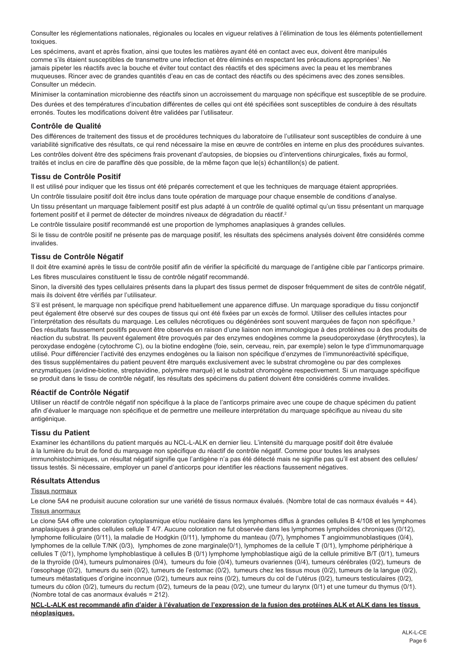Consulter les réglementations nationales, régionales ou locales en vigueur relatives à l'élimination de tous les éléments potentiellement toxiques.

Les spécimens, avant et après fixation, ainsi que toutes les matières ayant été en contact avec eux, doivent être manipulés comme s'ils étaient susceptibles de transmettre une infection et être éliminés en respectant les précautions appropriées<sup>1</sup>. Ne jamais pipeter les réactifs avec la bouche et éviter tout contact des réactifs et des spécimens avec la peau et les membranes muqueuses. Rincer avec de grandes quantités d'eau en cas de contact des réactifs ou des spécimens avec des zones sensibles. Consulter un médecin.

Minimiser la contamination microbienne des réactifs sinon un accroissement du marquage non spécifique est susceptible de se produire. Des durées et des températures d'incubation différentes de celles qui ont été spécifiées sont susceptibles de conduire à des résultats erronés. Toutes les modifications doivent être validées par l'utilisateur.

# **Contrôle de Qualité**

Des différences de traitement des tissus et de procédures techniques du laboratoire de l'utilisateur sont susceptibles de conduire à une variabilité significative des résultats, ce qui rend nécessaire la mise en œuvre de contrôles en interne en plus des procédures suivantes. Les contrôles doivent être des spécimens frais provenant d'autopsies, de biopsies ou d'interventions chirurgicales, fixés au formol, traités et inclus en cire de paraffine dès que possible, de la même façon que le(s) échantillon(s) de patient.

#### **Tissu de Contrôle Positif**

Il est utilisé pour indiquer que les tissus ont été préparés correctement et que les techniques de marquage étaient appropriées.

Un contrôle tissulaire positif doit être inclus dans toute opération de marquage pour chaque ensemble de conditions d'analyse.

Un tissu présentant un marquage faiblement positif est plus adapté à un contrôle de qualité optimal qu'un tissu présentant un marquage fortement positif et il permet de détecter de moindres niveaux de dégradation du réactif.<sup>2</sup>

Le contrôle tissulaire positif recommandé est une proportion de lymphomes anaplasiques à grandes cellules.

Si le tissu de contrôle positif ne présente pas de marquage positif, les résultats des spécimens analysés doivent être considérés comme invalides.

#### **Tissu de Contrôle Négatif**

Il doit être examiné après le tissu de contrôle positif afin de vérifier la spécificité du marquage de l'antigène cible par l'anticorps primaire.

Les fibres musculaires constituent le tissu de contrôle négatif recommandé.

Sinon, la diversité des types cellulaires présents dans la plupart des tissus permet de disposer fréquemment de sites de contrôle négatif, mais ils doivent être vérifiés par l'utilisateur.

S'il est présent, le marquage non spécifique prend habituellement une apparence diffuse. Un marquage sporadique du tissu conjonctif peut également être observé sur des coupes de tissus qui ont été fixées par un excès de formol. Utiliser des cellules intactes pour l'interprétation des résultats du marquage. Les cellules nécrotiques ou dégénérées sont souvent marquées de façon non spécifique.<sup>3</sup> Des résultats faussement positifs peuvent être observés en raison d'une liaison non immunologique à des protéines ou à des produits de réaction du substrat. Ils peuvent également être provoqués par des enzymes endogènes comme la pseudoperoxydase (érythrocytes), la peroxydase endogène (cytochrome C), ou la biotine endogène (foie, sein, cerveau, rein, par exemple) selon le type d'immunomarquage utilisé. Pour différencier l'activité des enzymes endogènes ou la liaison non spécifique d'enzymes de l'immunoréactivité spécifique, des tissus supplémentaires du patient peuvent être marqués exclusivement avec le substrat chromogène ou par des complexes enzymatiques (avidine-biotine, streptavidine, polymère marqué) et le substrat chromogène respectivement. Si un marquage spécifique se produit dans le tissu de contrôle négatif, les résultats des spécimens du patient doivent être considérés comme invalides.

#### **Réactif de Contrôle Négatif**

Utiliser un réactif de contrôle négatif non spécifique à la place de l'anticorps primaire avec une coupe de chaque spécimen du patient afin d'évaluer le marquage non spécifique et de permettre une meilleure interprétation du marquage spécifique au niveau du site antigénique.

#### **Tissu du Patient**

Examiner les échantillons du patient marqués au NCL-L-ALK en dernier lieu. L'intensité du marquage positif doit être évaluée à la lumière du bruit de fond du marquage non spécifique du réactif de contrôle négatif. Comme pour toutes les analyses immunohistochimiques, un résultat négatif signifie que l'antigène n'a pas été détecté mais ne signifie pas qu'il est absent des cellules/ tissus testés. Si nécessaire, employer un panel d'anticorps pour identifier les réactions faussement négatives.

## **Résultats Attendus**

#### Tissus normaux

Le clone 5A4 ne produisit aucune coloration sur une variété de tissus normaux évalués. (Nombre total de cas normaux évalués = 44).

# Tissus anormaux

Le clone 5A4 offre une coloration cytoplasmique et/ou nucléaire dans les lymphomes diffus à grandes cellules B 4/108 et les lymphomes anaplasiques à grandes cellules cellule T 4/7. Aucune coloration ne fut observée dans les lymphomes lymphoïdes chroniques (0/12), lymphome folliculaire (0/11), la maladie de Hodgkin (0/11), lymphome du manteau (0/7), lymphomes T angioimmunoblastiques (0/4), lymphomes de la cellule T/NK (0/3), lymphomes de zone marginale(0/1), lymphomes de la cellule T (0/1), lymphome périphérique à cellules T (0/1), lymphome lymphoblastique à cellules B (0/1) lymphome lymphoblastique aigü de la cellule primitive B/T (0/1), tumeurs de la thyroïde (0/4), tumeurs pulmonaires (0/4), tumeurs du foie (0/4), tumeurs ovariennes (0/4), tumeurs cérébrales (0/2), tumeurs de l'œsophage (0/2), tumeurs du sein (0/2), tumeurs de l'estomac (0/2), tumeurs chez les tissus mous (0/2), tumeurs de la langue (0/2), tumeurs métastatiques d'origine inconnue (0/2), tumeurs aux reins (0/2), tumeurs du col de l'utérus (0/2), tumeurs testiculaires (0/2), tumeurs du côlon (0/2), tumeurs du rectum (0/2), tumeurs de la peau (0/2), une tumeur du larynx (0/1) et une tumeur du thymus (0/1). (Nombre total de cas anormaux évalués = 212).

#### **NCL-L-ALK est recommandé afin d'aider à l'évaluation de l'expression de la fusion des protéines ALK et ALK dans les tissus néoplasiques.**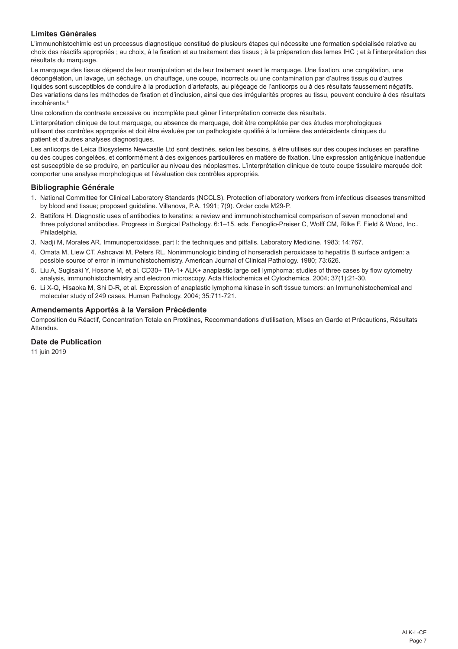# **Limites Générales**

L'immunohistochimie est un processus diagnostique constitué de plusieurs étapes qui nécessite une formation spécialisée relative au choix des réactifs appropriés ; au choix, à la fixation et au traitement des tissus ; à la préparation des lames IHC ; et à l'interprétation des résultats du marquage.

Le marquage des tissus dépend de leur manipulation et de leur traitement avant le marquage. Une fixation, une congélation, une décongélation, un lavage, un séchage, un chauffage, une coupe, incorrects ou une contamination par d'autres tissus ou d'autres liquides sont susceptibles de conduire à la production d'artefacts, au piégeage de l'anticorps ou à des résultats faussement négatifs. Des variations dans les méthodes de fixation et d'inclusion, ainsi que des irrégularités propres au tissu, peuvent conduire à des résultats incohérents.<sup>4</sup>

Une coloration de contraste excessive ou incomplète peut gêner l'interprétation correcte des résultats.

L'interprétation clinique de tout marquage, ou absence de marquage, doit être complétée par des études morphologiques utilisant des contrôles appropriés et doit être évaluée par un pathologiste qualifié à la lumière des antécédents cliniques du patient et d'autres analyses diagnostiques.

Les anticorps de Leica Biosystems Newcastle Ltd sont destinés, selon les besoins, à être utilisés sur des coupes incluses en paraffine ou des coupes congelées, et conformément à des exigences particulières en matière de fixation. Une expression antigénique inattendue est susceptible de se produire, en particulier au niveau des néoplasmes. L'interprétation clinique de toute coupe tissulaire marquée doit comporter une analyse morphologique et l'évaluation des contrôles appropriés.

#### **Bibliographie Générale**

- 1. National Committee for Clinical Laboratory Standards (NCCLS). Protection of laboratory workers from infectious diseases transmitted by blood and tissue; proposed guideline. Villanova, P.A. 1991; 7(9). Order code M29-P.
- 2. Battifora H. Diagnostic uses of antibodies to keratins: a review and immunohistochemical comparison of seven monoclonal and three polyclonal antibodies. Progress in Surgical Pathology. 6:1–15. eds. Fenoglio-Preiser C, Wolff CM, Rilke F. Field & Wood, Inc., Philadelphia.
- 3. Nadji M, Morales AR. Immunoperoxidase, part I: the techniques and pitfalls. Laboratory Medicine. 1983; 14:767.
- 4. Omata M, Liew CT, Ashcavai M, Peters RL. Nonimmunologic binding of horseradish peroxidase to hepatitis B surface antigen: a possible source of error in immunohistochemistry. American Journal of Clinical Pathology. 1980; 73:626.
- 5. Liu A, Sugisaki Y, Hosone M, et al. CD30+ TIA-1+ ALK+ anaplastic large cell lymphoma: studies of three cases by flow cytometry analysis, immunohistochemistry and electron microscopy. Acta Histochemica et Cytochemica. 2004; 37(1):21-30.
- 6. Li X-Q, Hisaoka M, Shi D-R, et al. Expression of anaplastic lymphoma kinase in soft tissue tumors: an Immunohistochemical and molecular study of 249 cases. Human Pathology. 2004; 35:711-721.

#### **Amendements Apportés à la Version Précédente**

Composition du Réactif, Concentration Totale en Protéines, Recommandations d'utilisation, Mises en Garde et Précautions, Résultats **Attendue** 

#### **Date de Publication**

11 juin 2019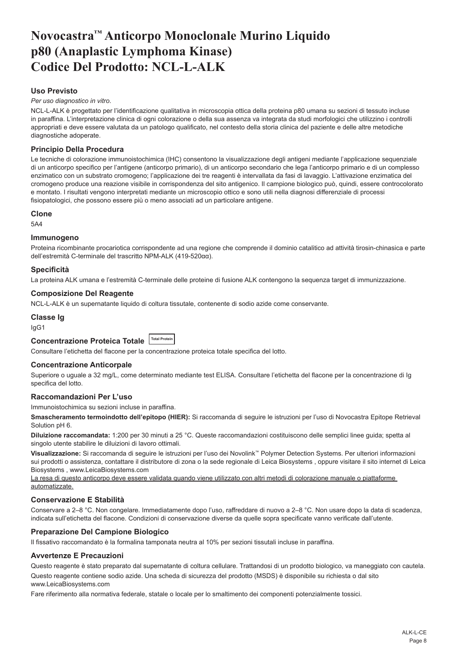# <span id="page-8-0"></span>**Novocastra™ Anticorpo Monoclonale Murino Liquido p80 (Anaplastic Lymphoma Kinase) Codice Del Prodotto: NCL-L-ALK**

# **Uso Previsto**

*Per uso diagnostico in vitro*.

NCL-L-ALK è progettato per l'identificazione qualitativa in microscopia ottica della proteina p80 umana su sezioni di tessuto incluse in paraffina. L'interpretazione clinica di ogni colorazione o della sua assenza va integrata da studi morfologici che utilizzino i controlli appropriati e deve essere valutata da un patologo qualificato, nel contesto della storia clinica del paziente e delle altre metodiche diagnostiche adoperate.

### **Principio Della Procedura**

Le tecniche di colorazione immunoistochimica (IHC) consentono la visualizzazione degli antigeni mediante l'applicazione sequenziale di un anticorpo specifico per l'antigene (anticorpo primario), di un anticorpo secondario che lega l'anticorpo primario e di un complesso enzimatico con un substrato cromogeno; l'applicazione dei tre reagenti è intervallata da fasi di lavaggio. L'attivazione enzimatica del cromogeno produce una reazione visibile in corrispondenza del sito antigenico. Il campione biologico può, quindi, essere controcolorato e montato. I risultati vengono interpretati mediante un microscopio ottico e sono utili nella diagnosi differenziale di processi fisiopatologici, che possono essere più o meno associati ad un particolare antigene.

#### **Clone**

5A4

#### **Immunogeno**

Proteina ricombinante procariotica corrispondente ad una regione che comprende il dominio catalitico ad attività tirosin-chinasica e parte dell'estremità C-terminale del trascritto NPM-ALK (419-520αα).

#### **Specificità**

La proteina ALK umana e l'estremità C-terminale delle proteine di fusione ALK contengono la sequenza target di immunizzazione.

#### **Composizione Del Reagente**

NCL-L-ALK è un supernatante liquido di coltura tissutale, contenente di sodio azide come conservante.

#### **Classe Ig**

IgG1

# **Concentrazione Proteica Totale Total Protein**

Consultare l'etichetta del flacone per la concentrazione proteica totale specifica del lotto.

#### **Concentrazione Anticorpale**

Superiore o uguale a 32 mg/L, come determinato mediante test ELISA. Consultare l'etichetta del flacone per la concentrazione di Ig specifica del lotto.

# **Raccomandazioni Per L'uso**

Immunoistochimica su sezioni incluse in paraffina.

**Smascheramento termoindotto dell'epitopo (HIER):** Si raccomanda di seguire le istruzioni per l'uso di Novocastra Epitope Retrieval Solution pH 6.

**Diluizione raccomandata:** 1:200 per 30 minuti a 25 °C. Queste raccomandazioni costituiscono delle semplici linee guida; spetta al singolo utente stabilire le diluizioni di lavoro ottimali.

**Visualizzazione:** Si raccomanda di seguire le istruzioni per l'uso dei Novolink™ Polymer Detection Systems. Per ulteriori informazioni sui prodotti o assistenza, contattare il distributore di zona o la sede regionale di Leica Biosystems , oppure visitare il sito internet di Leica Biosystems , www.LeicaBiosystems.com

La resa di questo anticorpo deve essere validata quando viene utilizzato con altri metodi di colorazione manuale o piattaforme automatizzate.

#### **Conservazione E Stabilità**

Conservare a 2–8 °C. Non congelare. Immediatamente dopo l'uso, raffreddare di nuovo a 2–8 °C. Non usare dopo la data di scadenza, indicata sull'etichetta del flacone. Condizioni di conservazione diverse da quelle sopra specificate vanno verificate dall'utente.

#### **Preparazione Del Campione Biologico**

Il fissativo raccomandato è la formalina tamponata neutra al 10% per sezioni tissutali incluse in paraffina.

#### **Avvertenze E Precauzioni**

Questo reagente è stato preparato dal supernatante di coltura cellulare. Trattandosi di un prodotto biologico, va maneggiato con cautela.

Questo reagente contiene sodio azide. Una scheda di sicurezza del prodotto (MSDS) è disponibile su richiesta o dal sito www.LeicaBiosystems.com

Fare riferimento alla normativa federale, statale o locale per lo smaltimento dei componenti potenzialmente tossici.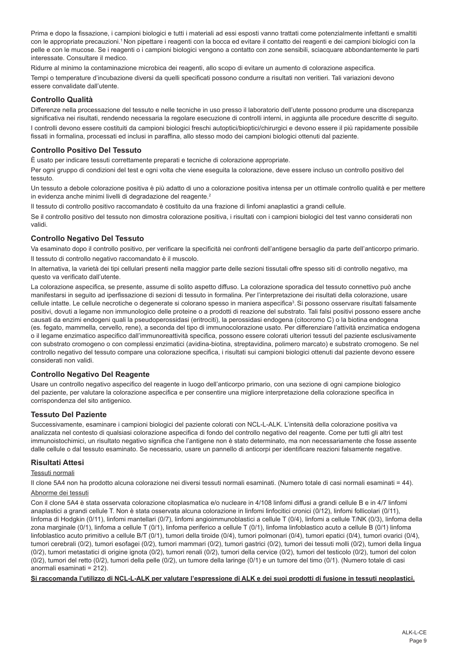Prima e dopo la fissazione, i campioni biologici e tutti i materiali ad essi esposti vanno trattati come potenzialmente infettanti e smaltiti con le appropriate precauzioni.<sup>1</sup> Non pipettare i reagenti con la bocca ed evitare il contatto dei reagenti e dei campioni biologici con la pelle e con le mucose. Se i reagenti o i campioni biologici vengono a contatto con zone sensibili, sciacquare abbondantemente le parti interessate. Consultare il medico.

Ridurre al minimo la contaminazione microbica dei reagenti, allo scopo di evitare un aumento di colorazione aspecifica. Tempi o temperature d'incubazione diversi da quelli specificati possono condurre a risultati non veritieri. Tali variazioni devono essere convalidate dall'utente.

# **Controllo Qualità**

Differenze nella processazione del tessuto e nelle tecniche in uso presso il laboratorio dell'utente possono produrre una discrepanza significativa nei risultati, rendendo necessaria la regolare esecuzione di controlli interni, in aggiunta alle procedure descritte di seguito.

I controlli devono essere costituiti da campioni biologici freschi autoptici/bioptici/chirurgici e devono essere il più rapidamente possibile fissati in formalina, processati ed inclusi in paraffina, allo stesso modo dei campioni biologici ottenuti dal paziente.

# **Controllo Positivo Del Tessuto**

È usato per indicare tessuti correttamente preparati e tecniche di colorazione appropriate.

Per ogni gruppo di condizioni del test e ogni volta che viene eseguita la colorazione, deve essere incluso un controllo positivo del tessuto.

Un tessuto a debole colorazione positiva è più adatto di uno a colorazione positiva intensa per un ottimale controllo qualità e per mettere in evidenza anche minimi livelli di degradazione del reagente.<sup>2</sup>

Il tessuto di controllo positivo raccomandato è costituito da una frazione di linfomi anaplastici a grandi cellule.

Se il controllo positivo del tessuto non dimostra colorazione positiva, i risultati con i campioni biologici del test vanno considerati non validi.

# **Controllo Negativo Del Tessuto**

Va esaminato dopo il controllo positivo, per verificare la specificità nei confronti dell'antigene bersaglio da parte dell'anticorpo primario. Il tessuto di controllo negativo raccomandato è il muscolo.

In alternativa, la varietà dei tipi cellulari presenti nella maggior parte delle sezioni tissutali offre spesso siti di controllo negativo, ma questo va verificato dall'utente.

La colorazione aspecifica, se presente, assume di solito aspetto diffuso. La colorazione sporadica del tessuto connettivo può anche manifestarsi in seguito ad iperfissazione di sezioni di tessuto in formalina. Per l'interpretazione dei risultati della colorazione, usare cellule intatte. Le cellule necrotiche o degenerate si colorano spesso in maniera aspecifica<sup>3</sup>. Si possono osservare risultati falsamente positivi, dovuti a legame non immunologico delle proteine o a prodotti di reazione del substrato. Tali falsi positivi possono essere anche causati da enzimi endogeni quali la pseudoperossidasi (eritrociti), la perossidasi endogena (citocromo C) o la biotina endogena (es. fegato, mammella, cervello, rene), a seconda del tipo di immunocolorazione usato. Per differenziare l'attività enzimatica endogena o il legame enzimatico aspecifico dall'immunoreattività specifica, possono essere colorati ulteriori tessuti del paziente esclusivamente con substrato cromogeno o con complessi enzimatici (avidina-biotina, streptavidina, polimero marcato) e substrato cromogeno. Se nel controllo negativo del tessuto compare una colorazione specifica, i risultati sui campioni biologici ottenuti dal paziente devono essere considerati non validi.

# **Controllo Negativo Del Reagente**

Usare un controllo negativo aspecifico del reagente in luogo dell'anticorpo primario, con una sezione di ogni campione biologico del paziente, per valutare la colorazione aspecifica e per consentire una migliore interpretazione della colorazione specifica in corrispondenza del sito antigenico.

# **Tessuto Del Paziente**

Successivamente, esaminare i campioni biologici del paziente colorati con NCL-L-ALK. L'intensità della colorazione positiva va analizzata nel contesto di qualsiasi colorazione aspecifica di fondo del controllo negativo del reagente. Come per tutti gli altri test immunoistochimici, un risultato negativo significa che l'antigene non è stato determinato, ma non necessariamente che fosse assente dalle cellule o dal tessuto esaminato. Se necessario, usare un pannello di anticorpi per identificare reazioni falsamente negative.

# **Risultati Attesi**

#### Tessuti normali

Il clone 5A4 non ha prodotto alcuna colorazione nei diversi tessuti normali esaminati. (Numero totale di casi normali esaminati = 44).

#### Abnorme dei tessuti

Con il clone 5A4 è stata osservata colorazione citoplasmatica e/o nucleare in 4/108 linfomi diffusi a grandi cellule B e in 4/7 linfomi anaplastici a grandi cellule T. Non è stata osservata alcuna colorazione in linfomi linfocitici cronici (0/12), linfomi follicolari (0/11), linfoma di Hodgkin (0/11), linfomi mantellari (0/7), linfomi angioimmunoblastici a cellule T (0/4), linfomi a cellule T/NK (0/3), linfoma della zona marginale (0/1), linfoma a cellule T (0/1), linfoma periferico a cellule T (0/1), linfoma linfoblastico acuto a cellule B (0/1) linfoma linfoblastico acuto primitivo a cellule B/T (0/1), tumori della tiroide (0/4), tumori polmonari (0/4), tumori epatici (0/4), tumori ovarici (0/4), tumori cerebrali (0/2), tumori esofagei (0/2), tumori mammari (0/2), tumori gastrici (0/2), tumori dei tessuti molli (0/2), tumori della lingua (0/2), tumori metastatici di origine ignota (0/2), tumori renali (0/2), tumori della cervice (0/2), tumori del testicolo (0/2), tumori del colon (0/2), tumori del retto (0/2), tumori della pelle (0/2), un tumore della laringe (0/1) e un tumore del timo (0/1). (Numero totale di casi anormali esaminati = 212).

**Si raccomanda l'utilizzo di NCL-L-ALK per valutare l'espressione di ALK e dei suoi prodotti di fusione in tessuti neoplastici.**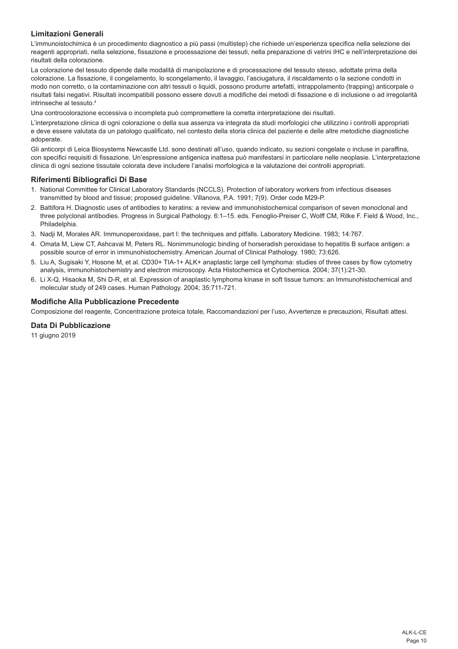# **Limitazioni Generali**

L'immunoistochimica è un procedimento diagnostico a più passi (multistep) che richiede un'esperienza specifica nella selezione dei reagenti appropriati, nella selezione, fissazione e processazione dei tessuti, nella preparazione di vetrini IHC e nell'interpretazione dei risultati della colorazione.

La colorazione del tessuto dipende dalle modalità di manipolazione e di processazione del tessuto stesso, adottate prima della colorazione. La fissazione, il congelamento, lo scongelamento, il lavaggio, l'asciugatura, il riscaldamento o la sezione condotti in modo non corretto, o la contaminazione con altri tessuti o liquidi, possono produrre artefatti, intrappolamento (trapping) anticorpale o risultati falsi negativi. Risultati incompatibili possono essere dovuti a modifiche dei metodi di fissazione e di inclusione o ad irregolarità intrinseche al tessuto.<sup>4</sup>

Una controcolorazione eccessiva o incompleta può compromettere la corretta interpretazione dei risultati.

L'interpretazione clinica di ogni colorazione o della sua assenza va integrata da studi morfologici che utilizzino i controlli appropriati e deve essere valutata da un patologo qualificato, nel contesto della storia clinica del paziente e delle altre metodiche diagnostiche adoperate.

Gli anticorpi di Leica Biosystems Newcastle Ltd. sono destinati all'uso, quando indicato, su sezioni congelate o incluse in paraffina, con specifici requisiti di fissazione. Un'espressione antigenica inattesa può manifestarsi in particolare nelle neoplasie. L'interpretazione clinica di ogni sezione tissutale colorata deve includere l'analisi morfologica e la valutazione dei controlli appropriati.

#### **Riferimenti Bibliografici Di Base**

- 1. National Committee for Clinical Laboratory Standards (NCCLS). Protection of laboratory workers from infectious diseases transmitted by blood and tissue; proposed guideline. Villanova, P.A. 1991; 7(9). Order code M29-P.
- 2. Battifora H. Diagnostic uses of antibodies to keratins: a review and immunohistochemical comparison of seven monoclonal and three polyclonal antibodies. Progress in Surgical Pathology. 6:1–15. eds. Fenoglio-Preiser C, Wolff CM, Rilke F. Field & Wood, Inc., Philadelphia.
- 3. Nadji M, Morales AR. Immunoperoxidase, part I: the techniques and pitfalls. Laboratory Medicine. 1983; 14:767.
- 4. Omata M, Liew CT, Ashcavai M, Peters RL. Nonimmunologic binding of horseradish peroxidase to hepatitis B surface antigen: a possible source of error in immunohistochemistry. American Journal of Clinical Pathology. 1980; 73:626.
- 5. Liu A, Sugisaki Y, Hosone M, et al. CD30+ TIA-1+ ALK+ anaplastic large cell lymphoma: studies of three cases by flow cytometry analysis, immunohistochemistry and electron microscopy. Acta Histochemica et Cytochemica. 2004; 37(1):21-30.
- 6. Li X-Q, Hisaoka M, Shi D-R, et al. Expression of anaplastic lymphoma kinase in soft tissue tumors: an Immunohistochemical and molecular study of 249 cases. Human Pathology. 2004; 35:711-721.

# **Modifiche Alla Pubblicazione Precedente**

Composizione del reagente, Concentrazione proteica totale, Raccomandazioni per l'uso, Avvertenze e precauzioni, Risultati attesi.

# **Data Di Pubblicazione**

11 giugno 2019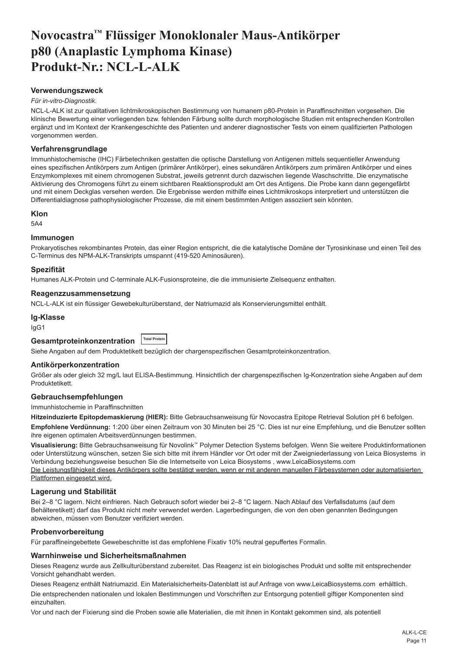# <span id="page-11-0"></span>**Novocastra™ Flüssiger Monoklonaler Maus-Antikörper p80 (Anaplastic Lymphoma Kinase) Produkt-Nr.: NCL-L-ALK**

#### **Verwendungszweck**

#### *Für in-vitro-Diagnostik*.

NCL-L-ALK ist zur qualitativen lichtmikroskopischen Bestimmung von humanem p80-Protein in Paraffinschnitten vorgesehen. Die klinische Bewertung einer vorliegenden bzw. fehlenden Färbung sollte durch morphologische Studien mit entsprechenden Kontrollen ergänzt und im Kontext der Krankengeschichte des Patienten und anderer diagnostischer Tests von einem qualifizierten Pathologen vorgenommen werden.

#### **Verfahrensgrundlage**

Immunhistochemische (IHC) Färbetechniken gestatten die optische Darstellung von Antigenen mittels sequentieller Anwendung eines spezifischen Antikörpers zum Antigen (primärer Antikörper), eines sekundären Antikörpers zum primären Antikörper und eines Enzymkomplexes mit einem chromogenen Substrat, jeweils getrennt durch dazwischen liegende Waschschritte. Die enzymatische Aktivierung des Chromogens führt zu einem sichtbaren Reaktionsprodukt am Ort des Antigens. Die Probe kann dann gegengefärbt und mit einem Deckglas versehen werden. Die Ergebnisse werden mithilfe eines Lichtmikroskops interpretiert und unterstützen die Differentialdiagnose pathophysiologischer Prozesse, die mit einem bestimmten Antigen assoziiert sein könnten.

#### **Klon**

5A4

#### **Immunogen**

Prokaryotisches rekombinantes Protein, das einer Region entspricht, die die katalytische Domäne der Tyrosinkinase und einen Teil des C-Terminus des NPM-ALK-Transkripts umspannt (419-520 Aminosäuren).

#### **Spezifität**

Humanes ALK-Protein und C-terminale ALK-Fusionsproteine, die die immunisierte Zielsequenz enthalten.

#### **Reagenzzusammensetzung**

NCL-L-ALK ist ein flüssiger Gewebekulturüberstand, der Natriumazid als Konservierungsmittel enthält.

#### **Ig-Klasse**

IgG1

**Gesamtproteinkonzentration Total Protein**

Siehe Angaben auf dem Produktetikett bezüglich der chargenspezifischen Gesamtproteinkonzentration.

#### **Antikörperkonzentration**

Größer als oder gleich 32 mg/L laut ELISA-Bestimmung. Hinsichtlich der chargenspezifischen Ig-Konzentration siehe Angaben auf dem Produktetikett.

#### **Gebrauchsempfehlungen**

Immunhistochemie in Paraffinschnitten

**Hitzeinduzierte Epitopdemaskierung (HIER):** Bitte Gebrauchsanweisung für Novocastra Epitope Retrieval Solution pH 6 befolgen.

**Empfohlene Verdünnung:** 1:200 über einen Zeitraum von 30 Minuten bei 25 °C. Dies ist nur eine Empfehlung, und die Benutzer sollten ihre eigenen optimalen Arbeitsverdünnungen bestimmen.

**Visualisierung:** Bitte Gebrauchsanweisung für Novolink™ Polymer Detection Systems befolgen. Wenn Sie weitere Produktinformationen oder Unterstützung wünschen, setzen Sie sich bitte mit ihrem Händler vor Ort oder mit der Zweigniederlassung von Leica Biosystems in Verbindung beziehungsweise besuchen Sie die Internetseite von Leica Biosystems , www.LeicaBiosystems.com Die Leistungsfähigkeit dieses Antikörpers sollte bestätigt werden, wenn er mit anderen manuellen Färbesystemen oder automatisierten

Plattformen eingesetzt wird.

# **Lagerung und Stabilität**

Bei 2–8 °C lagern. Nicht einfrieren. Nach Gebrauch sofort wieder bei 2–8 °C lagern. Nach Ablauf des Verfallsdatums (auf dem Behälteretikett) darf das Produkt nicht mehr verwendet werden. Lagerbedingungen, die von den oben genannten Bedingungen abweichen, müssen vom Benutzer verifiziert werden.

#### **Probenvorbereitung**

Für paraffineingebettete Gewebeschnitte ist das empfohlene Fixativ 10% neutral gepuffertes Formalin.

#### **Warnhinweise und Sicherheitsmaßnahmen**

Dieses Reagenz wurde aus Zellkulturüberstand zubereitet. Das Reagenz ist ein biologisches Produkt und sollte mit entsprechender Vorsicht gehandhabt werden.

Dieses Reagenz enthält Natriumazid. Ein Materialsicherheits-Datenblatt ist auf Anfrage von www.LeicaBiosystems.com erhältlich.

Die entsprechenden nationalen und lokalen Bestimmungen und Vorschriften zur Entsorgung potentiell giftiger Komponenten sind einzuhalten.

Vor und nach der Fixierung sind die Proben sowie alle Materialien, die mit ihnen in Kontakt gekommen sind, als potentiell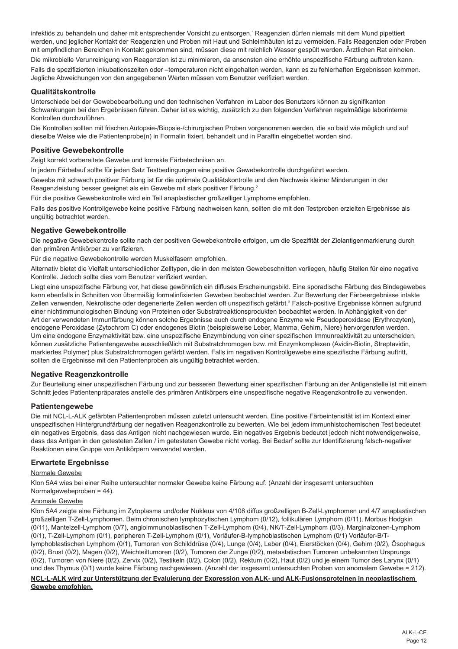infektiös zu behandeln und daher mit entsprechender Vorsicht zu entsorgen.<sup>1</sup> Reagenzien dürfen niemals mit dem Mund pipettiert werden, und jeglicher Kontakt der Reagenzien und Proben mit Haut und Schleimhäuten ist zu vermeiden. Falls Reagenzien oder Proben mit empfindlichen Bereichen in Kontakt gekommen sind, müssen diese mit reichlich Wasser gespült werden. Ärztlichen Rat einholen. Die mikrobielle Verunreinigung von Reagenzien ist zu minimieren, da ansonsten eine erhöhte unspezifische Färbung auftreten kann. Falls die spezifizierten Inkubationszeiten oder –temperaturen nicht eingehalten werden, kann es zu fehlerhaften Ergebnissen kommen. Jegliche Abweichungen von den angegebenen Werten müssen vom Benutzer verifiziert werden.

#### **Qualitätskontrolle**

Unterschiede bei der Gewebebearbeitung und den technischen Verfahren im Labor des Benutzers können zu signifikanten Schwankungen bei den Ergebnissen führen. Daher ist es wichtig, zusätzlich zu den folgenden Verfahren regelmäßige laborinterne Kontrollen durchzuführen.

Die Kontrollen sollten mit frischen Autopsie-/Biopsie-/chirurgischen Proben vorgenommen werden, die so bald wie möglich und auf dieselbe Weise wie die Patientenprobe(n) in Formalin fixiert, behandelt und in Paraffin eingebettet worden sind.

#### **Positive Gewebekontrolle**

Zeigt korrekt vorbereitete Gewebe und korrekte Färbetechniken an.

In jedem Färbelauf sollte für jeden Satz Testbedingungen eine positive Gewebekontrolle durchgeführt werden.

Gewebe mit schwach positiver Färbung ist für die optimale Qualitätskontrolle und den Nachweis kleiner Minderungen in der Reagenzleistung besser geeignet als ein Gewebe mit stark positiver Färbung.<sup>2</sup>

Für die positive Gewebekontrolle wird ein Teil anaplastischer großzelliger Lymphome empfohlen.

Falls das positive Kontrollgewebe keine positive Färbung nachweisen kann, sollten die mit den Testproben erzielten Ergebnisse als ungültig betrachtet werden.

### **Negative Gewebekontrolle**

Die negative Gewebekontrolle sollte nach der positiven Gewebekontrolle erfolgen, um die Spezifität der Zielantigenmarkierung durch den primären Antikörper zu verifizieren.

Für die negative Gewebekontrolle werden Muskelfasern empfohlen.

Alternativ bietet die Vielfalt unterschiedlicher Zelltypen, die in den meisten Gewebeschnitten vorliegen, häufig Stellen für eine negative Kontrolle. Jedoch sollte dies vom Benutzer verifiziert werden.

Liegt eine unspezifische Färbung vor, hat diese gewöhnlich ein diffuses Erscheinungsbild. Eine sporadische Färbung des Bindegewebes kann ebenfalls in Schnitten von übermäßig formalinfixierten Geweben beobachtet werden. Zur Bewertung der Färbeergebnisse intakte Zellen verwenden. Nekrotische oder degenerierte Zellen werden oft unspezifisch gefärbt.<sup>3</sup> Falsch-positive Ergebnisse können aufgrund einer nichtimmunologischen Bindung von Proteinen oder Substratreaktionsprodukten beobachtet werden. In Abhängigkeit von der Art der verwendeten Immunfärbung können solche Ergebnisse auch durch endogene Enzyme wie Pseudoperoxidase (Erythrozyten), endogene Peroxidase (Zytochrom C) oder endogenes Biotin (beispielsweise Leber, Mamma, Gehirn, Niere) hervorgerufen werden. Um eine endogene Enzymaktivität bzw. eine unspezifische Enzymbindung von einer spezifischen Immunreaktivität zu unterscheiden, können zusätzliche Patientengewebe ausschließlich mit Substratchromogen bzw. mit Enzymkomplexen (Avidin-Biotin, Streptavidin, markiertes Polymer) plus Substratchromogen gefärbt werden. Falls im negativen Kontrollgewebe eine spezifische Färbung auftritt, sollten die Ergebnisse mit den Patientenproben als ungültig betrachtet werden.

# **Negative Reagenzkontrolle**

Zur Beurteilung einer unspezifischen Färbung und zur besseren Bewertung einer spezifischen Färbung an der Antigenstelle ist mit einem Schnitt jedes Patientenpräparates anstelle des primären Antikörpers eine unspezifische negative Reagenzkontrolle zu verwenden.

#### **Patientengewebe**

Die mit NCL-L-ALK gefärbten Patientenproben müssen zuletzt untersucht werden. Eine positive Färbeintensität ist im Kontext einer unspezifischen Hintergrundfärbung der negativen Reagenzkontrolle zu bewerten. Wie bei jedem immunhistochemischen Test bedeutet ein negatives Ergebnis, dass das Antigen nicht nachgewiesen wurde. Ein negatives Ergebnis bedeutet jedoch nicht notwendigerweise, dass das Antigen in den getesteten Zellen / im getesteten Gewebe nicht vorlag. Bei Bedarf sollte zur Identifizierung falsch-negativer Reaktionen eine Gruppe von Antikörpern verwendet werden.

#### **Erwartete Ergebnisse**

#### Normale Gewebe

Klon 5A4 wies bei einer Reihe untersuchter normaler Gewebe keine Färbung auf. (Anzahl der insgesamt untersuchten Normalgewebeproben = 44).

#### Anomale Gewebe

Klon 5A4 zeigte eine Färbung im Zytoplasma und/oder Nukleus von 4/108 diffus großzelligen B-Zell-Lymphomen und 4/7 anaplastischen großzelligen T-Zell-Lymphomen. Beim chronischen lymphozytischen Lymphom (0/12), follikulären Lymphom (0/11), Morbus Hodgkin (0/11), Mantelzell-Lymphom (0/7), angioimmunoblastischen T-Zell-Lymphom (0/4), NK/T-Zell-Lymphom (0/3), Marginalzonen-Lymphom (0/1), T-Zell-Lymphom (0/1), peripheren T-Zell-Lymphom (0/1), Vorläufer-B-lymphoblastischen Lymphom (0/1) Vorläufer-B/Tlymphoblastischen Lymphom (0/1), Tumoren von Schilddrüse (0/4), Lunge (0/4), Leber (0/4), Eierstöcken (0/4), Gehirn (0/2), Ösophagus (0/2), Brust (0/2), Magen (0/2), Weichteiltumoren (0/2), Tumoren der Zunge (0/2), metastatischen Tumoren unbekannten Ursprungs (0/2), Tumoren von Niere (0/2), Zervix (0/2), Testikeln (0/2), Colon (0/2), Rektum (0/2), Haut (0/2) und je einem Tumor des Larynx (0/1) und des Thymus (0/1) wurde keine Färbung nachgewiesen. (Anzahl der insgesamt untersuchten Proben von anomalem Gewebe = 212).

#### **NCL-L-ALK wird zur Unterstützung der Evaluierung der Expression von ALK- und ALK-Fusionsproteinen in neoplastischem Gewebe empfohlen.**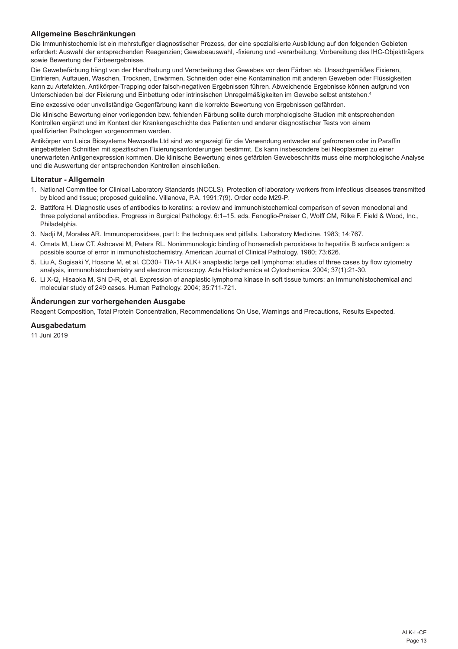# **Allgemeine Beschränkungen**

Die Immunhistochemie ist ein mehrstufiger diagnostischer Prozess, der eine spezialisierte Ausbildung auf den folgenden Gebieten erfordert: Auswahl der entsprechenden Reagenzien; Gewebeauswahl, -fixierung und -verarbeitung; Vorbereitung des IHC-Objektträgers sowie Bewertung der Färbeergebnisse.

Die Gewebefärbung hängt von der Handhabung und Verarbeitung des Gewebes vor dem Färben ab. Unsachgemäßes Fixieren, Einfrieren, Auftauen, Waschen, Trocknen, Erwärmen, Schneiden oder eine Kontamination mit anderen Geweben oder Flüssigkeiten kann zu Artefakten, Antikörper-Trapping oder falsch-negativen Ergebnissen führen. Abweichende Ergebnisse können aufgrund von Unterschieden bei der Fixierung und Einbettung oder intrinsischen Unregelmäßigkeiten im Gewebe selbst entstehen.<sup>4</sup>

Eine exzessive oder unvollständige Gegenfärbung kann die korrekte Bewertung von Ergebnissen gefährden.

Die klinische Bewertung einer vorliegenden bzw. fehlenden Färbung sollte durch morphologische Studien mit entsprechenden Kontrollen ergänzt und im Kontext der Krankengeschichte des Patienten und anderer diagnostischer Tests von einem qualifizierten Pathologen vorgenommen werden.

Antikörper von Leica Biosystems Newcastle Ltd sind wo angezeigt für die Verwendung entweder auf gefrorenen oder in Paraffin eingebetteten Schnitten mit spezifischen Fixierungsanforderungen bestimmt. Es kann insbesondere bei Neoplasmen zu einer unerwarteten Antigenexpression kommen. Die klinische Bewertung eines gefärbten Gewebeschnitts muss eine morphologische Analyse und die Auswertung der entsprechenden Kontrollen einschließen.

#### **Literatur - Allgemein**

- 1. National Committee for Clinical Laboratory Standards (NCCLS). Protection of laboratory workers from infectious diseases transmitted by blood and tissue; proposed guideline. Villanova, P.A. 1991;7(9). Order code M29-P.
- 2. Battifora H. Diagnostic uses of antibodies to keratins: a review and immunohistochemical comparison of seven monoclonal and three polyclonal antibodies. Progress in Surgical Pathology. 6:1–15. eds. Fenoglio-Preiser C, Wolff CM, Rilke F. Field & Wood, Inc., Philadelphia.
- 3. Nadji M, Morales AR. Immunoperoxidase, part I: the techniques and pitfalls. Laboratory Medicine. 1983; 14:767.
- 4. Omata M, Liew CT, Ashcavai M, Peters RL. Nonimmunologic binding of horseradish peroxidase to hepatitis B surface antigen: a possible source of error in immunohistochemistry. American Journal of Clinical Pathology. 1980; 73:626.
- 5. Liu A, Sugisaki Y, Hosone M, et al. CD30+ TIA-1+ ALK+ anaplastic large cell lymphoma: studies of three cases by flow cytometry analysis, immunohistochemistry and electron microscopy. Acta Histochemica et Cytochemica. 2004; 37(1):21-30.
- 6. Li X-Q, Hisaoka M, Shi D-R, et al. Expression of anaplastic lymphoma kinase in soft tissue tumors: an Immunohistochemical and molecular study of 249 cases. Human Pathology. 2004; 35:711-721.

#### **Änderungen zur vorhergehenden Ausgabe**

Reagent Composition, Total Protein Concentration, Recommendations On Use, Warnings and Precautions, Results Expected.

#### **Ausgabedatum**

11 Juni 2019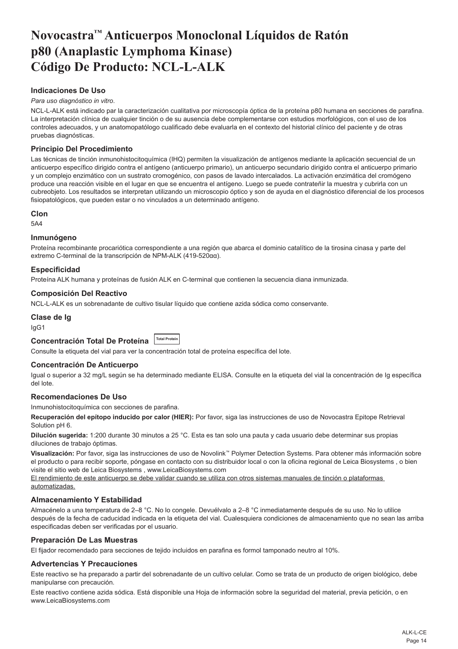# <span id="page-14-0"></span>**Novocastra™ Anticuerpos Monoclonal Líquidos de Ratón p80 (Anaplastic Lymphoma Kinase) Código De Producto: NCL-L-ALK**

# **Indicaciones De Uso**

#### *Para uso diagnóstico in vitro*.

NCL-L-ALK está indicado par la caracterización cualitativa por microscopía óptica de la proteína p80 humana en secciones de parafina. La interpretación clínica de cualquier tinción o de su ausencia debe complementarse con estudios morfológicos, con el uso de los controles adecuados, y un anatomopatólogo cualificado debe evaluarla en el contexto del historial clínico del paciente y de otras pruebas diagnósticas.

#### **Principio Del Procedimiento**

Las técnicas de tinción inmunohistocitoquímica (IHQ) permiten la visualización de antígenos mediante la aplicación secuencial de un anticuerpo específico dirigido contra el antígeno (anticuerpo primario), un anticuerpo secundario dirigido contra el anticuerpo primario y un complejo enzimático con un sustrato cromogénico, con pasos de lavado intercalados. La activación enzimática del cromógeno produce una reacción visible en el lugar en que se encuentra el antígeno. Luego se puede contrateñir la muestra y cubrirla con un cubreobjeto. Los resultados se interpretan utilizando un microscopio óptico y son de ayuda en el diagnóstico diferencial de los procesos fisiopatológicos, que pueden estar o no vinculados a un determinado antígeno.

#### **Clon**

5A4

#### **Inmunógeno**

Proteína recombinante procariótica correspondiente a una región que abarca el dominio catalítico de la tirosina cinasa y parte del extremo C-terminal de la transcripción de NPM-ALK (419-520αα).

#### **Especificidad**

Proteína ALK humana y proteínas de fusión ALK en C-terminal que contienen la secuencia diana inmunizada.

#### **Composición Del Reactivo**

NCL-L-ALK es un sobrenadante de cultivo tisular líquido que contiene azida sódica como conservante.

#### **Clase de Ig**

IgG1

# **Concentración Total De Proteína Total Protein**

Consulte la etiqueta del vial para ver la concentración total de proteína específica del lote.

#### **Concentración De Anticuerpo**

Igual o superior a 32 mg/L según se ha determinado mediante ELISA. Consulte en la etiqueta del vial la concentración de Ig específica del lote.

#### **Recomendaciones De Uso**

Inmunohistocitoquímica con secciones de parafina.

**Recuperación del epítopo inducido por calor (HIER):** Por favor, siga las instrucciones de uso de Novocastra Epitope Retrieval Solution pH 6.

**Dilución sugerida:** 1:200 durante 30 minutos a 25 °C. Esta es tan solo una pauta y cada usuario debe determinar sus propias diluciones de trabajo óptimas.

**Visualización:** Por favor, siga las instrucciones de uso de Novolink™ Polymer Detection Systems. Para obtener más información sobre el producto o para recibir soporte, póngase en contacto con su distribuidor local o con la oficina regional de Leica Biosystems , o bien visite el sitio web de Leica Biosystems , www.LeicaBiosystems.com

El rendimiento de este anticuerpo se debe validar cuando se utiliza con otros sistemas manuales de tinción o plataformas automatizadas.

#### **Almacenamiento Y Estabilidad**

Almacénelo a una temperatura de 2–8 °C. No lo congele. Devuélvalo a 2–8 °C inmediatamente después de su uso. No lo utilice después de la fecha de caducidad indicada en la etiqueta del vial. Cualesquiera condiciones de almacenamiento que no sean las arriba especificadas deben ser verificadas por el usuario.

#### **Preparación De Las Muestras**

El fijador recomendado para secciones de tejido incluidos en parafina es formol tamponado neutro al 10%.

### **Advertencias Y Precauciones**

Este reactivo se ha preparado a partir del sobrenadante de un cultivo celular. Como se trata de un producto de origen biológico, debe manipularse con precaución.

Este reactivo contiene azida sódica. Está disponible una Hoja de información sobre la seguridad del material, previa petición, o en www.LeicaBiosystems.com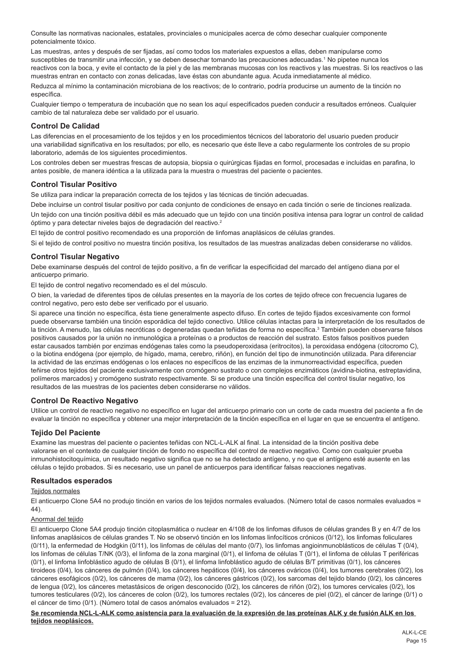Consulte las normativas nacionales, estatales, provinciales o municipales acerca de cómo desechar cualquier componente potencialmente tóxico.

Las muestras, antes y después de ser fijadas, así como todos los materiales expuestos a ellas, deben manipularse como susceptibles de transmitir una infección, y se deben desechar tomando las precauciones adecuadas.<sup>1</sup> No pipetee nunca los reactivos con la boca, y evite el contacto de la piel y de las membranas mucosas con los reactivos y las muestras. Si los reactivos o las muestras entran en contacto con zonas delicadas, lave éstas con abundante agua. Acuda inmediatamente al médico.

Reduzca al mínimo la contaminación microbiana de los reactivos; de lo contrario, podría producirse un aumento de la tinción no específica.

Cualquier tiempo o temperatura de incubación que no sean los aquí especificados pueden conducir a resultados erróneos. Cualquier cambio de tal naturaleza debe ser validado por el usuario.

# **Control De Calidad**

Las diferencias en el procesamiento de los tejidos y en los procedimientos técnicos del laboratorio del usuario pueden producir una variabilidad significativa en los resultados; por ello, es necesario que éste lleve a cabo regularmente los controles de su propio laboratorio, además de los siguientes procedimientos.

Los controles deben ser muestras frescas de autopsia, biopsia o quirúrgicas fijadas en formol, procesadas e incluidas en parafina, lo antes posible, de manera idéntica a la utilizada para la muestra o muestras del paciente o pacientes.

#### **Control Tisular Positivo**

Se utiliza para indicar la preparación correcta de los tejidos y las técnicas de tinción adecuadas.

Debe incluirse un control tisular positivo por cada conjunto de condiciones de ensayo en cada tinción o serie de tinciones realizada.

Un tejido con una tinción positiva débil es más adecuado que un tejido con una tinción positiva intensa para lograr un control de calidad óptimo y para detectar niveles bajos de degradación del reactivo.<sup>2</sup>

El tejido de control positivo recomendado es una proporción de linfomas anaplásicos de células grandes.

Si el tejido de control positivo no muestra tinción positiva, los resultados de las muestras analizadas deben considerarse no válidos.

#### **Control Tisular Negativo**

Debe examinarse después del control de tejido positivo, a fin de verificar la especificidad del marcado del antígeno diana por el anticuerpo primario.

El tejido de control negativo recomendado es el del músculo.

O bien, la variedad de diferentes tipos de células presentes en la mayoría de los cortes de tejido ofrece con frecuencia lugares de control negativo, pero esto debe ser verificado por el usuario.

Si aparece una tinción no específica, ésta tiene generalmente aspecto difuso. En cortes de tejido fijados excesivamente con formol puede observarse también una tinción esporádica del tejido conectivo. Utilice células intactas para la interpretación de los resultados de la tinción. A menudo, las células necróticas o degeneradas quedan teñidas de forma no específica.<sup>3</sup> También pueden observarse falsos positivos causados por la unión no inmunológica a proteínas o a productos de reacción del sustrato. Estos falsos positivos pueden estar causados también por enzimas endógenas tales como la pseudoperoxidasa (eritrocitos), la peroxidasa endógena (citocromo C), o la biotina endógena (por ejemplo, de hígado, mama, cerebro, riñón), en función del tipo de inmunotinción utilizada. Para diferenciar la actividad de las enzimas endógenas o los enlaces no específicos de las enzimas de la inmunorreactividad específica, pueden teñirse otros tejidos del paciente exclusivamente con cromógeno sustrato o con complejos enzimáticos (avidina-biotina, estreptavidina, polímeros marcados) y cromógeno sustrato respectivamente. Si se produce una tinción específica del control tisular negativo, los resultados de las muestras de los pacientes deben considerarse no válidos.

#### **Control De Reactivo Negativo**

Utilice un control de reactivo negativo no específico en lugar del anticuerpo primario con un corte de cada muestra del paciente a fin de evaluar la tinción no específica y obtener una mejor interpretación de la tinción específica en el lugar en que se encuentra el antígeno.

#### **Tejido Del Paciente**

Examine las muestras del paciente o pacientes teñidas con NCL-L-ALK al final. La intensidad de la tinción positiva debe valorarse en el contexto de cualquier tinción de fondo no específica del control de reactivo negativo. Como con cualquier prueba inmunohistocitoquímica, un resultado negativo significa que no se ha detectado antígeno, y no que el antígeno esté ausente en las células o tejido probados. Si es necesario, use un panel de anticuerpos para identificar falsas reacciones negativas.

#### **Resultados esperados**

#### Teiidos normales

El anticuerpo Clone 5A4 no produjo tinción en varios de los tejidos normales evaluados. (Número total de casos normales evaluados = 44).

#### Anormal del tejido

El anticuerpo Clone 5A4 produjo tinción citoplasmática o nuclear en 4/108 de los linfomas difusos de células grandes B y en 4/7 de los linfomas anaplásicos de células grandes T. No se observó tinción en los linfomas linfocíticos crónicos (0/12), los linfomas foliculares (0/11), la enfermedad de Hodgkin (0/11), los linfomas de células del manto (0/7), los linfomas angioinmunoblásticos de células T (0/4), los linfomas de células T/NK (0/3), el linfoma de la zona marginal (0/1), el linfoma de células T (0/1), el linfoma de células T periféricas (0/1), el linfoma linfoblástico agudo de células B (0/1), el linfoma linfoblástico agudo de células B/T primitivas (0/1), los cánceres tiroideos (0/4), los cánceres de pulmón (0/4), los cánceres hepáticos (0/4), los cánceres ováricos (0/4), los tumores cerebrales (0/2), los cánceres esofágicos (0/2), los cánceres de mama (0/2), los cánceres gástricos (0/2), los sarcomas del tejido blando (0/2), los cánceres de lengua (0/2), los cánceres metastásicos de origen desconocido (0/2), los cánceres de riñón (0/2), los tumores cervicales (0/2), los tumores testiculares (0/2), los cánceres de colon (0/2), los tumores rectales (0/2), los cánceres de piel (0/2), el cáncer de laringe (0/1) o el cáncer de timo (0/1). (Número total de casos anómalos evaluados = 212).

**Se recomienda NCL-L-ALK como asistencia para la evaluación de la expresión de las proteínas ALK y de fusión ALK en los tejidos neoplásicos.**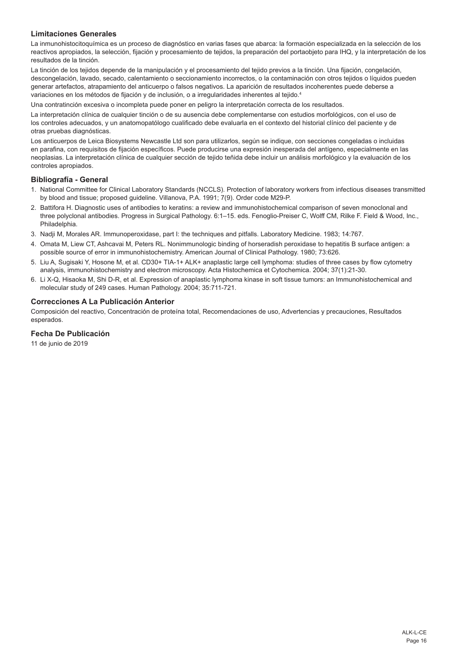# **Limitaciones Generales**

La inmunohistocitoquímica es un proceso de diagnóstico en varias fases que abarca: la formación especializada en la selección de los reactivos apropiados, la selección, fijación y procesamiento de tejidos, la preparación del portaobjeto para IHQ, y la interpretación de los resultados de la tinción.

La tinción de los tejidos depende de la manipulación y el procesamiento del tejido previos a la tinción. Una fijación, congelación, descongelación, lavado, secado, calentamiento o seccionamiento incorrectos, o la contaminación con otros tejidos o líquidos pueden generar artefactos, atrapamiento del anticuerpo o falsos negativos. La aparición de resultados incoherentes puede deberse a variaciones en los métodos de fijación y de inclusión, o a irregularidades inherentes al tejido.<sup>4</sup>

Una contratinción excesiva o incompleta puede poner en peligro la interpretación correcta de los resultados.

La interpretación clínica de cualquier tinción o de su ausencia debe complementarse con estudios morfológicos, con el uso de los controles adecuados, y un anatomopatólogo cualificado debe evaluarla en el contexto del historial clínico del paciente y de otras pruebas diagnósticas.

Los anticuerpos de Leica Biosystems Newcastle Ltd son para utilizarlos, según se indique, con secciones congeladas o incluidas en parafina, con requisitos de fijación específicos. Puede producirse una expresión inesperada del antígeno, especialmente en las neoplasias. La interpretación clínica de cualquier sección de tejido teñida debe incluir un análisis morfológico y la evaluación de los controles apropiados.

#### **Bibliografía - General**

- 1. National Committee for Clinical Laboratory Standards (NCCLS). Protection of laboratory workers from infectious diseases transmitted by blood and tissue; proposed guideline. Villanova, P.A. 1991; 7(9). Order code M29-P.
- 2. Battifora H. Diagnostic uses of antibodies to keratins: a review and immunohistochemical comparison of seven monoclonal and three polyclonal antibodies. Progress in Surgical Pathology. 6:1–15. eds. Fenoglio-Preiser C, Wolff CM, Rilke F. Field & Wood, Inc., Philadelphia.
- 3. Nadji M, Morales AR. Immunoperoxidase, part I: the techniques and pitfalls. Laboratory Medicine. 1983; 14:767.
- 4. Omata M, Liew CT, Ashcavai M, Peters RL. Nonimmunologic binding of horseradish peroxidase to hepatitis B surface antigen: a possible source of error in immunohistochemistry. American Journal of Clinical Pathology. 1980; 73:626.
- 5. Liu A, Sugisaki Y, Hosone M, et al. CD30+ TIA-1+ ALK+ anaplastic large cell lymphoma: studies of three cases by flow cytometry analysis, immunohistochemistry and electron microscopy. Acta Histochemica et Cytochemica. 2004; 37(1):21-30.
- 6. Li X-Q, Hisaoka M, Shi D-R, et al. Expression of anaplastic lymphoma kinase in soft tissue tumors: an Immunohistochemical and molecular study of 249 cases. Human Pathology. 2004; 35:711-721.

# **Correcciones A La Publicación Anterior**

Composición del reactivo, Concentración de proteína total, Recomendaciones de uso, Advertencias y precauciones, Resultados esperados.

### **Fecha De Publicación**

11 de junio de 2019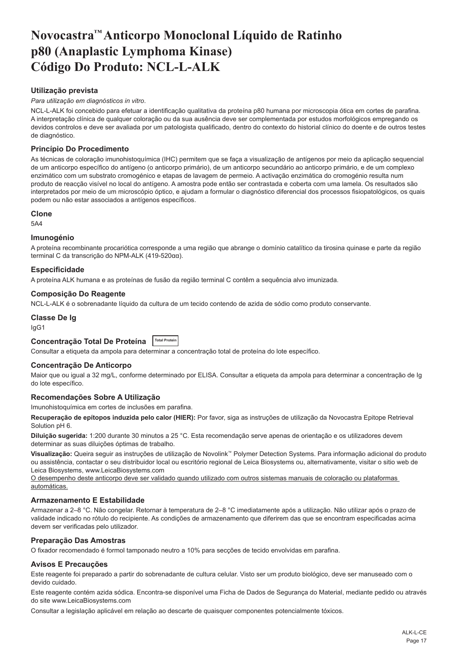# <span id="page-17-0"></span>**Novocastra™ Anticorpo Monoclonal Líquido de Ratinho p80 (Anaplastic Lymphoma Kinase) Código Do Produto: NCL-L-ALK**

# **Utilização prevista**

#### *Para utilização em diagnósticos in vitro*.

NCL-L-ALK foi concebido para efetuar a identificação qualitativa da proteína p80 humana por microscopia ótica em cortes de parafina. A interpretação clínica de qualquer coloração ou da sua ausência deve ser complementada por estudos morfológicos empregando os devidos controlos e deve ser avaliada por um patologista qualificado, dentro do contexto do historial clínico do doente e de outros testes de diagnóstico.

# **Princípio Do Procedimento**

As técnicas de coloração imunohistoquímica (IHC) permitem que se faça a visualização de antígenos por meio da aplicação sequencial de um anticorpo específico do antígeno (o anticorpo primário), de um anticorpo secundário ao anticorpo primário, e de um complexo enzimático com um substrato cromogénico e etapas de lavagem de permeio. A activação enzimática do cromogénio resulta num produto de reacção visível no local do antígeno. A amostra pode então ser contrastada e coberta com uma lamela. Os resultados são interpretados por meio de um microscópio óptico, e ajudam a formular o diagnóstico diferencial dos processos fisiopatológicos, os quais podem ou não estar associados a antígenos específicos.

#### **Clone**

5A4

#### **Imunogénio**

A proteína recombinante procariótica corresponde a uma região que abrange o domínio catalítico da tirosina quinase e parte da região terminal C da transcrição do NPM-ALK (419-520αα).

#### **Especificidade**

A proteína ALK humana e as proteínas de fusão da região terminal C contêm a sequência alvo imunizada.

# **Composição Do Reagente**

NCL-L-ALK é o sobrenadante líquido da cultura de um tecido contendo de azida de sódio como produto conservante.

#### **Classe De Ig**

IgG1

# **Concentração Total De Proteína Total Protein**

Consultar a etiqueta da ampola para determinar a concentração total de proteína do lote específico.

#### **Concentração De Anticorpo**

Maior que ou igual a 32 mg/L, conforme determinado por ELISA. Consultar a etiqueta da ampola para determinar a concentração de Ig do lote específico.

#### **Recomendações Sobre A Utilização**

Imunohistoquímica em cortes de inclusões em parafina.

**Recuperação de epítopos induzida pelo calor (HIER):** Por favor, siga as instruções de utilização da Novocastra Epitope Retrieval Solution pH 6.

**Diluição sugerida:** 1:200 durante 30 minutos a 25 °C. Esta recomendação serve apenas de orientação e os utilizadores devem determinar as suas diluições óptimas de trabalho.

**Visualização:** Queira seguir as instruções de utilização de Novolink™ Polymer Detection Systems. Para informação adicional do produto ou assistência, contactar o seu distribuidor local ou escritório regional de Leica Biosystems ou, alternativamente, visitar o sitio web de Leica Biosystems, www.LeicaBiosystems.com

O desempenho deste anticorpo deve ser validado quando utilizado com outros sistemas manuais de coloração ou plataformas automáticas.

#### **Armazenamento E Estabilidade**

Armazenar a 2–8 °C. Não congelar. Retornar à temperatura de 2–8 °C imediatamente após a utilização. Não utilizar após o prazo de validade indicado no rótulo do recipiente. As condições de armazenamento que diferirem das que se encontram especificadas acima devem ser verificadas pelo utilizador.

#### **Preparação Das Amostras**

O fixador recomendado é formol tamponado neutro a 10% para secções de tecido envolvidas em parafina.

#### **Avisos E Precauções**

Este reagente foi preparado a partir do sobrenadante de cultura celular. Visto ser um produto biológico, deve ser manuseado com o devido cuidado.

Este reagente contém azida sódica. Encontra-se disponível uma Ficha de Dados de Segurança do Material, mediante pedido ou através do site www.LeicaBiosystems.com

Consultar a legislação aplicável em relação ao descarte de quaisquer componentes potencialmente tóxicos.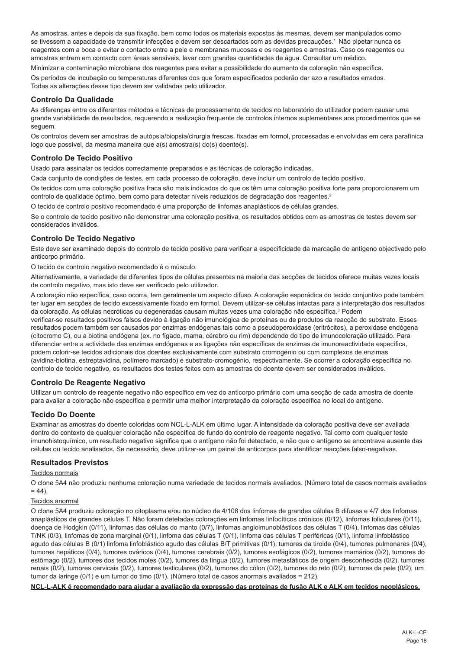As amostras, antes e depois da sua fixação, bem como todos os materiais expostos às mesmas, devem ser manipulados como se tivessem a capacidade de transmitir infecções e devem ser descartados com as devidas precauções.<sup>1</sup> Não pipetar nunca os reagentes com a boca e evitar o contacto entre a pele e membranas mucosas e os reagentes e amostras. Caso os reagentes ou amostras entrem em contacto com áreas sensíveis, lavar com grandes quantidades de água. Consultar um médico.

Minimizar a contaminação microbiana dos reagentes para evitar a possibilidade do aumento da coloração não específica. Os períodos de incubação ou temperaturas diferentes dos que foram especificados poderão dar azo a resultados errados. Todas as alterações desse tipo devem ser validadas pelo utilizador.

# **Controlo Da Qualidade**

As diferenças entre os diferentes métodos e técnicas de processamento de tecidos no laboratório do utilizador podem causar uma grande variabilidade de resultados, requerendo a realização frequente de controlos internos suplementares aos procedimentos que se seguem.

Os controlos devem ser amostras de autópsia/biopsia/cirurgia frescas, fixadas em formol, processadas e envolvidas em cera parafínica logo que possível, da mesma maneira que a(s) amostra(s) do(s) doente(s).

#### **Controlo De Tecido Positivo**

Usado para assinalar os tecidos correctamente preparados e as técnicas de coloração indicadas.

Cada conjunto de condições de testes, em cada processo de coloração, deve incluir um controlo de tecido positivo.

Os tecidos com uma coloração positiva fraca são mais indicados do que os têm uma coloração positiva forte para proporcionarem um controlo de qualidade óptimo, bem como para detectar níveis reduzidos de degradação dos reagentes.<sup>2</sup>

O tecido de controlo positivo recomendado é uma proporção de linfomas anaplásticos de células grandes.

Se o controlo de tecido positivo não demonstrar uma coloração positiva, os resultados obtidos com as amostras de testes devem ser considerados inválidos.

# **Controlo De Tecido Negativo**

Este deve ser examinado depois do controlo de tecido positivo para verificar a especificidade da marcação do antígeno objectivado pelo anticorpo primário.

O tecido de controlo negativo recomendado é o músculo.

Alternativamente, a variedade de diferentes tipos de células presentes na maioria das secções de tecidos oferece muitas vezes locais de controlo negativo, mas isto deve ser verificado pelo utilizador.

A coloração não específica, caso ocorra, tem geralmente um aspecto difuso. A coloração esporádica do tecido conjuntivo pode também ter lugar em secções de tecido excessivamente fixado em formol. Devem utilizar-se células intactas para a interpretação dos resultados da coloração. As células necróticas ou degeneradas causam muitas vezes uma coloração não específica.<sup>3</sup> Podem

verificar-se resultados positivos falsos devido à ligação não imunológica de proteínas ou de produtos da reacção do substrato. Esses resultados podem também ser causados por enzimas endógenas tais como a pseudoperoxidase (eritrócitos), a peroxidase endógena (citocromo C), ou a biotina endógena (ex. no fígado, mama, cérebro ou rim) dependendo do tipo de imunocoloração utilizado. Para diferenciar entre a actividade das enzimas endógenas e as ligações não específicas de enzimas de imunoreactividade específica, podem colorir-se tecidos adicionais dos doentes exclusivamente com substrato cromogénio ou com complexos de enzimas (avidina-biotina, estreptavidina, polímero marcado) e substrato-cromogénio, respectivamente. Se ocorrer a coloração específica no controlo de tecido negativo, os resultados dos testes feitos com as amostras do doente devem ser considerados inválidos.

#### **Controlo De Reagente Negativo**

Utilizar um controlo de reagente negativo não específico em vez do anticorpo primário com uma secção de cada amostra de doente para avaliar a coloração não específica e permitir uma melhor interpretação da coloração específica no local do antígeno.

# **Tecido Do Doente**

Examinar as amostras do doente coloridas com NCL-L-ALK em último lugar. A intensidade da coloração positiva deve ser avaliada dentro do contexto de qualquer coloração não específica de fundo do controlo de reagente negativo. Tal como com qualquer teste imunohistoquímico, um resultado negativo significa que o antígeno não foi detectado, e não que o antígeno se encontrava ausente das células ou tecido analisados. Se necessário, deve utilizar-se um painel de anticorpos para identificar reacções falso-negativas.

#### **Resultados Previstos**

#### Tecidos normais

O clone 5A4 não produziu nenhuma coloração numa variedade de tecidos normais avaliados. (Número total de casos normais avaliados  $= 44$ ).

#### Tecidos anormal

O clone 5A4 produziu coloração no citoplasma e/ou no núcleo de 4/108 dos linfomas de grandes células B difusas e 4/7 dos linfomas anaplásticos de grandes células T. Não foram detetadas colorações em linfomas linfocíticos crónicos (0/12), linfomas foliculares (0/11), doença de Hodgkin (0/11), linfomas das células do manto (0/7), linfomas angioimunoblásticos das células T (0/4), linfomas das células T/NK (0/3), linfomas de zona marginal (0/1), linfoma das células T (0/1), linfoma das células T periféricas (0/1), linfoma linfoblástico agudo das células B (0/1) linfoma linfoblástico agudo das células B/T primitivas (0/1), tumores da tiroide (0/4), tumores pulmonares (0/4), tumores hepáticos (0/4), tumores ováricos (0/4), tumores cerebrais (0/2), tumores esofágicos (0/2), tumores mamários (0/2), tumores do estômago (0/2), tumores dos tecidos moles (0/2), tumores da língua (0/2), tumores metastáticos de origem desconhecida (0/2), tumores renais (0/2), tumores cervicais (0/2), tumores testiculares (0/2), tumores do cólon (0/2), tumores do reto (0/2), tumores da pele (0/2), um tumor da laringe (0/1) e um tumor do timo (0/1). (Número total de casos anormais avaliados = 212).

**NCL-L-ALK é recomendado para ajudar a avaliação da expressão das proteínas de fusão ALK e ALK em tecidos neoplásicos.**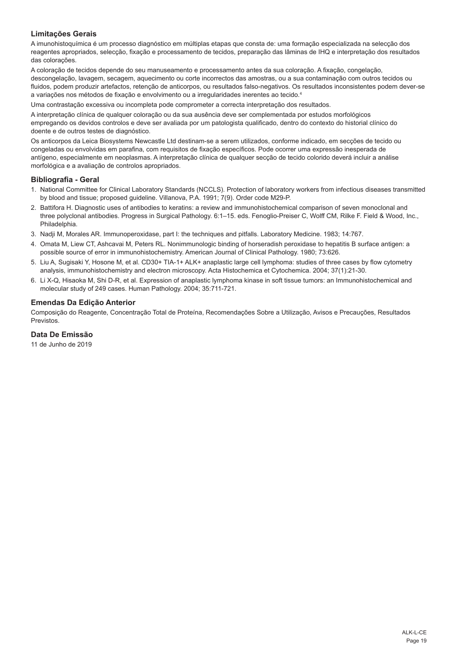# **Limitações Gerais**

A imunohistoquímica é um processo diagnóstico em múltiplas etapas que consta de: uma formação especializada na selecção dos reagentes apropriados, selecção, fixação e processamento de tecidos, preparação das lâminas de IHQ e interpretação dos resultados das colorações.

A coloração de tecidos depende do seu manuseamento e processamento antes da sua coloração. A fixação, congelação, descongelação, lavagem, secagem, aquecimento ou corte incorrectos das amostras, ou a sua contaminação com outros tecidos ou fluidos, podem produzir artefactos, retenção de anticorpos, ou resultados falso-negativos. Os resultados inconsistentes podem dever-se a variações nos métodos de fixação e envolvimento ou a irregularidades inerentes ao tecido.<sup>4</sup>

Uma contrastação excessiva ou incompleta pode comprometer a correcta interpretação dos resultados.

A interpretação clínica de qualquer coloração ou da sua ausência deve ser complementada por estudos morfológicos empregando os devidos controlos e deve ser avaliada por um patologista qualificado, dentro do contexto do historial clínico do doente e de outros testes de diagnóstico.

Os anticorpos da Leica Biosystems Newcastle Ltd destinam-se a serem utilizados, conforme indicado, em secções de tecido ou congeladas ou envolvidas em parafina, com requisitos de fixação específicos. Pode ocorrer uma expressão inesperada de antígeno, especialmente em neoplasmas. A interpretação clínica de qualquer secção de tecido colorido deverá incluir a análise morfológica e a avaliação de controlos apropriados.

#### **Bibliografia - Geral**

- 1. National Committee for Clinical Laboratory Standards (NCCLS). Protection of laboratory workers from infectious diseases transmitted by blood and tissue; proposed guideline. Villanova, P.A. 1991; 7(9). Order code M29-P.
- 2. Battifora H. Diagnostic uses of antibodies to keratins: a review and immunohistochemical comparison of seven monoclonal and three polyclonal antibodies. Progress in Surgical Pathology. 6:1–15. eds. Fenoglio-Preiser C, Wolff CM, Rilke F. Field & Wood, Inc., Philadelphia.
- 3. Nadji M, Morales AR. Immunoperoxidase, part I: the techniques and pitfalls. Laboratory Medicine. 1983; 14:767.
- 4. Omata M, Liew CT, Ashcavai M, Peters RL. Nonimmunologic binding of horseradish peroxidase to hepatitis B surface antigen: a possible source of error in immunohistochemistry. American Journal of Clinical Pathology. 1980; 73:626.
- 5. Liu A, Sugisaki Y, Hosone M, et al. CD30+ TIA-1+ ALK+ anaplastic large cell lymphoma: studies of three cases by flow cytometry analysis, immunohistochemistry and electron microscopy. Acta Histochemica et Cytochemica. 2004; 37(1):21-30.
- 6. Li X-Q, Hisaoka M, Shi D-R, et al. Expression of anaplastic lymphoma kinase in soft tissue tumors: an Immunohistochemical and molecular study of 249 cases. Human Pathology. 2004; 35:711-721.

#### **Emendas Da Edição Anterior**

Composição do Reagente, Concentração Total de Proteína, Recomendações Sobre a Utilização, Avisos e Precauções, Resultados Previstos.

**Data De Emissão**

11 de Junho de 2019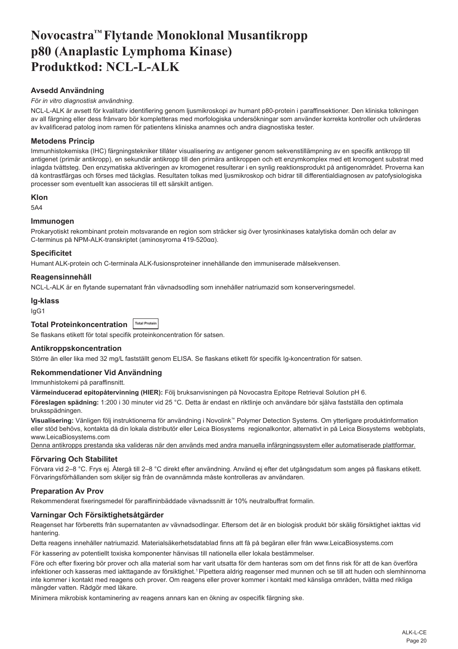# <span id="page-20-0"></span>**Novocastra™ Flytande Monoklonal Musantikropp p80 (Anaplastic Lymphoma Kinase) Produktkod: NCL-L-ALK**

# **Avsedd Användning**

# *För in vitro diagnostisk användning*.

NCL-L-ALK är avsett för kvalitativ identifiering genom ljusmikroskopi av humant p80-protein i paraffinsektioner. Den kliniska tolkningen av all färgning eller dess frånvaro bör kompletteras med morfologiska undersökningar som använder korrekta kontroller och utvärderas av kvalificerad patolog inom ramen för patientens kliniska anamnes och andra diagnostiska tester.

# **Metodens Princip**

Immunhistokemiska (IHC) färgningstekniker tillåter visualisering av antigener genom sekvenstillämpning av en specifik antikropp till antigenet (primär antikropp), en sekundär antikropp till den primära antikroppen och ett enzymkomplex med ett kromogent substrat med inlagda tvättsteg. Den enzymatiska aktiveringen av kromogenet resulterar i en synlig reaktionsprodukt på antigenområdet. Proverna kan då kontrastfärgas och förses med täckglas. Resultaten tolkas med ljusmikroskop och bidrar till differentialdiagnosen av patofysiologiska processer som eventuellt kan associeras till ett särskilt antigen.

#### **Klon**

5A4

# **Immunogen**

Prokaryotiskt rekombinant protein motsvarande en region som sträcker sig över tyrosinkinases katalytiska domän och delar av C-terminus på NPM-ALK-transkriptet (aminosyrorna 419-520αα).

#### **Specificitet**

Humant ALK-protein och C-terminala ALK-fusionsproteiner innehållande den immuniserade målsekvensen.

# **Reagensinnehåll**

NCL-L-ALK är en flytande supernatant från vävnadsodling som innehåller natriumazid som konserveringsmedel.

#### **Ig-klass**

IgG1

**Total Proteinkoncentration Total Protein**

Se flaskans etikett för total specifik proteinkoncentration för satsen.

### **Antikroppskoncentration**

Större än eller lika med 32 mg/L fastställt genom ELISA. Se flaskans etikett för specifik Ig-koncentration för satsen.

# **Rekommendationer Vid Användning**

Immunhistokemi på paraffinsnitt.

**Värmeinducerad epitopåtervinning (HIER):** Följ bruksanvisningen på Novocastra Epitope Retrieval Solution pH 6.

**Föreslagen spädning:** 1:200 i 30 minuter vid 25 °C. Detta är endast en riktlinje och användare bör själva fastställa den optimala bruksspädningen.

**Visualisering:** Vänligen följ instruktionerna för användning i Novolink™ Polymer Detection Systems. Om ytterligare produktinformation eller stöd behövs, kontakta då din lokala distributör eller Leica Biosystems regionalkontor, alternativt in på Leica Biosystems webbplats, www.LeicaBiosystems.com

Denna antikropps prestanda ska valideras när den används med andra manuella infärgningssystem eller automatiserade plattformar.

#### **Förvaring Och Stabilitet**

Förvara vid 2–8 °C. Frys ej. Återgå till 2–8 °C direkt efter användning. Använd ej efter det utgångsdatum som anges på flaskans etikett. Förvaringsförhållanden som skiljer sig från de ovannämnda måste kontrolleras av användaren.

# **Preparation Av Prov**

Rekommenderat fixeringsmedel för paraffininbäddade vävnadssnitt är 10% neutralbuffrat formalin.

# **Varningar Och Försiktighetsåtgärder**

Reagenset har förberetts från supernatanten av vävnadsodlingar. Eftersom det är en biologisk produkt bör skälig försiktighet iakttas vid hantering.

Detta reagens innehåller natriumazid. Materialsäkerhetsdatablad finns att få på begäran eller från www.LeicaBiosystems.com

För kassering av potentiellt toxiska komponenter hänvisas till nationella eller lokala bestämmelser.

Före och efter fixering bör prover och alla material som har varit utsatta för dem hanteras som om det finns risk för att de kan överföra infektioner och kasseras med iakttagande av försiktighet.<sup>1</sup> Pipettera aldrig reagenser med munnen och se till att huden och slemhinnorna inte kommer i kontakt med reagens och prover. Om reagens eller prover kommer i kontakt med känsliga områden, tvätta med rikliga mängder vatten. Rådgör med läkare.

Minimera mikrobisk kontaminering av reagens annars kan en ökning av ospecifik färgning ske.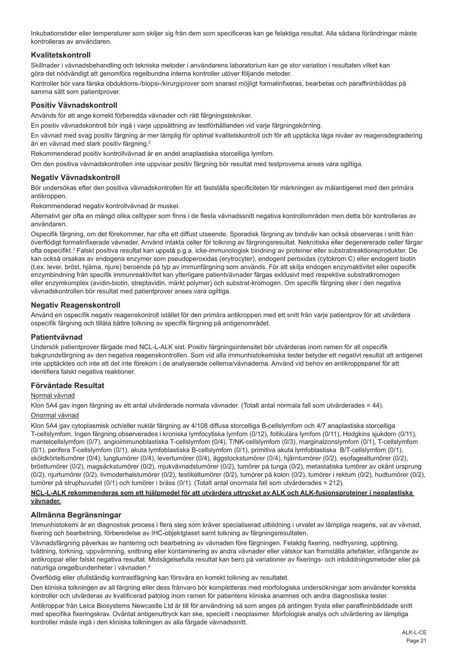Inkubationstider eller temperaturer som skiljer sig från dem som specificeras kan ge felaktiga resultat. Alla sådana förändringar måste kontrolleras av användaren.

# **Kvalitetskontroll**

Skillnader i vävnadsbehandling och tekniska metoder i användarens laboratorium kan ge stor variation i resultaten vilket kan göra det nödvändigt att genomföra regelbundna interna kontroller utöver följande metoder.

Kontroller bör vara färska obduktions-/biopsi-/kirurgiprover som snarast möjligt formalinfixeras, bearbetas och paraffininbäddas på samma sätt som patientprover.

# **Positiv Vävnadskontroll**

Används för att ange korrekt förberedda vävnader och rätt färgningstekniker.

En positiv vävnadskontroll bör ingå i varje uppsättning av testförhållanden vid varje färgningskörning.

En vävnad med svag positiv färgning är mer lämplig för optimal kvalitetskontroll och för att upptäcka låga nivåer av reagensdegradering än en vävnad med stark positiv färgning.<sup>2</sup>

Rekommenderad positiv kontrollvävnad är en andel anaplastiska storcelliga lymfom.

Om den positiva vävnadskontrollen inte uppvisar positiv färgning bör resultat med testproverna anses vara ogiltiga.

### **Negativ Vävnadskontroll**

Bör undersökas efter den positiva vävnadskontrollen för att fastställa specificiteten för märkningen av målantigenet med den primära antikroppen

Rekommenderad negativ kontrollvävnad är muskel.

Alternativt ger ofta en mängd olika celltyper som finns i de flesta vävnadssnitt negativa kontrollområden men detta bör kontrolleras av användaren.

Ospecifik färgning, om det förekommer, har ofta ett diffust utseende. Sporadisk färgning av bindväv kan också observeras i snitt från överflödigt formalinfixerade vävnader. Använd intakta celler för tolkning av färgningsresultat. Nekrotiska eller degenererade celler färgar ofta ospecifikt.<sup>s</sup> Falskt positiva resultat kan uppstå p.g.a. icke-immunologisk bindning av proteiner eller substratreaktionsprodukter. De kan också orsakas av endogena enzymer som pseudoperoxidas (erytrocyter), endogent peroxidas (cytokrom C) eller endogent biotin (t.ex. lever, bröst, hjärna, njure) beroende på typ av immunfärgning som används. För att skilja endogen enzymaktivitet eller ospecifik enzymbindning från specifik immunreaktivitet kan ytterligare patientvävnader färgas exklusivt med respektive substratkromogen eller enzymkomplex (avidin-biotin, streptavidin, märkt polymer) och substrat-kromogen. Om specifik färgning sker i den negativa vävnadskontrollen bör resultat med patientprover anses vara ogiltiga.

## **Negativ Reagenskontroll**

Använd en ospecifik negativ reagenskontroll istället för den primära antikroppen med ett snitt från varje patientprov för att utvärdera ospecifik färgning och tillåta bättre tolkning av specifik färgning på antigenområdet.

#### **Patientvävnad**

Undersök patientprover färgade med NCL-L-ALK sist. Positiv färgningsintensitet bör utvärderas inom ramen för all ospecifik bakgrundsfärgning av den negativa reagenskontrollen. Som vid alla immunhistokemiska tester betyder ett negativt resultat att antigenet inte upptäcktes och inte att det inte förekom i de analyserade cellerna/vävnaderna. Använd vid behov en antikroppspanel för att identifiera falskt negativa reaktioner.

#### **Förväntade Resultat**

# Normal vävnad

Klon 5A4 gav ingen färgning av ett antal utvärderade normala vävnader. (Totalt antal normala fall som utvärderades = 44). Onormal vävnad

Klon 5A4 gav cytoplasmisk och/eller nuklär färgning av 4/108 diffusa storcelliga B-cellslymfom och 4/7 anaplastiska storcelliga T-cellslymfom. Ingen färgning observerades i kroniska lymfocytiska lymfom (0/12), follikulära lymfom (0/11), Hodgkins sjukdom (0/11), mantelcellslymfom (0/7), angioimmunoblastiska T-cellslymfom (0/4), T/NK-cellslymfom (0/3), marginalzonslymfom (0/1), T-cellslymfom (0/1), perifera T-cellslymfom (0/1), akuta lymfoblastiska B-cellslymfom (0/1), primitiva akuta lymfoblastiska B/T-cellslymfom (0/1), sköldkörteltumörer (0/4), lungtumörer (0/4), levertumörer (0/4), äggstockstumörer (0/4), hjärntumörer (0/2), esofagealtumörer (0/2), brösttumörer (0/2), magsäckstumörer (0/2), mjukvävnadstumörer (0/2), tumörer på tunga (0/2), metastatiska tumörer av okänt ursprung (0/2), njurtumörer (0/2), livmoderhalstumörer (0/2), testikeltumörer (0/2), tumörer på kolon (0/2), tumörer i rektum (0/2), hudtumörer (0/2), tumörer på struphuvudet (0/1) och tumörer i bräss (0/1). (Totalt antal onormala fall som utvärderades = 212).

#### **NCL-L-ALK rekommenderas som ett hjälpmedel för att utvärdera uttrycket av ALK och ALK-fusionsproteiner i neoplastiska vävnader.**

# **Allmänna Begränsningar**

Immunhistokemi är en diagnostisk process i flera steg som kräver specialiserad utbildning i urvalet av lämpliga reagens, val av vävnad, fixering och bearbetning, förberedelse av IHC-objektglaset samt tolkning av färgningsresultaten.

Vävnadsfärgning påverkas av hantering och bearbetning av vävnaden före färgningen. Felaktig fixering, nedfrysning, upptining, tvättning, torkning, uppvärmning, snittning eller kontaminering av andra vävnader eller vätskor kan framställa artefakter, infångande av antikroppar eller falskt negativa resultat. Motsägelsefulla resultat kan bero på variationer av fixerings- och inbäddningsmetoder eller på naturliga oregelbundenheter i vävnaden.<sup>4</sup>

Överflödig eller ofullständig kontrastfägning kan försvåra en korrekt tolkning av resultatet.

Den kliniska tolkningen av all färgning eller dess frånvaro bör kompletteras med morfologiska undersökningar som använder korrekta kontroller och utvärderas av kvalificerad patolog inom ramen för patientens kliniska anamnes och andra diagnostiska tester.

Antikroppar från Leica Biosystems Newcastle Ltd är till för användning så som anges på antingen frysta eller paraffininbäddade snitt med specifika fixeringskrav. Oväntat antigenuttryck kan ske, speciellt i neoplasmer. Morfologisk analys och utvärdering av lämpliga kontroller måste ingå i den kliniska tolkningen av alla färgade vävnadssnitt.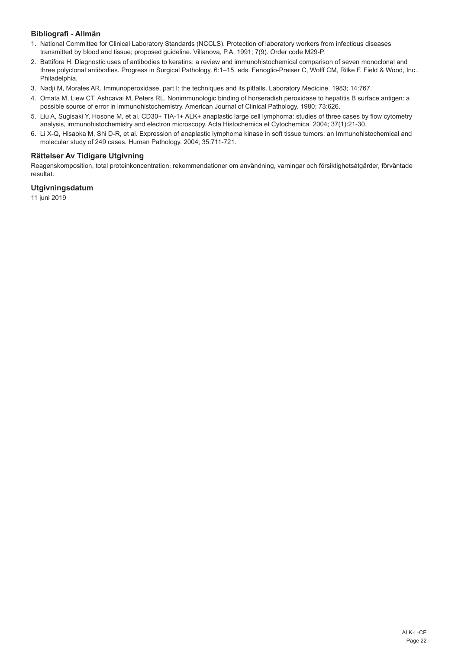# **Bibliografi - Allmän**

- 1. National Committee for Clinical Laboratory Standards (NCCLS). Protection of laboratory workers from infectious diseases transmitted by blood and tissue; proposed guideline. Villanova, P.A. 1991; 7(9). Order code M29-P.
- 2. Battifora H. Diagnostic uses of antibodies to keratins: a review and immunohistochemical comparison of seven monoclonal and three polyclonal antibodies. Progress in Surgical Pathology. 6:1–15. eds. Fenoglio-Preiser C, Wolff CM, Rilke F. Field & Wood, Inc., Philadelphia.
- 3. Nadji M, Morales AR. Immunoperoxidase, part I: the techniques and its pitfalls. Laboratory Medicine. 1983; 14:767.
- 4. Omata M, Liew CT, Ashcavai M, Peters RL. Nonimmunologic binding of horseradish peroxidase to hepatitis B surface antigen: a possible source of error in immunohistochemistry. American Journal of Clinical Pathology. 1980; 73:626.
- 5. Liu A, Sugisaki Y, Hosone M, et al. CD30+ TIA-1+ ALK+ anaplastic large cell lymphoma: studies of three cases by flow cytometry analysis, immunohistochemistry and electron microscopy. Acta Histochemica et Cytochemica. 2004; 37(1):21-30.
- 6. Li X-Q, Hisaoka M, Shi D-R, et al. Expression of anaplastic lymphoma kinase in soft tissue tumors: an Immunohistochemical and molecular study of 249 cases. Human Pathology. 2004; 35:711-721.

# **Rättelser Av Tidigare Utgivning**

Reagenskomposition, total proteinkoncentration, rekommendationer om användning, varningar och försiktighetsåtgärder, förväntade resultat.

# **Utgivningsdatum**

11 juni 2019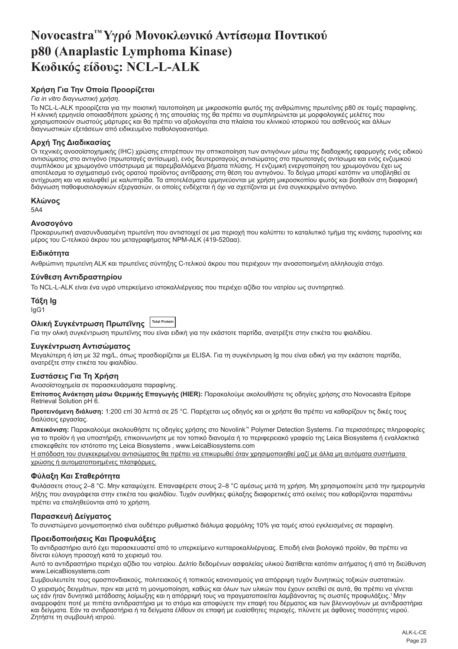# <span id="page-23-0"></span>**Novocastra™ Υγρό Μονοκλωνικό Αντίσωμα Ποντικού p80 (Anaplastic Lymphoma Kinase) Κωδικός είδους: NCL-L-ALK**

# **Χρήση Για Την Οποία Προορίζεται**

#### *Για in vitro διαγνωστική χρήση*.

Το NCL-L-ALK προορίζεται για την ποιοτική ταυτοποίηση με μικροσκοπία φωτός της ανθρώπινης πρωτεϊνης p80 σε τομές παραφίνης. Η κλινική ερμηνεία οποιασδήποτε χρώσης ή της απουσίας της θα πρέπει να συμπληρώνεται με μορφολογικές μελέτες που χρησιμοποιούν σωστούς μάρτυρες και θα πρέπει να αξιολογείται στα πλαίσια του κλινικού ιστορικού του ασθενούς και άλλων διαγνωστικών εξετάσεων από ειδικευμένο παθολογοανατόμο.

# **Αρχή Της Διαδικασίας**

Οι τεχνικές ανοσοϊστοχημικής (IHC) χρώσης επιτρέπουν την οπτικοποίηση των αντιγόνων μέσω της διαδοχικής εφαρμογής ενός ειδικού αντισώματος στο αντιγόνο (πρωτοταγές αντίσωμα), ενός δευτεροταγούς αντισώματος στο πρωτοταγές αντίσωμα και ενός ενζυμικού συμπλόκου με χρωμογόνο υπόστρωμα με παρεμβαλλόμενα βήματα πλύσης. Η ενζυμική ενεργοποίηση του χρωμογόνου έχει ως αποτέλεσμα το σχηματισμό ενός ορατού προϊόντος αντίδρασης στη θέση του αντιγόνου. Το δείγμα μπορεί κατόπιν να υποβληθεί σε αντίχρωση και να καλυφθεί με καλυπτρίδα. Τα αποτελέσματα ερμηνεύονται με χρήση μικροσκοπίου φωτός και βοηθούν στη διαφορική διάγνωση παθοφυσιολογικών εξεργασιών, οι οποίες ενδέχεται ή όχι να σχετίζονται με ένα συγκεκριμένο αντιγόνο.

#### **Κλώνος**

5A4

#### **Ανοσογόνο**

Προκαρυωτική ανασυνδυασμένη πρωτεϊνη που αντιστοιχεί σε μια περιοχή που καλύπτει το καταλυτικό τμήμα της κινάσης τυροσίνης και μέρος του C-τελικού άκρου του μεταγραφήματος NPM-ALK (419-520αα).

#### **Ειδικότητα**

Ανθρώπινη πρωτεϊνη ALK και πρωτεϊνες σύντηξης C-τελικού άκρου που περιέχουν την ανοσοποιημένη αλληλουχία στόχο.

# **Σύνθεση Αντιδραστηρίου**

Το NCL-L-ALK είναι ένα υγρό υπερκείμενο ιστοκαλλιέργειας που περιέχει αζίδιο του νατρίου ως συντηρητικό.

#### **Τάξη Ig** IgG1

**Ολική Συγκέντρωση Πρωτεΐνης Total Protein**

Για την ολική συγκέντρωση πρωτεΐνης που είναι ειδική για την εκάστοτε παρτίδα, ανατρέξτε στην ετικέτα του φιαλιδίου.

#### **Συγκέντρωση Αντισώματος**

Μεγαλύτερη ή ίση με 32 mg/L, όπως προσδιορίζεται με ELISA. Για τη συγκέντρωση Ig που είναι ειδική για την εκάστοτε παρτίδα, ανατρέξτε στην ετικέτα του φιαλιδίου.

#### **Συστάσεις Για Τη Χρήση**

Ανοσοϊστοχημεία σε παρασκευάσματα παραφίνης.

**Επίτοπος Ανάκτηση μέσω Θερμικής Επαγωγής (HIER):** Παρακαλούμε ακολουθήστε τις οδηγίες χρήσης στο Novocastra Epitope Retrieval Solution pH 6.

**Προτεινόμενη διάλυση:** 1:200 επί 30 λεπτά σε 25 °C. Παρέχεται ως οδηγός και οι χρήστε θα πρέπει να καθορίζουν τις δικές τους διαλύσεις εργασίας.

**Απεικόνιση:** Παρακαλούμε ακολουθήστε τις οδηγίες χρήσης στο Novolink™ Polymer Detection Systems. Για περισσότερες πληροφορίες για το προϊόν ή για υποστήριξη, επικοινωνήστε με τον τοπικό διανομέα ή το περιφερειακό γραφείο της Leica Biosystems ή εναλλακτικά επισκεφθείτε τον ιστότοπο της Leica Biosystems , www.LeicaBiosystems.com

Η απόδοση του συγκεκριμένου αντισώματος θα πρέπει να επικυρωθεί όταν χρησιμοποιηθεί μαζί με άλλα μη αυτόματα συστήματα χρώσης ή αυτοματοποιημένες πλατφόρμες.

# **Φύλαξη Και Σταθερότητα**

Φυλάσσετε στους 2–8 °C. Μην καταψύχετε. Επαναφέρετε στους 2–8 °C αμέσως μετά τη χρήση. Μη χρησιμοποιείτε μετά την ημερομηνία λήξης που αναγράφεται στην ετικέτα του φιαλιδίου. Τυχόν συνθήκες φύλαξης διαφορετικές από εκείνες που καθορίζονται παραπάνω πρέπει να επαληθεύονται από το χρήστη.

#### **Παρασκευή Δείγματος**

Το συνιστώμενο μονιμοποιητικό είναι ουδέτερο ρυθμιστικό διάλυμα φορμόλης 10% για τομές ιστού εγκλεισμένες σε παραφίνη.

#### **Προειδοποιήσεις Και Προφυλάξεις**

Το αντιδραστήριο αυτό έχει παρασκευαστεί από το υπερκείμενο κυτταροκαλλιέργειας. Επειδή είναι βιολογικό προϊόν, θα πρέπει να δίνεται εύλογη προσοχή κατά το χειρισμό του.

Αυτό το αντιδραστήριο περιέχει αζίδιο του νατρίου. Δελτίο δεδομένων ασφαλείας υλικού διατίθεται κατόπιν αιτήματος ή από τη διεύθυνση www.LeicaBiosystems.com

Συμβουλευτείτε τους ομοσπονδιακούς, πολιτειακούς ή τοπικούς κανονισμούς για απόρριψη τυχόν δυνητικώς τοξικών συστατικών. Ο χειρισμός δειγμάτων, πριν και μετά τη μονιμοποίηση, καθώς και όλων των υλικών που έχουν εκτεθεί σε αυτά, θα πρέπει να γίνεται ως εάν ήταν δυνητικά μετάδοσης λοίμωξης και η απόρριψή τους να πραγματοποιείται λαμβάνοντας τις σωστές προφυλάξεις.<sup>1</sup>Μην αναρροφάτε ποτέ με πιπέτα αντιδραστήρια με το στόμα και αποφύγετε την επαφή του δέρματος και των βλεννογόνων με αντιδραστήρια και δείγματα. Εάν τα αντιδραστήρια ή τα δείγματα έλθουν σε επαφή με ευαίσθητες περιοχές, πλύνετε με άφθονες ποσότητες νερού. Ζητήστε τη συμβουλή ιατρού.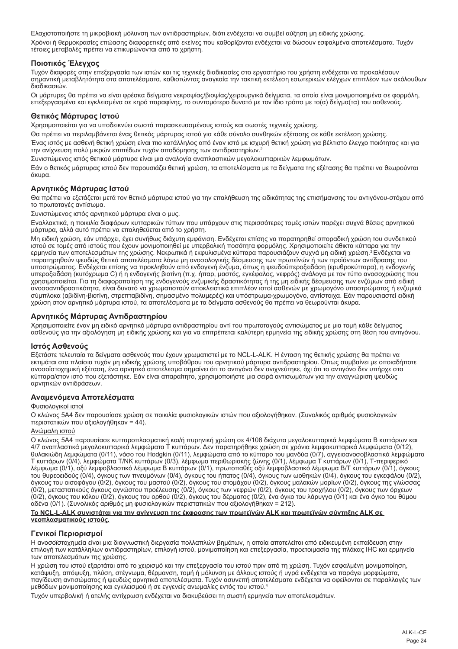Ελαχιστοποιήστε τη μικροβιακή μόλυνση των αντιδραστηρίων, διότι ενδέχεται να συμβεί αύξηση μη ειδικής χρώσης. Χρόνοι ή θερμοκρασίες επώασης διαφορετικές από εκείνες που καθορίζονται ενδέχεται να δώσουν εσφαλμένα αποτελέσματα. Τυχόν τέτοιες μεταβολές πρέπει να επικυρώνονται από το χρήστη.

# **Ποιοτικός Έλεγχος**

Τυχόν διαφορές στην επεξεργασία των ιστών και τις τεχνικές διαδικασίες στο εργαστήριο του χρήστη ενδέχεται να προκαλέσουν σημαντική μεταβλητότητα στα αποτελέσματα, καθιστώντας αναγκαία την τακτική εκτέλεση εσωτερικών ελέγχων επιπλέον των ακόλουθων διαδικασιών.

Οι μάρτυρες θα πρέπει να είναι φρέσκα δείγματα νεκροψίας/βιοψίας/χειρουργικά δείγματα, τα οποία είναι μονιμοποιημένα σε φορμόλη, επεξεργασμένα και εγκλεισμένα σε κηρό παραφίνης, το συντομότερο δυνατό με τον ίδιο τρόπο με το(α) δείγμα(τα) του ασθενούς.

# **Θετικός Μάρτυρας Ιστού**

Χρησιμοποιείται για να υποδεικνύει σωστά παρασκευασμένους ιστούς και σωστές τεχνικές χρώσης.

Θα πρέπει να περιλαμβάνεται ένας θετικός μάρτυρας ιστού για κάθε σύνολο συνθηκών εξέτασης σε κάθε εκτέλεση χρώσης.

Ένας ιστός με ασθενή θετική χρώση είναι πιο κατάλληλος από έναν ιστό με ισχυρή θετική χρώση για βέλτιστο έλεγχο ποιότητας και για την ανίχνευση πολύ μικρών επιπέδων τυχόν αποδόμησης των αντιδραστηρίων.<sup>2</sup>

Συνιστώμενος ιστός θετικού μάρτυρα είναι μια αναλογία αναπλαστικών μεγαλοκυτταρικών λεμφωμάτων.

Εάν ο θετικός μάρτυρας ιστού δεν παρουσιάζει θετική χρώση, τα αποτελέσματα με τα δείγματα της εξέτασης θα πρέπει να θεωρούνται άκυρα.

# **Αρνητικός Μάρτυρας Ιστού**

Θα πρέπει να εξετάζεται μετά τον θετικό μάρτυρα ιστού για την επαλήθευση της ειδικότητας της επισήμανσης του αντιγόνου-στόχου από το πρωτοταγές αντίσωμα.

Συνιστώμενος ιστός αρνητικού μάρτυρα είναι ο μυς.

Εναλλακτικά, η ποικιλία διαφόρων κυτταρικών τύπων που υπάρχουν στις περισσότερες τομές ιστών παρέχει συχνά θέσεις αρνητικού μάρτυρα, αλλά αυτό πρέπει να επαληθεύεται από το χρήστη.

Μη ειδική χρώση, εάν υπάρχει, έχει συνήθως διάχυτη εμφάνιση. Ενδέχεται επίσης να παρατηρηθεί σποραδική χρώση του συνδετικού ιστού σε τομές από ιστούς που έχουν μονιμοποιηθεί με υπερβολική ποσότητα φορμόλης. Χρησιμοποιείτε άθικτα κύτταρα για την<br>ερμηνεία των αποτελεσμάτων της χρώσης. Νεκρωτικά ή εκφυλισμένα κύτταρα παρουσιάζουν συχνά μη ειδική παρατηρηθούν ψευδώς θετικά αποτελέσματα λόγω μη ανοσολογικής δέσμευσης των πρωτεϊνών ή των προϊόντων αντίδρασης του υποστρώματος. Ενδέχεται επίσης να προκληθούν από ενδογενή ένζυμα, όπως η ψευδοϋπεροξειδάση (ερυθροκύτταρα), η ενδογενής<br>υπεροξειδάση (κυτόχρωμα C) ή η ενδογενής βιοτίνη (π.χ. ήπαρ, μαστός, εγκέφαλος, νεφρός) ανάλογα με το χρησιμοποιείται. Για τη διαφοροποίηση της ενδογενούς ενζυμικής δραστικότητας ή της μη ειδικής δέσμευσης των ενζύμων από ειδική ανοσοαντιδραστικότητα, είναι δυνατό να χρωματιστούν αποκλειστικά επιπλέον ιστοί ασθενών με χρωμογόνο υποστρώματος ή ενζυμικά σύμπλοκα (αβιδίνη-βιοτίνη, στρεπταβιδίνη, σημασμένο πολυμερές) και υπόστρωμα-χρωμογόνο, αντίστοιχα. Εάν παρουσιαστεί ειδική χρώση στον αρνητικό μάρτυρα ιστού, τα αποτελέσματα με τα δείγματα ασθενούς θα πρέπει να θεωρούνται άκυρα.

# **Αρνητικός Μάρτυρας Αντιδραστηρίου**

Χρησιμοποιείτε έναν μη ειδικό αρνητικό μάρτυρα αντιδραστηρίου αντί του πρωτοταγούς αντισώματος με μια τομή κάθε δείγματος<br>ασθενούς για την αξιολόγηση μη ειδικής χρώσης και για να επιτρέπεται καλύτερη ερμηνεία της ειδικής

#### **Ιστός Ασθενούς**

Εξετάστε τελευταία τα δείγματα ασθενούς που έχουν χρωματιστεί με το NCL-L-ALK. Η ένταση της θετικής χρώσης θα πρέπει να εκτιμάται στα πλαίσια τυχόν μη ειδικής χρώσης υποβάθρου του αρνητικού μάρτυρα αντιδραστηρίου. Όπως συμβαίνει με οποιαδήποτε ανοσοϊστοχημική εξέταση, ένα αρνητικό αποτέλεσμα σημαίνει ότι το αντιγόνο δεν ανιχνεύτηκε, όχι ότι το αντιγόνο δεν υπήρχε στα κύτταρα/στον ιστό που εξετάστηκε. Εάν είναι απαραίτητο, χρησιμοποιήστε μια σειρά αντισωμάτων για την αναγνώριση ψευδώς αρνητικών αντιδράσεων.

#### **Αναμενόμενα Αποτελέσματα**

#### Φυσιολογικοί ιστοί

Ο κλώνος 5A4 δεν παρουσίασε χρώση σε ποικιλία φυσιολογικών ιστών που αξιολογήθηκαν. (Συνολικός αριθμός φυσιολογικών περιστατικών που αξιολογήθηκαν = 44).

# Ανώμαλη ιστού

Ο κλώνος 5A4 παρουσίασε κυτταροπλασματική και/ή πυρηνική χρώση σε 4/108 διάχυτα μεγαλοκυτταρικά λεμφώματα Β κυττάρων και 4/7 αναπλαστικά μεγαλοκυτταρικά λεμφώματα Τ κυττάρων. Δεν παρατηρήθηκε χρώση σε χρόνια λεμφοκυτταρικά λεμφώματα (0/12), θυλακιώδη λεμφώματα (0/11), νόσο του Hodgkin (0/11), λεμφώματα από το κύτταρο του μανδύα (0/7), αγγειοανοσοβλαστικά λεμφώματα Τ κυττάρων (0/4), λεμφώματα T/NK κυττάρων (0/3), λέμφωμα περιθωριακής ζώνης (0/1), λέμφωμα Τ κυττάρων (0/1), Τ-περιφερικό λέμφωμα (0/1), οξύ λεμφοβλαστικό λέμφωμα Β κυττάρων (0/1), πρωτοπαθές οξύ λεμφοβλαστικό λέμφωμα Β/Τ κυττάρων (0/1), όγκους του θυρεοειδούς (0/4), όγκους των πνευμόνων (0/4), όγκους του ήπατος (0/4), όγκους των ωοθηκών (0/4), όγκους του εγκεφάλου (0/2), όγκους του οισοφάγου (0/2), όγκους του μαστού (0/2), όγκους του στομάχου (0/2), όγκους μαλακών μορίων (0/2), όγκους της γλώσσας (0/2), μεταστατικούς όγκους αγνώστου προέλευσης (0/2), όγκους των νεφρών (0/2), όγκους του τραχήλου (0/2), όγκους των όρχεων (0/2), όγκους του κόλου (0/2), όγκους του ορθού (0/2), όγκους του δέρματος (0/2), ένα όγκο του λάρυγγα (0/1) και ένα όγκο του θύμου αδένα (0/1). (Συνολικός αριθμός μη φυσιολογικών περιστατικών που αξιολογήθηκαν = 212).

#### **Το NCL-L-ALK συνιστάται για την ανίχνευση της έκφρασης των πρωτεϊνών ALK και πρωτεϊνών σύντηξης ALK σε νεοπλασματικούς ιστούς.**

#### **Γενικοί Περιορισμοί**

Η ανοσοϊστοχημεία είναι μια διαγνωστική διεργασία πολλαπλών βημάτων, η οποία αποτελείται από ειδικευμένη εκπαίδευση στην επιλογή των κατάλληλων αντιδραστηρίων, επιλογή ιστού, μονιμοποίηση και επεξεργασία, προετοιμασία της πλάκας IHC και ερμηνεία των αποτελεσμάτων της χρώσης.

Η χρώση του ιστού εξαρτάται από το χειρισμό και την επεξεργασία του ιστού πριν από τη χρώση. Τυχόν εσφαλμένη μονιμοποίηση, κατάψυξη, απόψυξη, πλύση, στέγνωμα, θέρμανση, τομή ή μόλυνση με άλλους ιστούς ή υγρά ενδέχεται να παράγει μορφώματα, παγίδευση αντισώματος ή ψευδώς αρνητικά αποτελέσματα. Τυχόν ασυνεπή αποτελέσματα ενδέχεται να οφείλονται σε παραλλαγές των μεθόδων μονιμοποίησης και εγκλεισμού ή σε εγγενείς ανωμαλίες εντός του ιστού.<sup>4</sup>

Τυχόν υπερβολική ή ατελής αντίχρωση ενδέχεται να διακυβεύσει τη σωστή ερμηνεία των αποτελεσμάτων.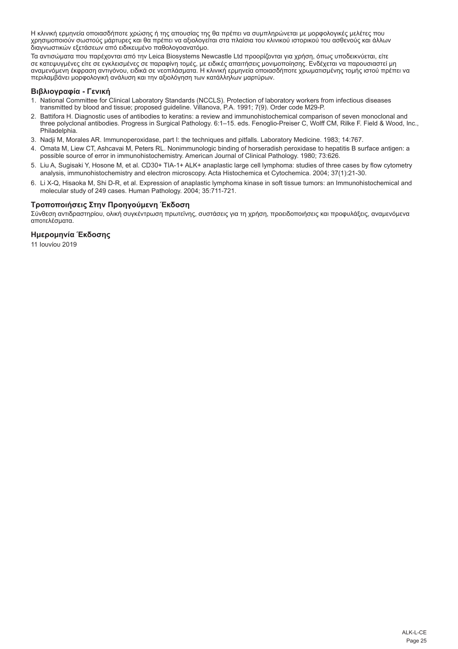Η κλινική ερμηνεία οποιασδήποτε χρώσης ή της απουσίας της θα πρέπει να συμπληρώνεται με μορφολογικές μελέτες που χρησιμοποιούν σωστούς μάρτυρες και θα πρέπει να αξιολογείται στα πλαίσια του κλινικού ιστορικού του ασθενούς και άλλων διαγνωστικών εξετάσεων από ειδικευμένο παθολογοανατόμο.

Τα αντισώματα που παρέχονται από την Leica Biosystems Newcastle Ltd προορίζονται για χρήση, όπως υποδεικνύεται, είτε σε κατεψυγμένες είτε σε εγκλεισμένες σε παραφίνη τομές, με ειδικές απαιτήσεις μονιμοποίησης. Ενδέχεται να παρουσιαστεί μη<br>αναμενόμενη έκφραση αντιγόνου, ειδικά σε νεοπλάσματα. Η κλινική ερμηνεία οποιασδήποτε χρωματισμένης περιλαμβάνει μορφολογική ανάλυση και την αξιολόγηση των κατάλληλων μαρτύρων.

# **Βιβλιογραφία - Γενική**

- 1. National Committee for Clinical Laboratory Standards (NCCLS). Protection of laboratory workers from infectious diseases transmitted by blood and tissue; proposed guideline. Villanova, P.A. 1991; 7(9). Order code M29-P.
- 2. Battifora H. Diagnostic uses of antibodies to keratins: a review and immunohistochemical comparison of seven monoclonal and three polyclonal antibodies. Progress in Surgical Pathology. 6:1–15. eds. Fenoglio-Preiser C, Wolff CM, Rilke F. Field & Wood, Inc., Philadelphia.
- 3. Nadji M, Morales AR. Immunoperoxidase, part I: the techniques and pitfalls. Laboratory Medicine. 1983; 14:767.
- 4. Omata M, Liew CT, Ashcavai M, Peters RL. Nonimmunologic binding of horseradish peroxidase to hepatitis B surface antigen: a possible source of error in immunohistochemistry. American Journal of Clinical Pathology. 1980; 73:626.
- 5. Liu A, Sugisaki Y, Hosone M, et al. CD30+ TIA-1+ ALK+ anaplastic large cell lymphoma: studies of three cases by flow cytometry analysis, immunohistochemistry and electron microscopy. Acta Histochemica et Cytochemica. 2004; 37(1):21-30.
- 6. Li X-Q, Hisaoka M, Shi D-R, et al. Expression of anaplastic lymphoma kinase in soft tissue tumors: an Immunohistochemical and molecular study of 249 cases. Human Pathology. 2004; 35:711-721.

#### **Τροποποιήσεις Στην Προηγούμενη Έκδοση**

Σύνθεση αντιδραστηρίου, ολική συγκέντρωση πρωτεϊνης, συστάσεις για τη χρήση, προειδοποιήσεις και προφυλάξεις, αναμενόμενα αποτελέσματα.

#### **Ημερομηνία Έκδοσης**

11 Ιουνίου 2019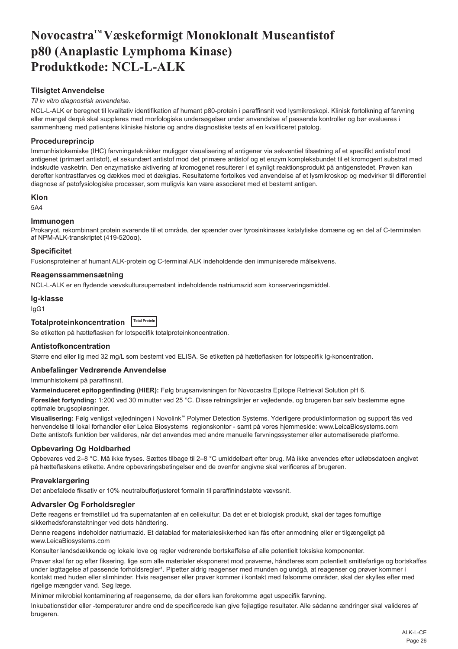# <span id="page-26-0"></span>**Novocastra™ Væskeformigt Monoklonalt Museantistof p80 (Anaplastic Lymphoma Kinase) Produktkode: NCL-L-ALK**

# **Tilsigtet Anvendelse**

#### *Til in vitro diagnostisk anvendelse*.

NCL-L-ALK er beregnet til kvalitativ identifikation af humant p80-protein i paraffinsnit ved lysmikroskopi. Klinisk fortolkning af farvning eller mangel derpå skal suppleres med morfologiske undersøgelser under anvendelse af passende kontroller og bør evalueres i sammenhæng med patientens kliniske historie og andre diagnostiske tests af en kvalificeret patolog.

# **Procedureprincip**

Immunhistokemiske (IHC) farvningsteknikker muliggør visualisering af antigener via sekventiel tilsætning af et specifikt antistof mod antigenet (primært antistof), et sekundært antistof mod det primære antistof og et enzym kompleksbundet til et kromogent substrat med indskudte vasketrin. Den enzymatiske aktivering af kromogenet resulterer i et synligt reaktionsprodukt på antigenstedet. Prøven kan derefter kontrastfarves og dækkes med et dækglas. Resultaterne fortolkes ved anvendelse af et lysmikroskop og medvirker til differentiel diagnose af patofysiologiske processer, som muligvis kan være associeret med et bestemt antigen.

#### **Klon**

5A4

#### **Immunogen**

Prokaryot, rekombinant protein svarende til et område, der spænder over tyrosinkinases katalytiske domæne og en del af C-terminalen af NPM-ALK-transkriptet (419-520αα).

# **Specificitet**

Fusionsproteiner af humant ALK-protein og C-terminal ALK indeholdende den immuniserede målsekvens.

#### **Reagenssammensætning**

NCL-L-ALK er en flydende vævskultursupernatant indeholdende natriumazid som konserveringsmiddel.

#### **Ig-klasse**

IgG1

| Totalproteinkoncentration  Total Protein |  |
|------------------------------------------|--|
|------------------------------------------|--|

Se etiketten på hætteflasken for lotspecifik totalproteinkoncentration.

#### **Antistofkoncentration**

Større end eller lig med 32 mg/L som bestemt ved ELISA. Se etiketten på hætteflasken for lotspecifik Ig-koncentration.

#### **Anbefalinger Vedrørende Anvendelse**

Immunhistokemi på paraffinsnit.

**Varmeinduceret epitopgenfinding (HIER):** Følg brugsanvisningen for Novocastra Epitope Retrieval Solution pH 6.

**Foreslået fortynding:** 1:200 ved 30 minutter ved 25 °C. Disse retningslinjer er vejledende, og brugeren bør selv bestemme egne optimale brugsopløsninger.

**Visualisering:** Følg venligst vejledningen i Novolink™ Polymer Detection Systems. Yderligere produktinformation og support fås ved henvendelse til lokal forhandler eller Leica Biosystems regionskontor - samt på vores hjemmeside: www.LeicaBiosystems.com Dette antistofs funktion bør valideres, når det anvendes med andre manuelle farvningssystemer eller automatiserede platforme.

#### **Opbevaring Og Holdbarhed**

Opbevares ved 2–8 °C. Må ikke fryses. Sættes tilbage til 2–8 °C umiddelbart efter brug. Må ikke anvendes efter udløbsdatoen angivet på hætteflaskens etikette. Andre opbevaringsbetingelser end de ovenfor angivne skal verificeres af brugeren.

#### **Prøveklargøring**

Det anbefalede fiksativ er 10% neutralbufferjusteret formalin til paraffinindstøbte vævssnit.

#### **Advarsler Og Forholdsregler**

Dette reagens er fremstillet ud fra supernatanten af en cellekultur. Da det er et biologisk produkt, skal der tages fornuftige sikkerhedsforanstaltninger ved dets håndtering.

Denne reagens indeholder natriumazid. Et datablad for materialesikkerhed kan fås efter anmodning eller er tilgængeligt på www.LeicaBiosystems.com

Konsulter landsdækkende og lokale love og regler vedrørende bortskaffelse af alle potentielt toksiske komponenter.

Prøver skal før og efter fiksering, lige som alle materialer eksponeret mod prøverne, håndteres som potentielt smittefarlige og bortskaffes under iagttagelse af passende forholdsregler<sup>1</sup>. Pipetter aldrig reagenser med munden og undgå, at reagenser og prøver kommer i kontakt med huden eller slimhinder. Hvis reagenser eller prøver kommer i kontakt med følsomme områder, skal der skylles efter med rigelige mængder vand. Søg læge.

Minimer mikrobiel kontaminering af reagenserne, da der ellers kan forekomme øget uspecifik farvning.

Inkubationstider eller -temperaturer andre end de specificerede kan give fejlagtige resultater. Alle sådanne ændringer skal valideres af brugeren.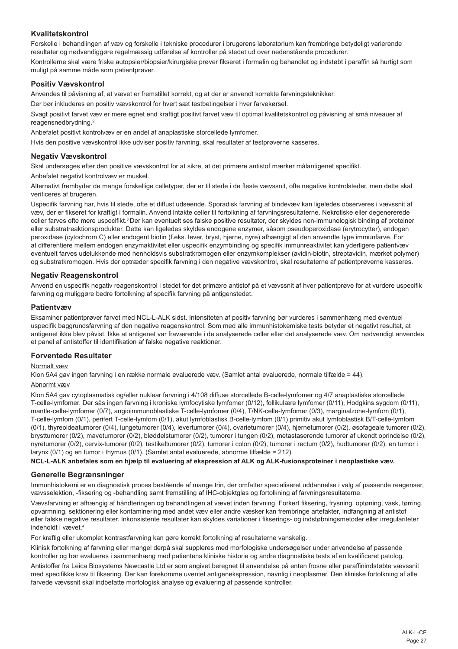# **Kvalitetskontrol**

Forskelle i behandlingen af væv og forskelle i tekniske procedurer i brugerens laboratorium kan frembringe betydeligt varierende resultater og nødvendiggøre regelmæssig udførelse af kontroller på stedet ud over nedenstående procedurer. Kontrollerne skal være friske autopsier/biopsier/kirurgiske prøver fikseret i formalin og behandlet og indstøbt i paraffin så hurtigt som

# **Positiv Vævskontrol**

Anvendes til påvisning af, at vævet er fremstillet korrekt, og at der er anvendt korrekte farvningsteknikker.

Der bør inkluderes en positiv vævskontrol for hvert sæt testbetingelser i hver farvekørsel.

Svagt positivt farvet væv er mere egnet end kraftigt positivt farvet væv til optimal kvalitetskontrol og påvisning af små niveauer af reagensnedbrydning.<sup>2</sup>

Anbefalet positivt kontrolvæv er en andel af anaplastiske storcellede lymfomer.

Hvis den positive vævskontrol ikke udviser positiv farvning, skal resultater af testprøverne kasseres.

# **Negativ Vævskontrol**

Skal undersøges efter den positive vævskontrol for at sikre, at det primære antistof mærker målantigenet specifikt.

Anbefalet negativt kontrolvæv er muskel.

muligt på samme måde som patientprøver.

Alternativt frembyder de mange forskellige celletyper, der er til stede i de fleste vævssnit, ofte negative kontrolsteder, men dette skal verificeres af brugeren.

Uspecifik farvning har, hvis til stede, ofte et diffust udseende. Sporadisk farvning af bindevæv kan ligeledes observeres i vævssnit af væv, der er fikseret for kraftigt i formalin. Anvend intakte celler til fortolkning af farvningsresultaterne. Nekrotiske eller degenererede celler farves ofte mere uspecifikt.<sup>3</sup>Der kan eventuelt ses falske positive resultater, der skyldes non-immunologisk binding af proteiner eller substratreaktionsprodukter. Dette kan ligeledes skyldes endogene enzymer, såsom pseudoperoxidase (erytrocytter), endogen peroxidase (cytochrom C) eller endogent biotin (f.eks. lever, bryst, hjerne, nyre) afhængigt af den anvendte type immunfarve. For at differentiere mellem endogen enzymaktivitet eller uspecifik enzymbinding og specifik immunreaktivitet kan yderligere patientvæv eventuelt farves udelukkende med henholdsvis substratkromogen eller enzymkomplekser (avidin-biotin, streptavidin, mærket polymer) og substratkromogen. Hvis der optræder specifik farvning i den negative vævskontrol, skal resultaterne af patientprøverne kasseres.

# **Negativ Reagenskontrol**

Anvend en uspecifik negativ reagenskontrol i stedet for det primære antistof på et vævssnit af hver patientprøve for at vurdere uspecifik farvning og muliggøre bedre fortolkning af specifik farvning på antigenstedet.

#### **Patientvæv**

Eksaminer patientprøver farvet med NCL-L-ALK sidst. Intensiteten af positiv farvning bør vurderes i sammenhæng med eventuel uspecifik baggrundsfarvning af den negative reagenskontrol. Som med alle immunhistokemiske tests betyder et negativt resultat, at antigenet ikke blev påvist. Ikke at antigenet var fraværende i de analyserede celler eller det analyserede væv. Om nødvendigt anvendes et panel af antistoffer til identifikation af falske negative reaktioner.

#### **Forventede Resultater**

#### Normalt væv

Klon 5A4 gav ingen farvning i en række normale evaluerede væv. (Samlet antal evaluerede, normale tilfælde = 44).

#### Abnormt væv

Klon 5A4 gav cytoplasmatisk og/eller nuklear farvning i 4/108 diffuse storcellede B-celle-lymfomer og 4/7 anaplastiske storcellede T-celle-lymfomer. Der sås ingen farvning i kroniske lymfocytiske lymfomer (0/12), follikulære lymfomer (0/11), Hodgkins sygdom (0/11), mantle-celle-lymfomer (0/7), angioimmunoblastiske T-celle-lymfomer (0/4), T/NK-celle-lymfomer (0/3), marginalzone-lymfom (0/1), T-celle-lymfom (0/1), perifert T-celle-lymfom (0/1), akut lymfoblastisk B-celle-lymfom (0/1) primitiv akut lymfoblastisk B/T-celle-lymfom (0/1), thyreoideatumorer (0/4), lungetumorer (0/4), levertumorer (0/4), ovarietumorer (0/4), hjernetumorer (0/2), øsofageale tumorer (0/2), brysttumorer (0/2), mavetumorer (0/2), bløddelstumorer (0/2), tumorer i tungen (0/2), metastaserende tumorer af ukendt oprindelse (0/2), nyretumorer (0/2), cervix-tumorer (0/2), testikeltumorer (0/2), tumorer i colon (0/2), tumorer i rectum (0/2), hudtumorer (0/2), en tumor i larynx (0/1) og en tumor i thymus (0/1). (Samlet antal evaluerede, abnorme tilfælde = 212).

**NCL-L-ALK anbefales som en hjælp til evaluering af ekspression af ALK og ALK-fusionsproteiner i neoplastiske væv.**

# **Generelle Begrænsninger**

Immunhistokemi er en diagnostisk proces bestående af mange trin, der omfatter specialiseret uddannelse i valg af passende reagenser, vævsselektion, -fiksering og -behandling samt fremstilling af IHC-objektglas og fortolkning af farvningsresultaterne.

Vævsfarvning er afhængig af håndteringen og behandlingen af vævet inden farvning. Forkert fiksering, frysning, optøning, vask, tørring, opvarmning, sektionering eller kontaminering med andet væv eller andre væsker kan frembringe artefakter, indfangning af antistof eller falske negative resultater. Inkonsistente resultater kan skyldes variationer i fikserings- og indstøbningsmetoder eller irregulariteter indeholdt i vævet.<sup>4</sup>

For kraftig eller ukomplet kontrastfarvning kan gøre korrekt fortolkning af resultaterne vanskelig.

Klinisk fortolkning af farvning eller mangel derpå skal suppleres med morfologiske undersøgelser under anvendelse af passende kontroller og bør evalueres i sammenhæng med patientens kliniske historie og andre diagnostiske tests af en kvalificeret patolog. Antistoffer fra Leica Biosystems Newcastle Ltd er som angivet beregnet til anvendelse på enten frosne eller paraffinindstøbte vævssnit med specifikke krav til fiksering. Der kan forekomme uventet antigenekspression, navnlig i neoplasmer. Den kliniske fortolkning af alle farvede vævssnit skal indbefatte morfologisk analyse og evaluering af passende kontroller.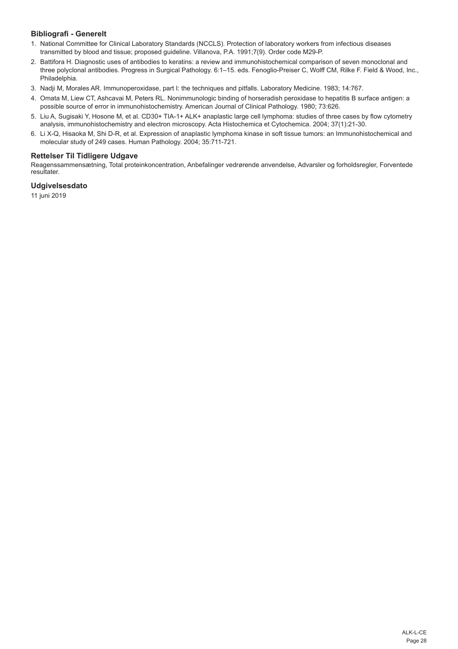# **Bibliografi - Generelt**

- 1. National Committee for Clinical Laboratory Standards (NCCLS). Protection of laboratory workers from infectious diseases transmitted by blood and tissue; proposed guideline. Villanova, P.A. 1991;7(9). Order code M29-P.
- 2. Battifora H. Diagnostic uses of antibodies to keratins: a review and immunohistochemical comparison of seven monoclonal and three polyclonal antibodies. Progress in Surgical Pathology. 6:1–15. eds. Fenoglio-Preiser C, Wolff CM, Rilke F. Field & Wood, Inc., Philadelphia.
- 3. Nadji M, Morales AR. Immunoperoxidase, part I: the techniques and pitfalls. Laboratory Medicine. 1983; 14:767.
- 4. Omata M, Liew CT, Ashcavai M, Peters RL. Nonimmunologic binding of horseradish peroxidase to hepatitis B surface antigen: a possible source of error in immunohistochemistry. American Journal of Clinical Pathology. 1980; 73:626.
- 5. Liu A, Sugisaki Y, Hosone M, et al. CD30+ TIA-1+ ALK+ anaplastic large cell lymphoma: studies of three cases by flow cytometry analysis, immunohistochemistry and electron microscopy. Acta Histochemica et Cytochemica. 2004; 37(1):21-30.
- 6. Li X-Q, Hisaoka M, Shi D-R, et al. Expression of anaplastic lymphoma kinase in soft tissue tumors: an Immunohistochemical and molecular study of 249 cases. Human Pathology. 2004; 35:711-721.

# **Rettelser Til Tidligere Udgave**

Reagenssammensætning, Total proteinkoncentration, Anbefalinger vedrørende anvendelse, Advarsler og forholdsregler, Forventede resultater.

# **Udgivelsesdato**

11 juni 2019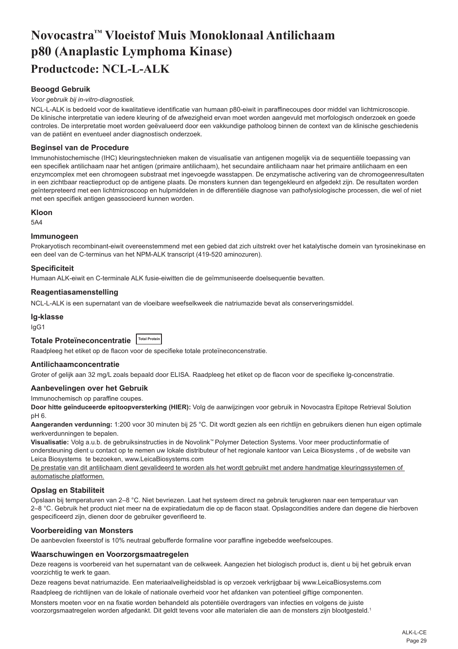# <span id="page-29-0"></span>**Novocastra™ Vloeistof Muis Monoklonaal Antilichaam p80 (Anaplastic Lymphoma Kinase) Productcode: NCL-L-ALK**

# **Beoogd Gebruik**

#### *Voor gebruik bij in-vitro-diagnostiek.*

NCL-L-ALK is bedoeld voor de kwalitatieve identificatie van humaan p80-eiwit in paraffinecoupes door middel van lichtmicroscopie. De klinische interpretatie van iedere kleuring of de afwezigheid ervan moet worden aangevuld met morfologisch onderzoek en goede controles. De interpretatie moet worden geëvalueerd door een vakkundige patholoog binnen de context van de klinische geschiedenis van de patiënt en eventueel ander diagnostisch onderzoek.

# **Beginsel van de Procedure**

Immunohistochemische (IHC) kleuringstechnieken maken de visualisatie van antigenen mogelijk via de sequentiële toepassing van een specifiek antilichaam naar het antigen (primaire antilichaam), het secundaire antilichaam naar het primaire antilichaam en een enzymcomplex met een chromogeen substraat met ingevoegde wasstappen. De enzymatische activering van de chromogeenresultaten in een zichtbaar reactieproduct op de antigene plaats. De monsters kunnen dan tegengekleurd en afgedekt zijn. De resultaten worden geïnterpreteerd met een lichtmicroscoop en hulpmiddelen in de differentiële diagnose van pathofysiologische processen, die wel of niet met een specifiek antigen geassocieerd kunnen worden.

#### **Kloon**

5A4

#### **Immunogeen**

Prokaryotisch recombinant-eiwit overeenstemmend met een gebied dat zich uitstrekt over het katalytische domein van tyrosinekinase en een deel van de C-terminus van het NPM-ALK transcript (419-520 aminozuren).

#### **Specificiteit**

Humaan ALK-eiwit en C-terminale ALK fusie-eiwitten die de geïmmuniseerde doelsequentie bevatten.

# **Reagentiasamenstelling**

NCL-L-ALK is een supernatant van de vloeibare weefselkweek die natriumazide bevat als conserveringsmiddel.

#### **Ig-klasse**

IgG1

# **Totale Proteïneconcentratie Total Protein**

Raadpleeg het etiket op de flacon voor de specifieke totale proteïneconcenstratie.

# **Antilichaamconcentratie**

Groter of gelijk aan 32 mg/L zoals bepaald door ELISA. Raadpleeg het etiket op de flacon voor de specifieke lg-concenstratie.

#### **Aanbevelingen over het Gebruik**

Immunochemisch op paraffine coupes.

**Door hitte geïnduceerde epitoopversterking (HIER):** Volg de aanwijzingen voor gebruik in Novocastra Epitope Retrieval Solution pH 6.

Aangeranden verdunning: 1:200 voor 30 minuten bij 25 °C. Dit wordt gezien als een richtlijn en gebruikers dienen hun eigen optimale werkverdunningen te bepalen.

**Visualisatie:** Volg a.u.b. de gebruiksinstructies in de Novolink™ Polymer Detection Systems. Voor meer productinformatie of ondersteuning dient u contact op te nemen uw lokale distributeur of het regionale kantoor van Leica Biosystems , of de website van Leica Biosystems te bezoeken, www.LeicaBiosystems.com

De prestatie van dit antilichaam dient gevalideerd te worden als het wordt gebruikt met andere handmatige kleuringssystemen of automatische platformen.

#### **Opslag en Stabiliteit**

Opslaan bij temperaturen van 2–8 °C. Niet bevriezen. Laat het systeem direct na gebruik terugkeren naar een temperatuur van 2–8 °C. Gebruik het product niet meer na de expiratiedatum die op de flacon staat. Opslagcondities andere dan degene die hierboven gespecificeerd zijn, dienen door de gebruiker geverifieerd te.

#### **Voorbereiding van Monsters**

De aanbevolen fixeerstof is 10% neutraal gebufferde formaline voor paraffine ingebedde weefselcoupes.

#### **Waarschuwingen en Voorzorgsmaatregelen**

Deze reagens is voorbereid van het supernatant van de celkweek. Aangezien het biologisch product is, dient u bij het gebruik ervan voorzichtig te werk te gaan.

Deze reagens bevat natriumazide. Een materiaalveiligheidsblad is op verzoek verkrijgbaar bij www.LeicaBiosystems.com

Raadpleeg de richtlijnen van de lokale of nationale overheid voor het afdanken van potentieel giftige componenten. Monsters moeten voor en na fixatie worden behandeld als potentiële overdragers van infecties en volgens de juiste voorzorgsmaatregelen worden afgedankt. Dit geldt tevens voor alle materialen die aan de monsters zijn blootgesteld.<sup>1</sup>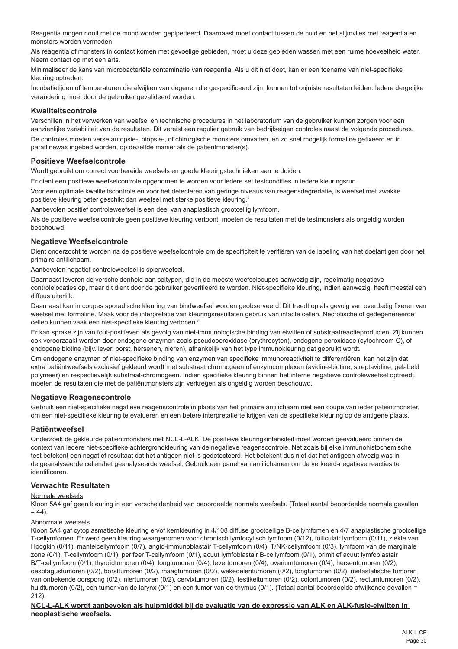Reagentia mogen nooit met de mond worden gepipetteerd. Daarnaast moet contact tussen de huid en het slijmvlies met reagentia en monsters worden vermeden.

Als reagentia of monsters in contact komen met gevoelige gebieden, moet u deze gebieden wassen met een ruime hoeveelheid water. Neem contact op met een arts.

Minimaliseer de kans van microbacteriële contaminatie van reagentia. Als u dit niet doet, kan er een toename van niet-specifieke kleuring optreden.

Incubatietijden of temperaturen die afwijken van degenen die gespecificeerd zijn, kunnen tot onjuiste resultaten leiden. Iedere dergelijke verandering moet door de gebruiker gevalideerd worden.

# **Kwaliteitscontrole**

Verschillen in het verwerken van weefsel en technische procedures in het laboratorium van de gebruiker kunnen zorgen voor een aanzienlijke variabiliteit van de resultaten. Dit vereist een regulier gebruik van bedrijfseigen controles naast de volgende procedures. De controles moeten verse autopsie-, biopsie-, of chirurgische monsters omvatten, en zo snel mogelijk formaline gefixeerd en in paraffinewax ingebed worden, op dezelfde manier als de patiëntmonster(s).

#### **Positieve Weefselcontrole**

Wordt gebruikt om correct voorbereide weefsels en goede kleuringstechnieken aan te duiden.

Er dient een positieve weefselcontrole opgenomen te worden voor iedere set testcondities in iedere kleuringsrun.

Voor een optimale kwaliteitscontrole en voor het detecteren van geringe niveaus van reagensdegredatie, is weefsel met zwakke positieve kleuring beter geschikt dan weefsel met sterke positieve kleuring.<sup>2</sup>

Aanbevolen positief controleweefsel is een deel van anaplastisch grootcellig lymfoom.

Als de positieve weefselcontrole geen positieve kleuring vertoont, moeten de resultaten met de testmonsters als ongeldig worden beschouwd.

#### **Negatieve Weefselcontrole**

Dient onderzocht te worden na de positieve weefselcontrole om de specificiteit te verifiëren van de labeling van het doelantigen door het primaire antilichaam.

Aanbevolen negatief controleweefsel is spierweefsel.

Daarnaast leveren de verscheidenheid aan celtypen, die in de meeste weefselcoupes aanwezig zijn, regelmatig negatieve controlelocaties op, maar dit dient door de gebruiker geverifieerd te worden. Niet-specifieke kleuring, indien aanwezig, heeft meestal een diffuus uiterlijk.

Daarnaast kan in coupes sporadische kleuring van bindweefsel worden geobserveerd. Dit treedt op als gevolg van overdadig fixeren van weefsel met formaline. Maak voor de interpretatie van kleuringsresultaten gebruik van intacte cellen. Necrotische of gedegenereerde cellen kunnen vaak een niet-specifieke kleuring vertonen.<sup>3</sup>

Er kan sprake zijn van fout-positieven als gevolg van niet-immunologische binding van eiwitten of substraatreactieproducten. Zij kunnen ook veroorzaakt worden door endogene enzymen zoals pseudoperoxidase (erythrocyten), endogene peroxidase (cytochroom C), of endogene biotine (bijv. lever, borst, hersenen, nieren), afhankelijk van het type immunokleuring dat gebruikt wordt.

Om endogene enzymen of niet-specifieke binding van enzymen van specifieke immunoreactiviteit te differentiëren, kan het zijn dat extra patiëntweefsels exclusief gekleurd wordt met substraat chromogeen of enzymcomplexen (avidine-biotine, streptavidine, gelabeld polymeer) en respectievelijk substraat-chromogeen. Indien specifieke kleuring binnen het interne negatieve controleweefsel optreedt, moeten de resultaten die met de patiëntmonsters zijn verkregen als ongeldig worden beschouwd.

#### **Negatieve Reagenscontrole**

Gebruik een niet-specifieke negatieve reagenscontrole in plaats van het primaire antilichaam met een coupe van ieder patiëntmonster, om een niet-specifieke kleuring te evalueren en een betere interpretatie te krijgen van de specifieke kleuring op de antigene plaats.

#### **Patiëntweefsel**

Onderzoek de gekleurde patiëntmonsters met NCL-L-ALK. De positieve kleuringsintensiteit moet worden geëvalueerd binnen de context van iedere niet-specifieke achtergrondkleuring van de negatieve reagenscontrole. Net zoals bij elke immunohistochemische test betekent een negatief resultaat dat het antigeen niet is gedetecteerd. Het betekent dus niet dat het antigeen afwezig was in de geanalyseerde cellen/het geanalyseerde weefsel. Gebruik een panel van antilichamen om de verkeerd-negatieve reacties te identificeren.

# **Verwachte Resultaten**

#### Normale weefsels

Kloon 5A4 gaf geen kleuring in een verscheidenheid van beoordeelde normale weefsels. (Totaal aantal beoordeelde normale gevallen  $= 44$ ).

#### Abnormale weefsels

Kloon 5A4 gaf cytoplasmatische kleuring en/of kernkleuring in 4/108 diffuse grootcellige B-cellymfomen en 4/7 anaplastische grootcellige T-cellymfomen. Er werd geen kleuring waargenomen voor chronisch lymfocytisch lymfoom (0/12), folliculair lymfoom (0/11), ziekte van Hodgkin (0/11), mantelcellymfoom (0/7), angio-immunoblastair T-cellymfoom (0/4), T/NK-cellymfoom (0/3), lymfoom van de marginale zone (0/1), T-cellymfoom (0/1), perifeer T-cellymfoom (0/1), acuut lymfoblastair B-cellymfoom (0/1), primitief acuut lymfoblastair B/T-cellymfoom (0/1), thyroïdtumoren (0/4), longtumoren (0/4), levertumoren (0/4), ovariumtumoren (0/4), hersentumoren (0/2), oesofagustumoren (0/2), borsttumoren (0/2), maagtumoren (0/2), wekedelentumoren (0/2), tongtumoren (0/2), metastatische tumoren van onbekende oorspong (0/2), niertumoren (0/2), cervixtumoren (0/2), testikeltumoren (0/2), colontumoren (0/2), rectumtumoren (0/2), huidtumoren (0/2), een tumor van de larynx (0/1) en een tumor van de thymus (0/1). (Totaal aantal beoordeelde afwijkende gevallen = 212).

#### **NCL-L-ALK wordt aanbevolen als hulpmiddel bij de evaluatie van de expressie van ALK en ALK-fusie-eiwitten in neoplastische weefsels.**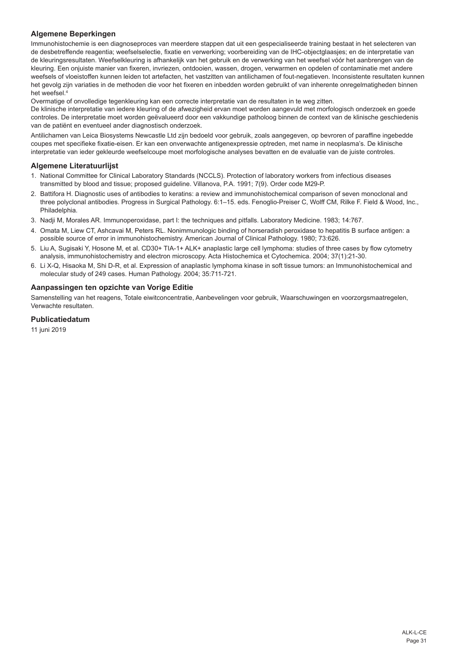# **Algemene Beperkingen**

Immunohistochemie is een diagnoseproces van meerdere stappen dat uit een gespecialiseerde training bestaat in het selecteren van de desbetreffende reagentia; weefselselectie, fixatie en verwerking; voorbereiding van de IHC-objectglaasjes; en de interpretatie van de kleuringsresultaten. Weefselkleuring is afhankelijk van het gebruik en de verwerking van het weefsel vóór het aanbrengen van de kleuring. Een onjuiste manier van fixeren, invriezen, ontdooien, wassen, drogen, verwarmen en opdelen of contaminatie met andere weefsels of vloeistoffen kunnen leiden tot artefacten, het vastzitten van antilichamen of fout-negatieven. Inconsistente resultaten kunnen het gevolg zijn variaties in de methoden die voor het fixeren en inbedden worden gebruikt of van inherente onregelmatigheden binnen het weefsel.<sup>4</sup>

Overmatige of onvolledige tegenkleuring kan een correcte interpretatie van de resultaten in te weg zitten.

De klinische interpretatie van iedere kleuring of de afwezigheid ervan moet worden aangevuld met morfologisch onderzoek en goede controles. De interpretatie moet worden geëvalueerd door een vakkundige patholoog binnen de context van de klinische geschiedenis van de patiënt en eventueel ander diagnostisch onderzoek.

Antilichamen van Leica Biosystems Newcastle Ltd zijn bedoeld voor gebruik, zoals aangegeven, op bevroren of paraffine ingebedde coupes met specifieke fixatie-eisen. Er kan een onverwachte antigenexpressie optreden, met name in neoplasma's. De klinische interpretatie van ieder gekleurde weefselcoupe moet morfologische analyses bevatten en de evaluatie van de juiste controles.

## **Algemene Literatuurlijst**

- 1. National Committee for Clinical Laboratory Standards (NCCLS). Protection of laboratory workers from infectious diseases transmitted by blood and tissue; proposed guideline. Villanova, P.A. 1991; 7(9). Order code M29-P.
- 2. Battifora H. Diagnostic uses of antibodies to keratins: a review and immunohistochemical comparison of seven monoclonal and three polyclonal antibodies. Progress in Surgical Pathology. 6:1–15. eds. Fenoglio-Preiser C, Wolff CM, Rilke F. Field & Wood, Inc., **Philadelphia**
- 3. Nadji M, Morales AR. Immunoperoxidase, part I: the techniques and pitfalls. Laboratory Medicine. 1983; 14:767.
- 4. Omata M, Liew CT, Ashcavai M, Peters RL. Nonimmunologic binding of horseradish peroxidase to hepatitis B surface antigen: a possible source of error in immunohistochemistry. American Journal of Clinical Pathology. 1980; 73:626.
- 5. Liu A, Sugisaki Y, Hosone M, et al. CD30+ TIA-1+ ALK+ anaplastic large cell lymphoma: studies of three cases by flow cytometry analysis, immunohistochemistry and electron microscopy. Acta Histochemica et Cytochemica. 2004; 37(1):21-30.
- 6. Li X-Q, Hisaoka M, Shi D-R, et al. Expression of anaplastic lymphoma kinase in soft tissue tumors: an Immunohistochemical and molecular study of 249 cases. Human Pathology. 2004; 35:711-721.

# **Aanpassingen ten opzichte van Vorige Editie**

Samenstelling van het reagens, Totale eiwitconcentratie, Aanbevelingen voor gebruik, Waarschuwingen en voorzorgsmaatregelen, Verwachte resultaten.

# **Publicatiedatum**

11 juni 2019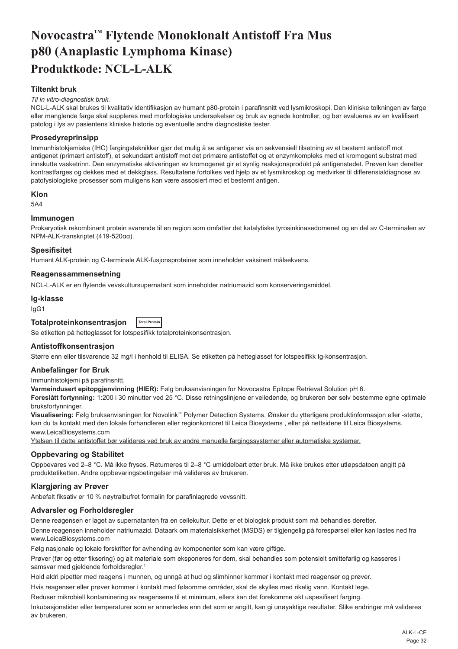# <span id="page-32-0"></span>**Novocastra™ Flytende Monoklonalt Antistoff Fra Mus p80 (Anaplastic Lymphoma Kinase) Produktkode: NCL-L-ALK**

# **Tiltenkt bruk**

#### *Til in vitro-diagnostisk bruk.*

NCL-L-ALK skal brukes til kvalitativ identifikasjon av humant p80-protein i parafinsnitt ved lysmikroskopi. Den kliniske tolkningen av farge eller manglende farge skal suppleres med morfologiske undersøkelser og bruk av egnede kontroller, og bør evalueres av en kvalifisert patolog i lys av pasientens kliniske historie og eventuelle andre diagnostiske tester.

#### **Prosedyreprinsipp**

Immunhistokjemiske (IHC) fargingsteknikker gjør det mulig å se antigener via en sekvensiell tilsetning av et bestemt antistoff mot antigenet (primært antistoff), et sekundært antistoff mot det primære antistoffet og et enzymkompleks med et kromogent substrat med innskutte vasketrinn. Den enzymatiske aktiveringen av kromogenet gir et synlig reaksjonsprodukt på antigenstedet. Prøven kan deretter kontrastfarges og dekkes med et dekkglass. Resultatene fortolkes ved hjelp av et lysmikroskop og medvirker til differensialdiagnose av patofysiologiske prosesser som muligens kan være assosiert med et bestemt antigen.

#### **Klon**

5A4

#### **Immunogen**

Prokaryotisk rekombinant protein svarende til en region som omfatter det katalytiske tyrosinkinasedomenet og en del av C-terminalen av NPM-ALK-transkriptet (419-520αα).

#### **Spesifisitet**

Humant ALK-protein og C-terminale ALK-fusjonsproteiner som inneholder vaksinert målsekvens.

#### **Reagenssammensetning**

NCL-L-ALK er en flytende vevskultursupernatant som inneholder natriumazid som konserveringsmiddel.

# **Ig-klasse**

IgG1

#### **Totalproteinkonsentrasjon Total Protein**

Se etiketten på hetteglasset for lotspesifikk totalproteinkonsentrasjon.

#### **Antistoffkonsentrasjon**

Større enn eller tilsvarende 32 mg/l i henhold til ELISA. Se etiketten på hetteglasset for lotspesifikk Ig-konsentrasjon.

#### **Anbefalinger for Bruk**

Immunhistokjemi på parafinsnitt.

**Varmeindusert epitopgjenvinning (HIER):** Følg bruksanvisningen for Novocastra Epitope Retrieval Solution pH 6.

**Foreslått fortynning:** 1:200 i 30 minutter ved 25 °C. Disse retningslinjene er veiledende, og brukeren bør selv bestemme egne optimale bruksfortynninger.

**Visualisering:** Følg bruksanvisningen for Novolink™ Polymer Detection Systems. Ønsker du ytterligere produktinformasjon eller -støtte, kan du ta kontakt med den lokale forhandleren eller regionkontoret til Leica Biosystems , eller på nettsidene til Leica Biosystems, www.LeicaBiosystems.com

Ytelsen til dette antistoffet bør valideres ved bruk av andre manuelle fargingssystemer eller automatiske systemer.

# **Oppbevaring og Stabilitet**

Oppbevares ved 2–8 °C. Må ikke fryses. Returneres til 2–8 °C umiddelbart etter bruk. Må ikke brukes etter utløpsdatoen angitt på produktetiketten. Andre oppbevaringsbetingelser må valideres av brukeren.

#### **Klargjøring av Prøver**

Anbefalt fiksativ er 10 % nøytralbufret formalin for parafinlagrede vevssnitt.

#### **Advarsler og Forholdsregler**

Denne reagensen er laget av supernatanten fra en cellekultur. Dette er et biologisk produkt som må behandles deretter.

Denne reagensen inneholder natriumazid. Dataark om materialsikkerhet (MSDS) er tilgjengelig på forespørsel eller kan lastes ned fra www.LeicaBiosystems.com

Følg nasjonale og lokale forskrifter for avhending av komponenter som kan være giftige.

Prøver (før og etter fiksering) og alt materiale som eksponeres for dem, skal behandles som potensielt smittefarlig og kasseres i samsvar med gjeldende forholdsregler.<sup>1</sup>

Hold aldri pipetter med reagens i munnen, og unngå at hud og slimhinner kommer i kontakt med reagenser og prøver.

Hvis reagenser eller prøver kommer i kontakt med følsomme områder, skal de skylles med rikelig vann. Kontakt lege.

Reduser mikrobiell kontaminering av reagensene til et minimum, ellers kan det forekomme økt uspesifisert farging.

Inkubasjonstider eller temperaturer som er annerledes enn det som er angitt, kan gi unøyaktige resultater. Slike endringer må valideres av brukeren.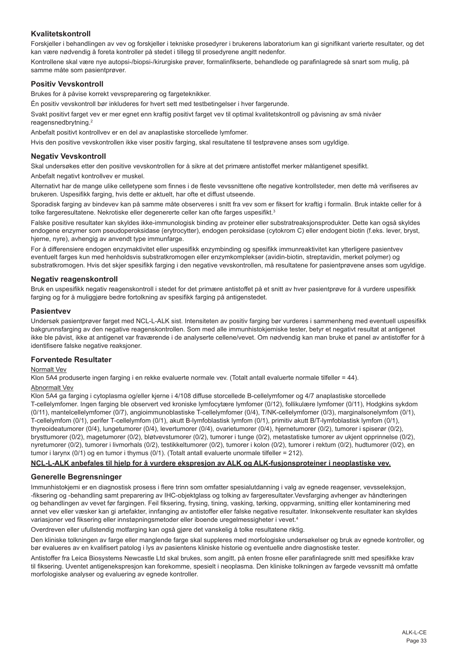# **Kvalitetskontroll**

Forskjeller i behandlingen av vev og forskjeller i tekniske prosedyrer i brukerens laboratorium kan gi signifikant varierte resultater, og det kan være nødvendig å foreta kontroller på stedet i tillegg til prosedyrene angitt nedenfor.

Kontrollene skal være nye autopsi-/biopsi-/kirurgiske prøver, formalinfikserte, behandlede og parafinlagrede så snart som mulig, på samme måte som pasientprøver.

#### **Positiv Vevskontroll**

Brukes for å påvise korrekt vevspreparering og fargeteknikker.

Én positiv vevskontroll bør inkluderes for hvert sett med testbetingelser i hver fargerunde.

Svakt positivt farget vev er mer egnet enn kraftig positivt farget vev til optimal kvalitetskontroll og påvisning av små nivåer reagensnedbrytning.<sup>2</sup>

Anbefalt positivt kontrollvev er en del av anaplastiske storcellede lymfomer.

Hvis den positive vevskontrollen ikke viser positiv farging, skal resultatene til testprøvene anses som ugyldige.

#### **Negativ Vevskontroll**

Skal undersøkes etter den positive vevskontrollen for å sikre at det primære antistoffet merker målantigenet spesifikt.

Anbefalt negativt kontrollvev er muskel.

Alternativt har de mange ulike celletypene som finnes i de fleste vevssnittene ofte negative kontrollsteder, men dette må verifiseres av brukeren. Uspesifikk farging, hvis dette er aktuelt, har ofte et diffust utseende.

Sporadisk farging av bindevev kan på samme måte observeres i snitt fra vev som er fiksert for kraftig i formalin. Bruk intakte celler for å tolke fargeresultatene. Nekrotiske eller degenererte celler kan ofte farges uspesifikt.<sup>3</sup>

Falske positive resultater kan skyldes ikke-immunologisk binding av proteiner eller substratreaksjonsprodukter. Dette kan også skyldes endogene enzymer som pseudoperoksidase (erytrocytter), endogen peroksidase (cytokrom C) eller endogent biotin (f.eks. lever, bryst, hjerne, nyre), avhengig av anvendt type immunfarge.

For å differensiere endogen enzymaktivitet eller uspesifikk enzymbinding og spesifikk immunreaktivitet kan ytterligere pasientvev eventuelt farges kun med henholdsvis substratkromogen eller enzymkomplekser (avidin-biotin, streptavidin, merket polymer) og substratkromogen. Hvis det skjer spesifikk farging i den negative vevskontrollen, må resultatene for pasientprøvene anses som ugyldige.

#### **Negativ reagenskontroll**

Bruk en uspesifikk negativ reagenskontroll i stedet for det primære antistoffet på et snitt av hver pasientprøve for å vurdere uspesifikk farging og for å muliggjøre bedre fortolkning av spesifikk farging på antigenstedet.

#### **Pasientvev**

Undersøk pasientprøver farget med NCL-L-ALK sist. Intensiteten av positiv farging bør vurderes i sammenheng med eventuell uspesifikk bakgrunnsfarging av den negative reagenskontrollen. Som med alle immunhistokjemiske tester, betyr et negativt resultat at antigenet ikke ble påvist, ikke at antigenet var fraværende i de analyserte cellene/vevet. Om nødvendig kan man bruke et panel av antistoffer for å identifisere falske negative reaksjoner.

#### **Forventede Resultater**

#### Normalt Vev

Klon 5A4 produserte ingen farging i en rekke evaluerte normale vev. (Totalt antall evaluerte normale tilfeller = 44).

# Abnormalt Vev

Klon 5A4 ga farging i cytoplasma og/eller kjerne i 4/108 diffuse storcellede B-cellelymfomer og 4/7 anaplastiske storcellede T-cellelymfomer. Ingen farging ble observert ved kroniske lymfocytære lymfomer (0/12), follikulære lymfomer (0/11), Hodgkins sykdom (0/11), mantelcellelymfomer (0/7), angioimmunoblastiske T-cellelymfomer (0/4), T/NK-cellelymfomer (0/3), marginalsonelymfom (0/1), T-cellelymfom (0/1), perifer T-cellelymfom (0/1), akutt B-lymfoblastisk lymfom (0/1), primitiv akutt B/T-lymfoblastisk lymfom (0/1), thyreoideatumorer (0/4), lungetumorer (0/4), levertumorer (0/4), ovarietumorer (0/4), hjernetumorer (0/2), tumorer i spiserør (0/2), brysttumorer (0/2), magetumorer (0/2), bløtvevstumorer (0/2), tumorer i tunge (0/2), metastatiske tumorer av ukjent opprinnelse (0/2), nyretumorer (0/2), tumorer i livmorhals (0/2), testikkeltumorer (0/2), tumorer i kolon (0/2), tumorer i rektum (0/2), hudtumorer (0/2), en tumor i larynx (0/1) og en tumor i thymus (0/1). (Totalt antall evaluerte unormale tilfeller = 212).

#### **NCL-L-ALK anbefales til hjelp for å vurdere ekspresjon av ALK og ALK-fusjonsproteiner i neoplastiske vev.**

#### **Generelle Begrensninger**

Immunhistokjemi er en diagnostisk prosess i flere trinn som omfatter spesialutdanning i valg av egnede reagenser, vevsseleksjon, -fiksering og -behandling samt preparering av IHC-objektglass og tolking av fargeresultater.Vevsfarging avhenger av håndteringen og behandlingen av vevet før fargingen. Feil fiksering, frysing, tining, vasking, tørking, oppvarming, snitting eller kontaminering med annet vev eller væsker kan gi artefakter, innfanging av antistoffer eller falske negative resultater. Inkonsekvente resultater kan skyldes variasjoner ved fiksering eller innstøpningsmetoder eller iboende uregelmessigheter i vevet.<sup>4</sup>

Overdreven eller ufullstendig motfarging kan også gjøre det vanskelig å tolke resultatene riktig.

Den kliniske tolkningen av farge eller manglende farge skal suppleres med morfologiske undersøkelser og bruk av egnede kontroller, og bør evalueres av en kvalifisert patolog i lys av pasientens kliniske historie og eventuelle andre diagnostiske tester.

Antistoffer fra Leica Biosystems Newcastle Ltd skal brukes, som angitt, på enten frosne eller parafinlagrede snitt med spesifikke krav til fiksering. Uventet antigenekspresjon kan forekomme, spesielt i neoplasma. Den kliniske tolkningen av fargede vevssnitt må omfatte morfologiske analyser og evaluering av egnede kontroller.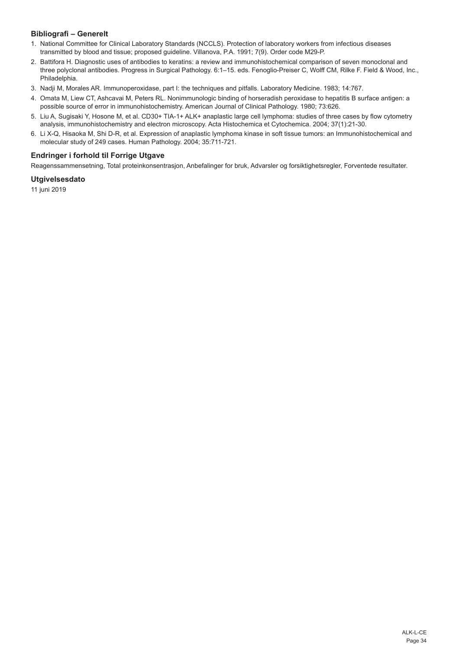# **Bibliografi – Generelt**

- 1. National Committee for Clinical Laboratory Standards (NCCLS). Protection of laboratory workers from infectious diseases transmitted by blood and tissue; proposed guideline. Villanova, P.A. 1991; 7(9). Order code M29-P.
- 2. Battifora H. Diagnostic uses of antibodies to keratins: a review and immunohistochemical comparison of seven monoclonal and three polyclonal antibodies. Progress in Surgical Pathology. 6:1–15. eds. Fenoglio-Preiser C, Wolff CM, Rilke F. Field & Wood, Inc., Philadelphia.
- 3. Nadji M, Morales AR. Immunoperoxidase, part I: the techniques and pitfalls. Laboratory Medicine. 1983; 14:767.
- 4. Omata M, Liew CT, Ashcavai M, Peters RL. Nonimmunologic binding of horseradish peroxidase to hepatitis B surface antigen: a possible source of error in immunohistochemistry. American Journal of Clinical Pathology. 1980; 73:626.
- 5. Liu A, Sugisaki Y, Hosone M, et al. CD30+ TIA-1+ ALK+ anaplastic large cell lymphoma: studies of three cases by flow cytometry analysis, immunohistochemistry and electron microscopy. Acta Histochemica et Cytochemica. 2004; 37(1):21-30.
- 6. Li X-Q, Hisaoka M, Shi D-R, et al. Expression of anaplastic lymphoma kinase in soft tissue tumors: an Immunohistochemical and molecular study of 249 cases. Human Pathology. 2004; 35:711-721.

# **Endringer i forhold til Forrige Utgave**

Reagenssammensetning, Total proteinkonsentrasjon, Anbefalinger for bruk, Advarsler og forsiktighetsregler, Forventede resultater.

# **Utgivelsesdato**

11 juni 2019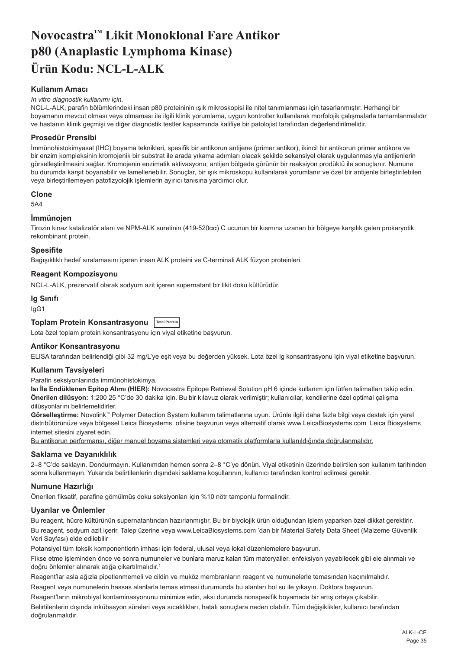# <span id="page-35-0"></span>**Novocastra™ Likit Monoklonal Fare Antikor p80 (Anaplastic Lymphoma Kinase) Ürün Kodu: NCL-L-ALK**

# **Kullanım Amacı**

#### *In vitro diagnostik kullanımı için.*

NCL-L-ALK, parafin bölümlerindeki insan p80 proteininin ışık mikroskopisi ile nitel tanımlanması için tasarlanmıştır. Herhangi bir boyamanın mevcut olması veya olmaması ile ilgili klinik yorumlama, uygun kontroller kullanılarak morfolojik çalışmalarla tamamlanmalıdır ve hastanın klinik geçmişi ve diğer diagnostik testler kapsamında kalifiye bir patolojist tarafından değerlendirilmelidir.

#### **Prosedür Prensibi**

İmmünohistokimyasal (IHC) boyama teknikleri, spesifik bir antikorun antijene (primer antikor), ikincil bir antikorun primer antikora ve bir enzim kompleksinin kromojenik bir substrat ile arada yıkama adımları olacak şekilde sekansiyel olarak uygulanmasıyla antijenlerin görselleştirilmesini sağlar. Kromojenin enzimatik aktivasyonu, antijen bölgede görünür bir reaksiyon prodüktü ile sonuçlanır. Numune bu durumda karşıt boyanabilir ve lamellenebilir. Sonuçlar, bir ışık mikroskopu kullanılarak yorumlanır ve özel bir antijenle birleştirilebilen veya birleştirilemeyen patofizyolojik işlemlerin ayırıcı tanısına yardımcı olur.

#### **Clone**

5A4

#### **İmmünojen**

Tirozin kinaz katalizatör alanı ve NPM-ALK suretinin (419-520αα) C ucunun bir kısmına uzanan bir bölgeye karşılık gelen prokaryotik rekombinant protein.

#### **Spesifite**

Bağışıklıklı hedef sıralamasını içeren insan ALK proteini ve C-terminali ALK füzyon proteinleri.

#### **Reagent Kompozisyonu**

NCL-L-ALK, prezervatif olarak sodyum azit içeren supernatant bir likit doku kültürüdür.

# **Ig Sınıfı**

IgG1

# **Toplam Protein Konsantrasyonu Total Protein**

Lota özel toplam protein konsantrasyonu için viyal etiketine başvurun.

#### **Antikor Konsantrasyonu**

ELISA tarafından belirlendiği gibi 32 mg/L'ye eşit veya bu değerden yüksek. Lota özel lg konsantrasyonu için viyal etiketine başvurun.

#### **Kullanım Tavsiyeleri**

Parafin seksiyonlarında immünohistokimya.

**Isı İle Endüklenen Epitop Alımı (HIER):** Novocastra Epitope Retrieval Solution pH 6 içinde kullanım için lütfen talimatları takip edin. **Önerilen dilüsyon:** 1:200 25 °C'de 30 dakika için. Bu bir kılavuz olarak verilmiştir; kullanıcılar, kendilerine özel optimal çalışma dilüsyonlarını belirlemelidirler.

**Görselleştirme:** Novolink™ Polymer Detection System kullanım talimatlarına uyun. Ürünle ilgili daha fazla bilgi veya destek için yerel distribütörünüze veya bölgesel Leica Biosystems ofisine başvurun veya alternatif olarak www.LeicaBiosystems.com Leica Biosystems internet sitesini ziyaret edin.

Bu antikorun performansı, diğer manuel boyama sistemleri veya otomatik platformlarla kullanıldığında doğrulanmalıdır.

#### **Saklama ve Dayanıklılık**

2–8 °C'de saklayın. Dondurmayın. Kullanımdan hemen sonra 2–8 °C'ye dönün. Viyal etiketinin üzerinde belirtilen son kullanım tarihinden sonra kullanmayın. Yukarıda belirtilenlerin dışındaki saklama koşullarının, kullanıcı tarafından kontrol edilmesi gerekir.

#### **Numune Hazırlığı**

Önerilen fiksatif, parafine gömülmüş doku seksiyonları için %10 nötr tamponlu formalindir.

# **Uyarılar ve Önlemler**

Bu reagent, hücre kültürünün supernatantından hazırlanmıştır. Bu bir biyolojik ürün olduğundan işlem yaparken özel dikkat gerektirir. Bu reagent, sodyum azit içerir. Talep üzerine veya www.LeicaBiosystems.com 'dan bir Material Safety Data Sheet (Malzeme Güvenlik Veri Sayfası) elde edilebilir

Potansiyel tüm toksik komponentlerin imhası için federal, ulusal veya lokal düzenlemelere başvurun.

Fikse etme işleminden önce ve sonra numuneler ve bunlara maruz kalan tüm materyaller, enfeksiyon yayabilecek gibi ele alınmalı ve doğru önlemler alınarak atığa çıkartılmalıdır.<sup>1</sup>

Reagent'lar asla ağızla pipetlenmemeli ve cildin ve muköz membranların reagent ve numunelerle temasından kaçınılmalıdır.

Reagent veya numunelerin hassas alanlarla temas etmesi durumunda bu alanları bol su ile yıkayın. Doktora başvurun.

Reagent'ların mikrobiyal kontaminasyonunu minimize edin, aksi durumda nonspesifik boyamada bir artış ortaya çıkabilir.

Belirtilenlerin dışında inkübasyon süreleri veya sıcaklıkları, hatalı sonuçlara neden olabilir. Tüm değişiklikler, kullanıcı tarafından doğrulanmalıdır.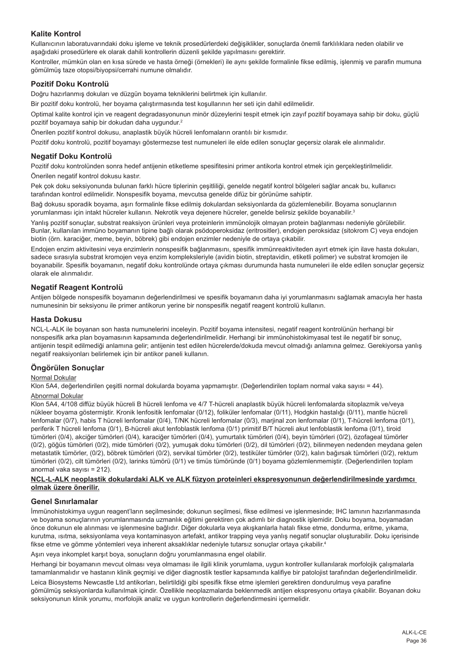# **Kalite Kontrol**

Kullanıcının laboratuvarındaki doku işleme ve teknik prosedürlerdeki değişiklikler, sonuçlarda önemli farklılıklara neden olabilir ve aşağıdaki prosedürlere ek olarak dahili kontrollerin düzenli şekilde yapılmasını gerektirir.

Kontroller, mümkün olan en kısa sürede ve hasta örneği (örnekleri) ile aynı şekilde formalinle fikse edilmiş, işlenmiş ve parafin mumuna gömülmüş taze otopsi/biyopsi/cerrahi numune olmalıdır.

#### **Pozitif Doku Kontrolü**

Doğru hazırlanmış dokuları ve düzgün boyama tekniklerini belirtmek için kullanılır.

Bir pozitif doku kontrolü, her boyama çalıştırmasında test koşullarının her seti için dahil edilmelidir.

Optimal kalite kontrol için ve reagent degradasyonunun minör düzeylerini tespit etmek için zayıf pozitif boyamaya sahip bir doku, güçlü pozitif boyamaya sahip bir dokudan daha uygundur.<sup>2</sup>

Önerilen pozitif kontrol dokusu, anaplastik büyük hücreli lenfomaların orantılı bir kısmıdır.

Pozitif doku kontrolü, pozitif boyamayı göstermezse test numuneleri ile elde edilen sonuçlar geçersiz olarak ele alınmalıdır.

#### **Negatif Doku Kontrolü**

Pozitif doku kontrolünden sonra hedef antijenin etiketleme spesifitesini primer antikorla kontrol etmek için gerçekleştirilmelidir. Önerilen negatif kontrol dokusu kastır.

Pek çok doku seksiyonunda bulunan farklı hücre tiplerinin çeşitliliği, genelde negatif kontrol bölgeleri sağlar ancak bu, kullanıcı tarafından kontrol edilmelidir. Nonspesifik boyama, mevcutsa genelde difüz bir görünüme sahiptir.

Bağ dokusu sporadik boyama, aşırı formalinle fikse edilmiş dokulardan seksiyonlarda da gözlemlenebilir. Boyama sonuçlarının yorumlanması için intakt hücreler kullanın. Nekrotik veya dejenere hücreler, genelde belirsiz şekilde boyanabilir.<sup>3</sup>

Yanlış pozitif sonuçlar, substrat reaksiyon ürünleri veya proteinlerin immünolojik olmayan protein bağlanması nedeniyle görülebilir. Bunlar, kullanılan immüno boyamanın tipine bağlı olarak psödoperoksidaz (eritrositler), endojen peroksidaz (sitokrom C) veya endojen biotin (örn. karaciğer, meme, beyin, böbrek) gibi endojen enzimler nedeniyle de ortaya çıkabilir.

Endojen enzim aktivitesini veya enzimlerin nonspesifik bağlanmasını, spesifik immünreaktiviteden ayırt etmek için ilave hasta dokuları, sadece sırasıyla substrat kromojen veya enzim kompleksleriyle (avidin biotin, streptavidin, etiketli polimer) ve substrat kromojen ile boyanabilir. Spesifik boyamanın, negatif doku kontrolünde ortaya çıkması durumunda hasta numuneleri ile elde edilen sonuçlar geçersiz olarak ele alınmalıdır.

#### **Negatif Reagent Kontrolü**

Antijen bölgede nonspesifik boyamanın değerlendirilmesi ve spesifik boyamanın daha iyi yorumlanmasını sağlamak amacıyla her hasta numunesinin bir seksiyonu ile primer antikorun yerine bir nonspesifik negatif reagent kontrolü kullanın.

#### **Hasta Dokusu**

NCL-L-ALK ile boyanan son hasta numunelerini inceleyin. Pozitif boyama intensitesi, negatif reagent kontrolünün herhangi bir nonspesifik arka plan boyamasının kapsamında değerlendirilmelidir. Herhangi bir immünohistokimyasal test ile negatif bir sonuç, antijenin tespit edilmediği anlamına gelir; antijenin test edilen hücrelerde/dokuda mevcut olmadığı anlamına gelmez. Gerekiyorsa yanlış negatif reaksiyonları belirlemek için bir antikor paneli kullanın.

#### **Öngörülen Sonuçlar**

#### Normal Dokular

Klon 5A4, değerlendirilen çeşitli normal dokularda boyama yapmamıştır. (Değerlendirilen toplam normal vaka sayısı = 44).

#### Abnormal Dokular

Klon 5A4, 4/108 diffüz büyük hücreli B hücreli lenfoma ve 4/7 T-hücreli anaplastik büyük hücreli lenfomalarda sitoplazmik ve/veya nükleer boyama göstermiştir. Kronik lenfositik lenfomalar (0/12), foliküler lenfomalar (0/11), Hodgkin hastalığı (0/11), mantle hücreli lenfomalar (0/7), habis T hücreli lenfomalar (0/4), T/NK hücreli lenfomalar (0/3), marjinal zon lenfomalar (0/1), T-hücreli lenfoma (0/1), periferik T hücreli lenfoma (0/1), B-hücreli akut lenfoblastik lenfoma (0/1) primitif B/T hücreli akut lenfoblastik lenfoma (0/1), tiroid tümörleri (0/4), akciğer tümörleri (0/4), karaciğer tümörleri (0/4), yumurtalık tümörleri (0/4), beyin tümörleri (0/2), özofageal tümörler (0/2), göğüs tümörleri (0/2), mide tümörleri (0/2), yumuşak doku tümörleri (0/2), dil tümörleri (0/2), bilinmeyen nedenden meydana gelen metastatik tümörler, (0/2), böbrek tümörleri (0/2), servikal tümörler (0/2), testiküler tümörler (0/2), kalın bağırsak tümörleri (0/2), rektum tümörleri (0/2), cilt tümörleri (0/2), larinks tümörü (0/1) ve timüs tümöründe (0/1) boyama gözlemlenmemiştir. (Değerlendirilen toplam anormal vaka sayısı = 212).

#### **NCL-L-ALK neoplastik dokulardaki ALK ve ALK füzyon proteinleri ekspresyonunun değerlendirilmesinde yardımcı olmak üzere önerilir.**

#### **Genel Sınırlamalar**

İmmünohistokimya uygun reagent'ların seçilmesinde; dokunun seçilmesi, fikse edilmesi ve işlenmesinde; IHC lamının hazırlanmasında ve boyama sonuçlarının yorumlanmasında uzmanlık eğitimi gerektiren çok adımlı bir diagnostik işlemidir. Doku boyama, boyamadan önce dokunun ele alınması ve işlenmesine bağlıdır. Diğer dokularla veya akışkanlarla hatalı fikse etme, dondurma, eritme, yıkama, kurutma, ısıtma, seksiyonlama veya kontaminasyon artefakt, antikor trapping veya yanlış negatif sonuçlar oluşturabilir. Doku içerisinde fikse etme ve gömme yöntemleri veya inherent aksaklıklar nedeniyle tutarsız sonuçlar ortaya çıkabilir. 4

Aşırı veya inkomplet karşıt boya, sonuçların doğru yorumlanmasına engel olabilir.

Herhangi bir boyamanın mevcut olması veya olmaması ile ilgili klinik yorumlama, uygun kontroller kullanılarak morfolojik çalışmalarla tamamlanmalıdır ve hastanın klinik geçmişi ve diğer diagnostik testler kapsamında kalifiye bir patolojist tarafından değerlendirilmelidir.

Leica Biosystems Newcastle Ltd antikorları, belirtildiği gibi spesifik fikse etme işlemleri gerektiren dondurulmuş veya parafine gömülmüş seksiyonlarda kullanılmak içindir. Özellikle neoplazmalarda beklenmedik antijen ekspresyonu ortaya çıkabilir. Boyanan doku seksiyonunun klinik yorumu, morfolojik analiz ve uygun kontrollerin değerlendirmesini içermelidir.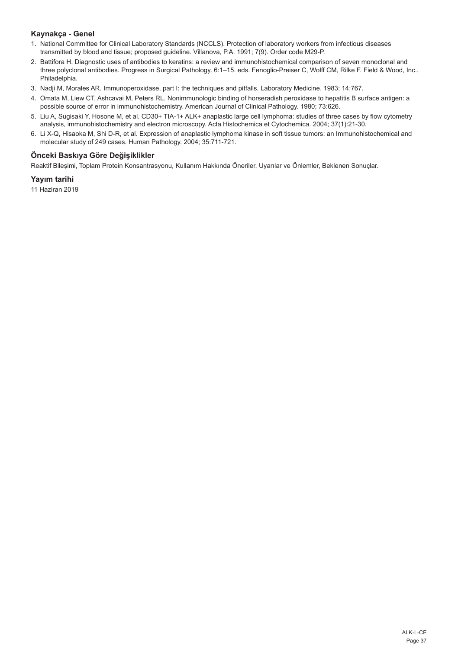# **Kaynakça - Genel**

- 1. National Committee for Clinical Laboratory Standards (NCCLS). Protection of laboratory workers from infectious diseases transmitted by blood and tissue; proposed guideline. Villanova, P.A. 1991; 7(9). Order code M29-P.
- 2. Battifora H. Diagnostic uses of antibodies to keratins: a review and immunohistochemical comparison of seven monoclonal and three polyclonal antibodies. Progress in Surgical Pathology. 6:1–15. eds. Fenoglio-Preiser C, Wolff CM, Rilke F. Field & Wood, Inc., Philadelphia.
- 3. Nadji M, Morales AR. Immunoperoxidase, part I: the techniques and pitfalls. Laboratory Medicine. 1983; 14:767.
- 4. Omata M, Liew CT, Ashcavai M, Peters RL. Nonimmunologic binding of horseradish peroxidase to hepatitis B surface antigen: a possible source of error in immunohistochemistry. American Journal of Clinical Pathology. 1980; 73:626.
- 5. Liu A, Sugisaki Y, Hosone M, et al. CD30+ TIA-1+ ALK+ anaplastic large cell lymphoma: studies of three cases by flow cytometry analysis, immunohistochemistry and electron microscopy. Acta Histochemica et Cytochemica. 2004; 37(1):21-30.
- 6. Li X-Q, Hisaoka M, Shi D-R, et al. Expression of anaplastic lymphoma kinase in soft tissue tumors: an Immunohistochemical and molecular study of 249 cases. Human Pathology. 2004; 35:711-721.

# **Önceki Baskıya Göre Değişiklikler**

Reaktif Bileşimi, Toplam Protein Konsantrasyonu, Kullanım Hakkında Öneriler, Uyarılar ve Önlemler, Beklenen Sonuçlar.

#### **Yayım tarihi**

11 Haziran 2019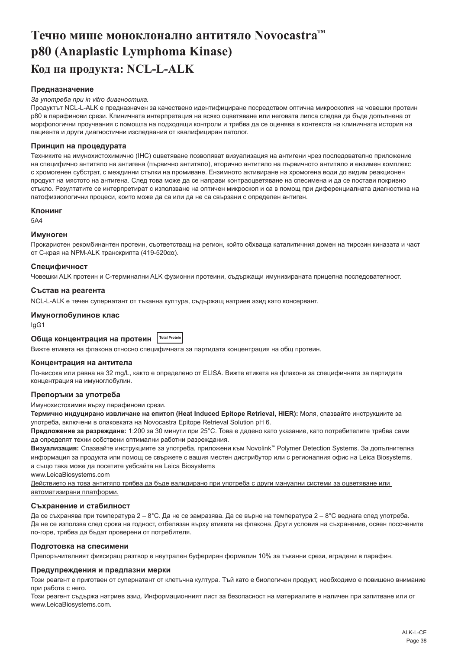# <span id="page-38-0"></span>**Течно мише моноклонално антитяло Novocastra™ p80 (Anaplastic Lymphoma Kinase) Код на продукта: NCL-L-ALK**

#### **Предназначение**

#### *За употреба при in vitro диагностика.*

Продуктът NCL-L-ALK е предназначен за качествено идентифициране посредством оптична микроскопия на човешки протеин p80 в парафинови срези. Клиничната интерпретация на всяко оцветяване или неговата липса следва да бъде допълнена от морфологични проучвания с помощта на подходящи контроли и трябва да се оценява в контекста на клиничната история на пациента и други диагностични изследвания от квалифициран патолог.

#### **Принцип на процедурата**

Техниките на имунохистохимично (IHC) оцветяване позволяват визуализация на антигени чрез последователно приложение на специфично антитяло на антигена (първично антитяло), вторично антитяло на първичното антитяло и ензимен комплекс с хромогенен субстрат, с междинни стъпки на промиване. Ензимното активиране на хромогена води до видим реакционен продукт на мястото на антигена. След това може да се направи контраоцветяване на спесимена и да се постави покривно стъкло. Резултатите се интерпретират с използване на оптичен микроскоп и са в помощ при диференциалната диагностика на патофизиологични процеси, които може да са или да не са свързани с определен антиген.

#### **Клонинг**

5A4

#### **Имуноген**

Прокариотен рекомбинантен протеин, съответстващ на регион, който обхваща каталитичния домен на тирозин киназата и част от C-края на NPM-ALK транскрипта (419-520αα).

#### **Специфичност**

Човешки ALK протеин и C-терминални ALK фузионни протеини, съдържащи имунизираната прицелна последователност.

#### **Състав на реагента**

NCL-L-ALK е течен супернатант от тъканна култура, съдържащ натриев азид като консервант.

#### **Имуноглобулинов клас**

IgG1

# **Обща концентрация на протеин Total Protein**

Вижте етикета на флакона относно специфичната за партидата концентрация на общ протеин.

#### **Концентрация на антитела**

По-висока или равна на 32 mg/L, както е определено от ELISA. Вижте етикета на флакона за специфичната за партидата концентрация на имуноглобулин.

#### **Препоръки за употреба**

Имунохистохимия върху парафинови срези.

**Термично индуцирано извличане на епитоп (Heat Induced Epitope Retrieval, HIER):** Моля, спазвайте инструкциите за употреба, включени в опаковката на Novocastra Epitope Retrieval Solution pH 6.

**Предложение за разреждане:** 1:200 за 30 минути при 25°C. Това е дадено като указание, като потребителите трябва сами да определят техни собствени оптимални работни разреждания.

**Визуализация:** Спазвайте инструкциите за употреба, приложени към Novolink™ Polymer Detection Systems. За допълнителна информация за продукта или помощ се свържете с вашия местен дистрибутор или с регионалния офис на Leica Biosystems, а също така може да посетите уебсайта на Leica Biosystems

www.LeicaBiosystems.com

Действието на това антитяло трябва да бъде валидирано при употреба с други мануални системи за оцветяване или автоматизирани платформи.

#### **Съхранение и стабилност**

Да се съхранява при температура 2 – 8°С. Да не се замразява. Да се върне на температура 2 – 8°С веднага след употреба. Да не се използва след срока на годност, отбелязан върху етикета на флакона. Други условия на съхранение, освен посочените по-горе, трябва да бъдат проверени от потребителя.

#### **Подготовка на спесимени**

Препоръчителният фиксиращ разтвор е неутрален буфериран формалин 10% за тъканни срези, вградени в парафин.

#### **Предупреждения и предпазни мерки**

Този реагент е приготвен от супернатант от клетъчна култура. Тъй като е биологичен продукт, необходимо е повишено внимание при работа с него.

Този реагент съдържа натриев азид. Информационният лист за безопасност на материалите е наличен при запитване или от www.LeicaBiosystems.com.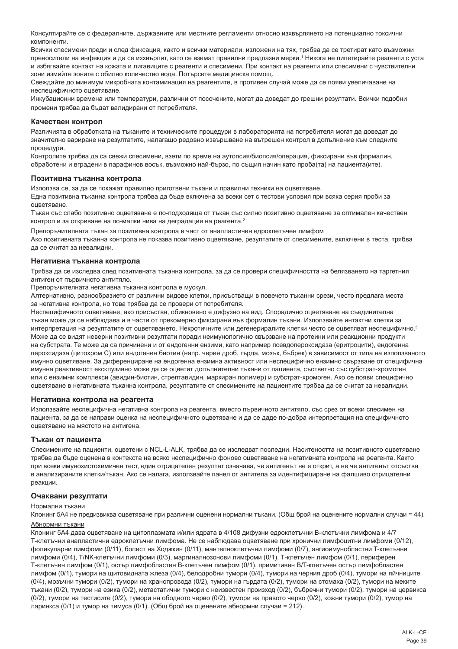Консултирайте се с федералните, държавните или местните регламенти относно изхвърлянето на потенциално токсични компоненти.

Всички спесимени преди и след фиксация, както и всички материали, изложени на тях, трябва да се третират като възможни преносители на инфекция и да се изхвърлят, като се вземат правилни предпазни мерки.' Никога не пипетирайте реагенти с уста и избягвайте контакт на кожата и лигавиците с реагенти и спесимени. При контакт на реагенти или спесимени с чувствителни зони измийте зоните с обилно количество вода. Потърсете медицинска помощ.

Свеждайте до минимум микробната контаминация на реагентите, в противен случай може да се появи увеличаване на неспецифичното оцветяване.

Инкубационни времена или температури, различни от посочените, могат да доведат до грешни резултати. Всички подобни промени трябва да бъдат валидирани от потребителя.

#### **Качествен контрол**

Различията в обработката на тъканите и техническите процедури в лабораторията на потребителя могат да доведат до значително вариране на резултатите, налагащо редовно извършване на вътрешен контрол в допълнение към следните процедури.

Контролите трябва да са свежи спесимени, взети по време на аутопсия/биопсия/операция, фиксирани във формалин, обработени и вградени в парафинов восък, възможно най-бързо, по същия начин като проба(та) на пациента(ите).

#### **Позитивна тъканна контрола**

Използва се, за да се покажат правилно приготвени тъкани и правилни техники на оцветяване.

Една позитивна тъканна контрола трябва да бъде включена за всеки сет с тестови условия при всяка серия проби за оцветяване.

Тъкан със слабо позитивно оцветяване е по-подходяща от тъкан със силно позитивно оцветяване за оптимален качествен контрол и за откриване на по-малки нива на деградация на реагента.<sup>2</sup>

Препоръчителната тъкан за позитивна контрола е част от анапластичен едроклетъчен лимфом Ако позитивната тъканна контрола не показва позитивно оцветяване, резултатите от спесимените, включени в теста, трябва да се считат за невалидни.

#### **Негативна тъканна контрола**

Трябва да се изследва след позитивната тъканна контрола, за да се провери специфичността на белязването на таргетния антиген от първичното антитяло.

Препоръчителната негативна тъканна контрола е мускул.

Алтернативно, разнообразието от различни видове клетки, присъстващи в повечето тъканни срези, често предлага места за негативна контрола, но това трябва да се провери от потребителя.

Неспецифичното оцветяване, ако присъства, обикновено е дифузно на вид. Спорадично оцветяване на съединителна тъкан може да се наблюдава и в части от прекомерно фиксирани във формалин тъкани. Използвайте интактни клетки за интерпретация на резултатите от оцветяването. Некротичните или дегенериралите клетки често се оцветяват неспецифично.<sup>3</sup> Може да се видят неверни позитивни резултати поради неимунологично свързване на протеини или реакционни продукти на субстрата. Те може да са причинени и от ендогенни ензими, като например псевдопероксидаза (еритроцити), ендогенна пероксидаза (цитохром C) или ендогенен биотин (напр. черен дроб, гърда, мозък, бъбрек) в зависимост от типа на използваното имунно оцветяване. За диференциране на ендогенна ензимна активност или неспецифично ензимно свързване от специфична имунна реактивност ексклузивно може да се оцветят допълнителни тъкани от пациента, съответно със субстрат-хромоген или с ензимни комплекси (авидин-биотин, стрептавидин, маркиран полимер) и субстрат-хромоген. Ако се появи специфично оцветяване в негативната тъканна контрола, резултатите от спесимените на пациентите трябва да се считат за невалидни.

#### **Негативна контрола на реагента**

Използвайте неспецифична негативна контрола на реагента, вместо първичното антитяло, със срез от всеки спесимен на пациента, за да се направи оценка на неспецифичното оцветяване и да се даде по-добра интерпретация на специфичното оцветяване на мястото на антигена.

#### **Тъкан от пациента**

Спесимените на пациенти, оцветени с NCL-L-ALK, трябва да се изследват последни. Наситеността на позитивното оцветяване трябва да бъде оценена в контекста на всяко неспецифично фоново оцветяване на негативната контрола на реагента. Както при всеки имунохистохимичен тест, един отрицателен резултат означава, че антигенът не е открит, а не че антигенът отсъства в анализираните клетки/тъкан. Ако се налага, използвайте панел от антитела за идентифициране на фалшиво отрицателни реакции.

#### **Очаквани резултати**

#### Нормални тъкани

Клонинг 5A4 не предизвиква оцветяване при различни оценени нормални тъкани. (Общ брой на оценените нормални случаи = 44). Абнормни тъкани

Клонинг 5A4 дава оцветяване на цитоплазмата и/или ядрата в 4/108 дифузни едроклетъчни B-клетъчни лимфома и 4/7 Т-клетъчни анапластични едроклетъчни лимфома. Не се наблюдава оцветяване при хронични лимфоцитни лимфоми (0/12), фоликуларни лимфоми (0/11), болест на Ходжкин (0/11), мантелноклетъчни лимфоми (0/7), ангиоимунобластни T-клетъчни лимфоми (0/4), T/NK-клетъчни лимфоми (0/3), маргиналнозонови лимфоми (0/1), Т-клетъчен лимфом (0/1), периферен Т-клетъчен лимфом (0/1), остър лимфобластен B-клетъчен лимфом (0/1), примитивен B/T-клетъчен остър лимфобластен лимфом (0/1), тумори на щитовидната жлеза (0/4), белодробни тумори (0/4), тумори на черния дроб (0/4), тумори на яйчниците (0/4), мозъчни тумори (0/2), тумори на хранопровода (0/2), тумори на гърдата (0/2), тумори на стомаха (0/2), тумори на меките тъкани (0/2), тумори на езика (0/2), метастатични тумори с неизвестен произход (0/2), бъбречни тумори (0/2), тумори на цервикса (0/2), тумори на тестисите (0/2), тумори на ободното черво (0/2), тумори на правото черво (0/2), кожни тумори (0/2), тумор на ларинкса (0/1) и тумор на тимуса (0/1). (Общ брой на оценените абнормни случаи = 212).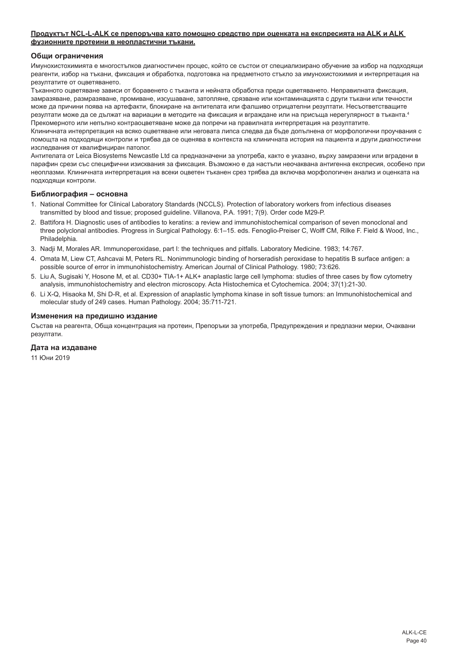#### **Продуктът NCL-L-ALK се препоръчва като помощно средство при оценката на експресията на ALK и ALK фузионните протеини в неопластични тъкани.**

#### **Общи ограничения**

Имунохистохимията е многостъпков диагностичен процес, който се състои от специализирано обучение за избор на подходящи реагенти, избор на тъкани, фиксация и обработка, подготовка на предметното стъкло за имунохистохимия и интерпретация на резултатите от оцветяването.

Тъканното оцветяване зависи от боравенето с тъканта и нейната обработка преди оцветяването. Неправилната фиксация, замразяване, размразяване, промиване, изсушаване, затопляне, срязване или контаминацията с други тъкани или течности може да причини поява на артефакти, блокиране на антителата или фалшиво отрицателни резултати. Несъответстващите резултати може да се дължат на вариации в методите на фиксация и вграждане или на присъща нерегулярност в тъканта.<sup>4</sup> Прекомерното или непълно контраоцветяване може да попречи на правилната интерпретация на резултатите.

Клиничната интерпретация на всяко оцветяване или неговата липса следва да бъде допълнена от морфологични проучвания с помощта на подходящи контроли и трябва да се оценява в контекста на клиничната история на пациента и други диагностични изследвания от квалифициран патолог.

Антителата от Leica Biosystems Newcastle Ltd са предназначени за употреба, както е указано, върху замразени или вградени в парафин срези със специфични изисквания за фиксация. Възможно е да настъпи неочаквана антигенна експресия, особено при неоплазми. Клиничната интерпретация на всеки оцветен тъканен срез трябва да включва морфологичен анализ и оценката на подходящи контроли.

#### **Библиография – основна**

- 1. National Committee for Clinical Laboratory Standards (NCCLS). Protection of laboratory workers from infectious diseases transmitted by blood and tissue; proposed guideline. Villanova, P.A. 1991; 7(9). Order code M29-P.
- 2. Battifora H. Diagnostic uses of antibodies to keratins: a review and immunohistochemical comparison of seven monoclonal and three polyclonal antibodies. Progress in Surgical Pathology. 6:1–15. eds. Fenoglio-Preiser C, Wolff CM, Rilke F. Field & Wood, Inc., Philadelphia.
- 3. Nadji M, Morales AR. Immunoperoxidase, part I: the techniques and pitfalls. Laboratory Medicine. 1983; 14:767.
- 4. Omata M, Liew CT, Ashcavai M, Peters RL. Nonimmunologic binding of horseradish peroxidase to hepatitis B surface antigen: a possible source of error in immunohistochemistry. American Journal of Clinical Pathology. 1980; 73:626.
- 5. Liu A, Sugisaki Y, Hosone M, et al. CD30+ TIA-1+ ALK+ anaplastic large cell lymphoma: studies of three cases by flow cytometry analysis, immunohistochemistry and electron microscopy. Acta Histochemica et Cytochemica. 2004; 37(1):21-30.
- 6. Li X-Q, Hisaoka M, Shi D-R, et al. Expression of anaplastic lymphoma kinase in soft tissue tumors: an Immunohistochemical and molecular study of 249 cases. Human Pathology. 2004; 35:711-721.

#### **Изменения на предишно издание**

Състав на реагента, Обща концентрация на протеин, Препоръки за употреба, Предупреждения и предпазни мерки, Очаквани резултати.

#### **Дата на издаване**

11 Юни 2019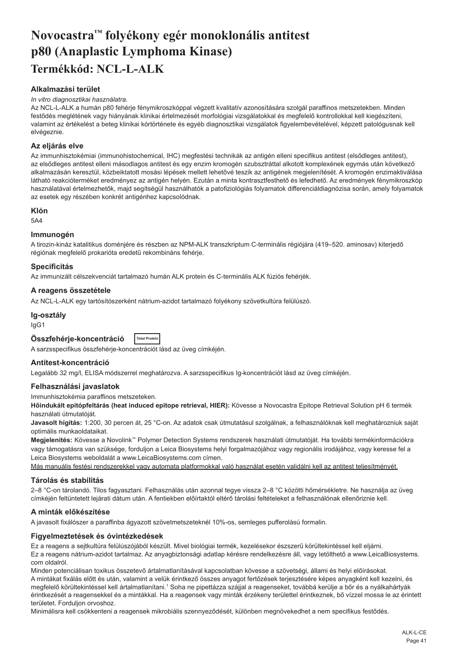# <span id="page-41-0"></span>**Novocastra™ folyékony egér monoklonális antitest p80 (Anaplastic Lymphoma Kinase) Termékkód: NCL-L-ALK**

# **Alkalmazási terület**

#### *In vitro diagnosztikai használatra.*

Az NCL-L-ALK a humán p80 fehérje fénymikroszkóppal végzett kvalitatív azonosítására szolgál paraffinos metszetekben. Minden festődés meglétének vagy hiányának klinikai értelmezését morfológiai vizsgálatokkal és megfelelő kontrollokkal kell kiegészíteni, valamint az értékelést a beteg klinikai kórtörténete és egyéb diagnosztikai vizsgálatok figyelembevételével, képzett patológusnak kell elvégeznie.

#### **Az eljárás elve**

Az immunhisztokémiai (immunohistochemical, IHC) megfestési technikák az antigén elleni specifikus antitest (elsődleges antitest), az elsődleges antitest elleni másodlagos antitest és egy enzim kromogén szubsztráttal alkotott komplexének egymás után következő alkalmazásán keresztül, közbeiktatott mosási lépések mellett lehetővé teszik az antigének megjelenítését. A kromogén enzimaktiválása látható reakcióterméket eredményez az antigén helyén. Ezután a minta kontrasztfesthető és lefedhető. Az eredmények fénymikroszkóp használatával értelmezhetők, majd segítségül használhatók a patofiziológiás folyamatok differenciáldiagnózisa során, amely folyamatok az esetek egy részében konkrét antigénhez kapcsolódnak.

#### **Klón**

5A4

#### **Immunogén**

A tirozin-kináz katalitikus doménjére és részben az NPM-ALK transzkriptum C-terminális régiójára (419–520. aminosav) kiterjedő régiónak megfelelő prokarióta eredetű rekombináns fehérje.

#### **Specificitás**

Az immunizált célszekvenciát tartalmazó humán ALK protein és C-terminális ALK fúziós fehérjék.

#### **A reagens összetétele**

Az NCL-L-ALK egy tartósítószerként nátrium-azidot tartalmazó folyékony szövetkultúra felülúszó.

#### **Ig-osztály**

IgG1

#### **Összfehérje-koncentráció Total Protein**

A sarzsspecifikus összfehérje-koncentrációt lásd az üveg címkéjén.

#### **Antitest-koncentráció**

Legalább 32 mg/l, ELISA módszerrel meghatározva. A sarzsspecifikus Ig-koncentrációt lásd az üveg címkéjén.

#### **Felhasználási javaslatok**

Immunhisztokémia paraffinos metszeteken.

**Hőindukált epitópfeltárás (heat induced epitope retrieval, HIER):** Kövesse a Novocastra Epitope Retrieval Solution pH 6 termék használati útmutatóját.

**Javasolt hígítás:** 1:200, 30 percen át, 25 °C-on. Az adatok csak útmutatásul szolgálnak, a felhasználóknak kell meghatározniuk saját optimális munkaoldataikat.

**Megjelenítés:** Kövesse a Novolink™ Polymer Detection Systems rendszerek használati útmutatóját. Ha további termékinformációkra vagy támogatásra van szüksége, forduljon a Leica Biosystems helyi forgalmazójához vagy regionális irodájához, vagy keresse fel a Leica Biosystems weboldalát a www.LeicaBiosystems.com címen.

Más manuális festési rendszerekkel vagy automata platformokkal való használat esetén validálni kell az antitest teljesítményét.

#### **Tárolás és stabilitás**

2–8 °C-on tárolandó. Tilos fagyasztani. Felhasználás után azonnal tegye vissza 2–8 °C közötti hőmérsékletre. Ne használja az üveg címkéjén feltüntetett lejárati dátum után. A fentiekben előírtaktól eltérő tárolási feltételeket a felhasználónak ellenőriznie kell.

#### **A minták előkészítése**

A javasolt fixálószer a paraffinba ágyazott szövetmetszeteknél 10%-os, semleges pufferolású formalin.

#### **Figyelmeztetések és óvintézkedések**

Ez a reagens a sejtkultúra felülúszójából készült. Mivel biológiai termék, kezelésekor észszerű körültekintéssel kell eljárni. Ez a reagens nátrium-azidot tartalmaz. Az anyagbiztonsági adatlap kérésre rendelkezésre áll, vagy letölthető a www.LeicaBiosystems. com oldalról.

Minden potenciálisan toxikus összetevő ártalmatlanításával kapcsolatban kövesse a szövetségi, állami és helyi előírásokat. A mintákat fixálás előtt és után, valamint a velük érintkező összes anyagot fertőzések terjesztésére képes anyagként kell kezelni, és megfelelő körültekintéssel kell ártalmatlanítani.1 Soha ne pipettázza szájjal a reagenseket, továbbá kerülje a bőr és a nyálkahártyák érintkezését a reagensekkel és a mintákkal. Ha a reagensek vagy minták érzékeny területtel érintkeznek, bő vízzel mossa le az érintett területet. Forduljon orvoshoz.

Minimálisra kell csökkenteni a reagensek mikrobiális szennyeződését, különben megnövekedhet a nem specifikus festődés.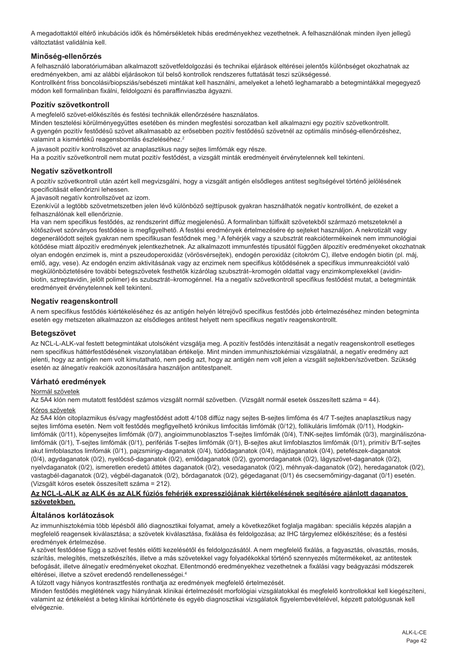A megadottaktól eltérő inkubációs idők és hőmérsékletek hibás eredményekhez vezethetnek. A felhasználónak minden ilyen jellegű változtatást validálnia kell.

# **Minőség-ellenőrzés**

A felhasználó laboratóriumában alkalmazott szövetfeldolgozási és technikai eljárások eltérései jelentős különbséget okozhatnak az eredményekben, ami az alábbi eljárásokon túl belső kontrollok rendszeres futtatását teszi szükségessé. Kontrollként friss boncolási/biopsziás/sebészeti mintákat kell használni, amelyeket a lehető leghamarabb a betegmintákkal megegyező módon kell formalinban fixálni, feldolgozni és paraffinviaszba ágyazni.

#### **Pozitív szövetkontroll**

A megfelelő szövet-előkészítés és festési technikák ellenőrzésére használatos.

Minden tesztelési körülményegyüttes esetében és minden megfestési sorozatban kell alkalmazni egy pozitív szövetkontrollt. A gyengén pozitív festődésű szövet alkalmasabb az erősebben pozitív festődésű szövetnél az optimális minőség-ellenőrzéshez, valamint a kismértékű reagensbomlás észleléséhez.<sup>2</sup>

A javasolt pozitív kontrollszövet az anaplasztikus nagy sejtes limfómák egy része.

Ha a pozitív szövetkontroll nem mutat pozitív festődést, a vizsgált minták eredményeit érvénytelennek kell tekinteni.

# **Negatív szövetkontroll**

A pozitív szövetkontroll után azért kell megvizsgálni, hogy a vizsgált antigén elsődleges antitest segítségével történő jelölésének specificitását ellenőrizni lehessen.

A javasolt negatív kontrollszövet az izom.

Ezenkívül a legtöbb szövetmetszetben jelen lévő különböző sejttípusok gyakran használhatók negatív kontrollként, de ezeket a felhasználónak kell ellenőriznie.

Ha van nem specifikus festődés, az rendszerint diffúz megjelenésű. A formalinban túlfixált szövetekből származó metszeteknél a kötőszövet szórványos festődése is megfigyelhető. A festési eredmények értelmezésére ép sejteket használjon. A nekrotizált vagy degenerálódott sejtek gyakran nem specifikusan festődnek meg.<sup>3</sup> A fehérjék vagy a szubsztrát reakciótermékeinek nem immunológiai kötődése miatt álpozitív eredmények jelentkezhetnek. Az alkalmazott immunfestés típusától függően álpozitív eredményeket okozhatnak olyan endogén enzimek is, mint a pszeudoperoxidáz (vörösvérsejtek), endogén peroxidáz (citokróm C), illetve endogén biotin (pl. máj, emlő, agy, vese). Az endogén enzim aktivitásának vagy az enzimek nem specifikus kötődésének a specifikus immunreakciótól való megkülönböztetésére további betegszövetek festhetők kizárólag szubsztrát–kromogén oldattal vagy enzimkomplexekkel (avidinbiotin, sztreptavidin, jelölt polimer) és szubsztrát–kromogénnel. Ha a negatív szövetkontroll specifikus festődést mutat, a betegminták eredményeit érvénytelennek kell tekinteni.

#### **Negatív reagenskontroll**

A nem specifikus festődés kiértékeléséhez és az antigén helyén létrejövő specifikus festődés jobb értelmezéséhez minden betegminta esetén egy metszeten alkalmazzon az elsődleges antitest helyett nem specifikus negatív reagenskontrollt.

#### **Betegszövet**

Az NCL-L-ALK-val festett betegmintákat utolsóként vizsgálja meg. A pozitív festődés intenzitását a negatív reagenskontroll esetleges nem specifikus háttérfestődésének viszonylatában értékelje. Mint minden immunhisztokémiai vizsgálatnál, a negatív eredmény azt jelenti, hogy az antigén nem volt kimutatható, nem pedig azt, hogy az antigén nem volt jelen a vizsgált sejtekben/szövetben. Szükség esetén az álnegatív reakciók azonosítására használjon antitestpanelt.

#### **Várható eredmények**

#### Normál szövetek

Az 5A4 klón nem mutatott festődést számos vizsgált normál szövetben. (Vizsgált normál esetek összesített száma = 44).

#### Kóros szövetek

Az 5A4 klón citoplazmikus és/vagy magfestődést adott 4/108 diffúz nagy sejtes B-sejtes limfóma és 4/7 T-sejtes anaplasztikus nagy sejtes limfóma esetén. Nem volt festődés megfigyelhető krónikus limfocitás limfómák (0/12), follikuláris limfómák (0/11), Hodgkinlimfómák (0/11), köpenysejtes limfómák (0/7), angioimmunoblasztos T-sejtes limfómák (0/4), T/NK-sejtes limfómák (0/3), margináliszónalimfómák (0/1), T-sejtes limfómák (0/1), perifériás T-sejtes limfómák (0/1), B-sejtes akut limfoblasztos limfómák (0/1), primitív B/T-sejtes akut limfoblasztos limfómák (0/1), pajzsmirigy-daganatok (0/4), tüdődaganatok (0/4), májdaganatok (0/4), petefészek-daganatok (0/4), agydaganatok (0/2), nyelőcső-daganatok (0/2), emlődaganatok (0/2), gyomordaganatok (0/2), lágyszövet-daganatok (0/2), nyelvdaganatok (0/2), ismeretlen eredetű áttétes daganatok (0/2), vesedaganatok (0/2), méhnyak-daganatok (0/2), heredaganatok (0/2), vastagbél-daganatok (0/2), végbél-daganatok (0/2), bőrdaganatok (0/2), gégedaganat (0/1) és csecsemőmirigy-daganat (0/1) esetén. (Vizsgált kóros esetek összesített száma = 212).

#### **Az NCL-L-ALK az ALK és az ALK fúziós fehérjék expressziójának kiértékelésének segítésére ajánlott daganatos szövetekben.**

#### **Általános korlátozások**

Az immunhisztokémia több lépésből álló diagnosztikai folyamat, amely a következőket foglalja magában: speciális képzés alapján a megfelelő reagensek kiválasztása; a szövetek kiválasztása, fixálása és feldolgozása; az IHC tárgylemez előkészítése; és a festési eredmények értelmezése.

A szövet festődése függ a szövet festés előtti kezelésétől és feldolgozásától. A nem megfelelő fixálás, a fagyasztás, olvasztás, mosás, szárítás, melegítés, metszetkészítés, illetve a más szövetekkel vagy folyadékokkal történő szennyezés műtermékeket, az antitestek befogását, illetve álnegatív eredményeket okozhat. Ellentmondó eredményekhez vezethetnek a fixálási vagy beágyazási módszerek eltérései, illetve a szövet eredendő rendellenességei.<sup>4</sup>

A túlzott vagy hiányos kontrasztfestés ronthatja az eredmények megfelelő értelmezését.

Minden festődés meglétének vagy hiányának klinikai értelmezését morfológiai vizsgálatokkal és megfelelő kontrollokkal kell kiegészíteni, valamint az értékelést a beteg klinikai kórtörténete és egyéb diagnosztikai vizsgálatok figyelembevételével, képzett patológusnak kell elvégeznie.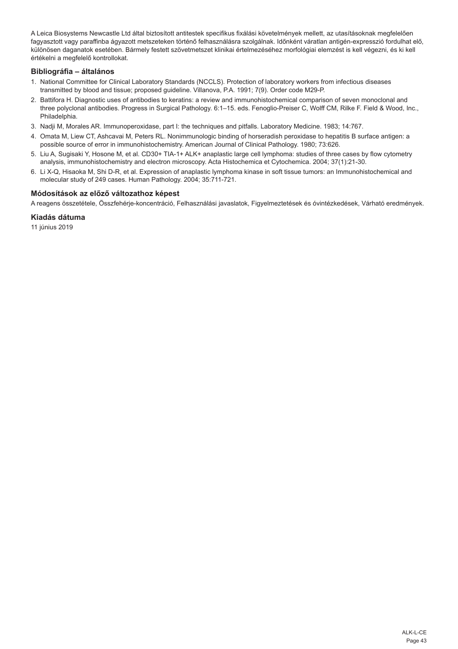A Leica Biosystems Newcastle Ltd által biztosított antitestek specifikus fixálási követelmények mellett, az utasításoknak megfelelően fagyasztott vagy paraffinba ágyazott metszeteken történő felhasználásra szolgálnak. Időnként váratlan antigén-expresszió fordulhat elő, különösen daganatok esetében. Bármely festett szövetmetszet klinikai értelmezéséhez morfológiai elemzést is kell végezni, és ki kell értékelni a megfelelő kontrollokat.

# **Bibliográfia – általános**

- 1. National Committee for Clinical Laboratory Standards (NCCLS). Protection of laboratory workers from infectious diseases transmitted by blood and tissue; proposed guideline. Villanova, P.A. 1991; 7(9). Order code M29-P.
- 2. Battifora H. Diagnostic uses of antibodies to keratins: a review and immunohistochemical comparison of seven monoclonal and three polyclonal antibodies. Progress in Surgical Pathology. 6:1–15. eds. Fenoglio-Preiser C, Wolff CM, Rilke F. Field & Wood, Inc., Philadelphia.
- 3. Nadji M, Morales AR. Immunoperoxidase, part I: the techniques and pitfalls. Laboratory Medicine. 1983; 14:767.
- 4. Omata M, Liew CT, Ashcavai M, Peters RL. Nonimmunologic binding of horseradish peroxidase to hepatitis B surface antigen: a possible source of error in immunohistochemistry. American Journal of Clinical Pathology. 1980; 73:626.
- 5. Liu A, Sugisaki Y, Hosone M, et al. CD30+ TIA-1+ ALK+ anaplastic large cell lymphoma: studies of three cases by flow cytometry analysis, immunohistochemistry and electron microscopy. Acta Histochemica et Cytochemica. 2004; 37(1):21-30.
- 6. Li X-Q, Hisaoka M, Shi D-R, et al. Expression of anaplastic lymphoma kinase in soft tissue tumors: an Immunohistochemical and molecular study of 249 cases. Human Pathology. 2004; 35:711-721.

# **Módosítások az előző változathoz képest**

A reagens összetétele, Összfehérje-koncentráció, Felhasználási javaslatok, Figyelmeztetések és óvintézkedések, Várható eredmények.

#### **Kiadás dátuma**

11 június 2019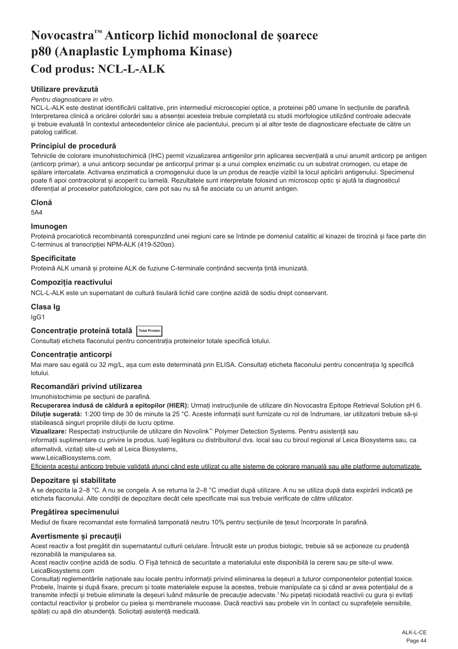# <span id="page-44-0"></span>**Novocastra™ Anticorp lichid monoclonal de șoarece p80 (Anaplastic Lymphoma Kinase) Cod produs: NCL-L-ALK**

# **Utilizare prevăzută**

#### *Pentru diagnosticare in vitro.*

NCL-L-ALK este destinat identificării calitative, prin intermediul microscopiei optice, a proteinei p80 umane în secțiunile de parafină. Interpretarea clinică a oricărei colorări sau a absenței acesteia trebuie completată cu studii morfologice utilizând controale adecvate și trebuie evaluată în contextul antecedentelor clinice ale pacientului, precum și al altor teste de diagnosticare efectuate de către un patolog calificat.

#### **Principiul de procedură**

Tehnicile de colorare imunohistochimică (IHC) permit vizualizarea antigenilor prin aplicarea secvențială a unui anumit anticorp pe antigen (anticorp primar), a unui anticorp secundar pe anticorpul primar și a unui complex enzimatic cu un substrat cromogen, cu etape de spălare intercalate. Activarea enzimatică a cromogenului duce la un produs de reacție vizibil la locul aplicării antigenului. Specimenul poate fi apoi contracolorat și acoperit cu lamelă. Rezultatele sunt interpretate folosind un microscop optic și ajută la diagnosticul diferențial al proceselor patofiziologice, care pot sau nu să fie asociate cu un anumit antigen.

#### **Clonă**

5A4

#### **Imunogen**

Proteină procariotică recombinantă corespunzând unei regiuni care se întinde pe domeniul catalitic al kinazei de tirozină si face parte din C-terminus al transcripției NPM-ALK (419-520αα).

# **Specificitate**

Proteină ALK umană și proteine ALK de fuziune C-terminale continând secventa tintă imunizată.

# **Compoziția reactivului**

NCL-L-ALK este un supernatant de cultură tisulară lichid care conține azidă de sodiu drept conservant.

#### **Clasa Ig**

IgG1

# **Concentrație proteină totală Total Protein**

Consultați eticheta flaconului pentru concentrația proteinelor totale specifică lotului.

#### **Concentrație anticorpi**

Mai mare sau egală cu 32 mg/L, așa cum este determinată prin ELISA. Consultați eticheta flaconului pentru concentrația Ig specifică lotului.

#### **Recomandări privind utilizarea**

Imunohistochimie pe secțiuni de parafină.

**Recuperarea indusă de căldură a epitopilor (HIER):** Urmați instrucțiunile de utilizare din Novocastra Epitope Retrieval Solution pH 6. **Diluție sugerată:** 1:200 timp de 30 de minute la 25 °C. Aceste informații sunt furnizate cu rol de îndrumare, iar utilizatorii trebuie să-și stabilească singuri propriile diluții de lucru optime.

**Vizualizare:** Respectați instrucțiunile de utilizare din Novolink™ Polymer Detection Systems. Pentru asistență sau

informații suplimentare cu privire la produs, luați legătura cu distribuitorul dvs. local sau cu biroul regional al Leica Biosystems sau, ca alternativă, vizitați site-ul web al Leica Biosystems,

www.LeicaBiosystems.com.

Eficiența acestui anticorp trebuie validată atunci când este utilizat cu alte sisteme de colorare manuală sau alte platforme automatizate.

#### **Depozitare și stabilitate**

A se depozita la 2–8 °C. A nu se congela. A se returna la 2–8 °C imediat după utilizare. A nu se utiliza după data expirării indicată pe eticheta flaconului. Alte condiții de depozitare decât cele specificate mai sus trebuie verificate de către utilizator.

#### **Pregătirea specimenului**

Mediul de fixare recomandat este formalină tamponată neutru 10% pentru secțiunile de țesut încorporate în parafină.

#### **Avertismente și precauții**

Acest reactiv a fost pregătit din supernatantul culturii celulare. Întrucât este un produs biologic, trebuie să se actioneze cu prudentă rezonabilă la manipularea sa.

Acest reactiv conține azidă de sodiu. O Fișă tehnică de securitate a materialului este disponibilă la cerere sau pe site-ul www. LeicaBiosystems.com

Consultați reglementările naționale sau locale pentru informații privind eliminarea la deșeuri a tuturor componentelor potențial toxice. Probele, înainte și după fixare, precum și toate materialele expuse la acestea, trebuie manipulate ca și când ar avea potențialul de a transmite infecții și trebuie eliminate la deșeuri luând măsurile de precauție adecvate.<sup>1</sup>Nu pipetați niciodată reactivii cu gura și evitați contactul reactivilor și probelor cu pielea și membranele mucoase. Dacă reactivii sau probele vin în contact cu suprafețele sensibile, spălați cu apă din abundență. Solicitați asistență medicală.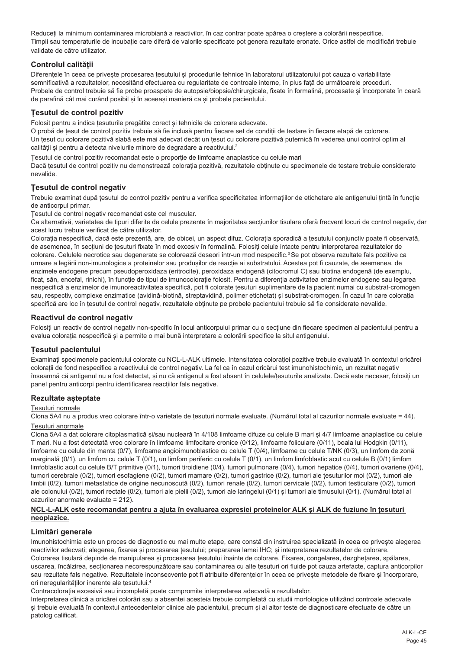Reduceți la minimum contaminarea microbiană a reactivilor, în caz contrar poate apărea o creștere a colorării nespecifice. Timpii sau temperaturile de incubație care diferă de valorile specificate pot genera rezultate eronate. Orice astfel de modificări trebuie validate de către utilizator.

# **Controlul calității**

Diferentele în ceea ce priveste procesarea tesutului si procedurile tehnice în laboratorul utilizatorului pot cauza o variabilitate semnificativă a rezultatelor, necesitând efectuarea cu regularitate de controale interne, în plus față de următoarele proceduri. Probele de control trebuie să fie probe proaspete de autopsie/biopsie/chirurgicale, fixate în formalină, procesate și încorporate în ceară de parafină cât mai curând posibil și în aceeași manieră ca și probele pacientului.

# **Țesutul de control pozitiv**

Folosit pentru a indica țesuturile pregătite corect și tehnicile de colorare adecvate.

O probă de țesut de control pozitiv trebuie să fie inclusă pentru fiecare set de condiții de testare în fiecare etapă de colorare. Un țesut cu colorare pozitivă slabă este mai adecvat decât un țesut cu colorare pozitivă puternică în vederea unui control optim al calității și pentru a detecta nivelurile minore de degradare a reactivului.<sup>2</sup>

Țesutul de control pozitiv recomandat este o proporție de limfoame anaplastice cu celule mari Dacă țesutul de control pozitiv nu demonstrează colorația pozitivă, rezultatele obținute cu specimenele de testare trebuie considerate nevalide.

# **Țesutul de control negativ**

Trebuie examinat după țesutul de control pozitiv pentru a verifica specificitatea informațiilor de etichetare ale antigenului țintă în funcție de anticorpul primar.

Țesutul de control negativ recomandat este cel muscular.

Ca alternativă, varietatea de tipuri diferite de celule prezente în majoritatea secțiunilor tisulare oferă frecvent locuri de control negativ, dar acest lucru trebuie verificat de către utilizator.

Colorația nespecifică, dacă este prezentă, are, de obicei, un aspect difuz. Colorația sporadică a țesutului conjunctiv poate fi observată, de asemenea, în secțiuni de țesuturi fixate în mod excesiv în formalină. Folosiți celule intacte pentru interpretarea rezultatelor de colorare. Celulele necrotice sau degenerate se colorează deseori într-un mod nespecific.<sup>3</sup> Se pot observa rezultate fals pozitive ca urmare a legării non-imunologice a proteinelor sau produșilor de reacție ai substratului. Acestea pot fi cauzate, de asemenea, de enzimele endogene precum pseudoperoxidaza (eritrocite), peroxidaza endogenă (citocromul C) sau biotina endogenă (de exemplu, ficat, sân, encefal, rinichi), în funcție de tipul de imunocolorație folosit. Pentru a diferenția activitatea enzimelor endogene sau legarea nespecifică a enzimelor de imunoreactivitatea specifică, pot fi colorate țesuturi suplimentare de la pacient numai cu substrat-cromogen sau, respectiv, complexe enzimatice (avidină-biotină, streptavidină, polimer etichetat) și substrat-cromogen. În cazul în care colorația specifică are loc în țesutul de control negativ, rezultatele obținute pe probele pacientului trebuie să fie considerate nevalide.

# **Reactivul de control negativ**

Folosiți un reactiv de control negativ non-specific în locul anticorpului primar cu o secțiune din fiecare specimen al pacientului pentru a evalua colorația nespecifică și a permite o mai bună interpretare a colorării specifice la situl antigenului.

#### **Țesutul pacientului**

Examinați specimenele pacientului colorate cu NCL-L-ALK ultimele. Intensitatea colorației pozitive trebuie evaluată în contextul oricărei colorații de fond nespecifice a reactivului de control negativ. La fel ca în cazul oricărui test imunohistochimic, un rezultat negativ înseamnă că antigenul nu a fost detectat, și nu că antigenul a fost absent în celulele/țesuturile analizate. Dacă este necesar, folosiți un panel pentru anticorpi pentru identificarea reacțiilor fals negative.

#### **Rezultate așteptate**

#### Țesuturi normale

Clona 5A4 nu a produs vreo colorare într-o varietate de țesuturi normale evaluate. (Numărul total al cazurilor normale evaluate = 44).

#### Țesuturi anormale

Clona 5A4 a dat colorare citoplasmatică și/sau nucleară în 4/108 limfoame difuze cu celule B mari și 4/7 limfoame anaplastice cu celule T mari. Nu a fost detectată vreo colorare în limfoame limfocitare cronice (0/12), limfoame foliculare (0/11), boala lui Hodgkin (0/11), limfoame cu celule din manta (0/7), limfoame angioimunoblastice cu celule T (0/4), limfoame cu celule T/NK (0/3), un limfom de zonă marginală (0/1), un limfom cu celule T (0/1), un limfom periferic cu celule T (0/1), un limfom limfoblastic acut cu celule B (0/1) limfom limfoblastic acut cu celule B/T primitive (0/1), tumori tiroidiene (0/4), tumori pulmonare (0/4), tumori hepatice (0/4), tumori ovariene (0/4), tumori cerebrale (0/2), tumori esofagiene (0/2), tumori mamare (0/2), tumori gastrice (0/2), tumori ale țesuturilor moi (0/2), tumori ale limbii (0/2), tumori metastatice de origine necunoscută (0/2), tumori renale (0/2), tumori cervicale (0/2), tumori testiculare (0/2), tumori ale colonului (0/2), tumori rectale (0/2), tumori ale pielii (0/2), tumori ale laringelui (0/1) și tumori ale timusului (0/1). (Numărul total al cazurilor anormale evaluate = 212).

#### **NCL-L-ALK este recomandat pentru a ajuta în evaluarea expresiei proteinelor ALK și ALK de fuziune în țesuturi neoplazice.**

#### **Limitări generale**

Imunohistochimia este un proces de diagnostic cu mai multe etape, care constă din instruirea specializată în ceea ce privește alegerea reactivilor adecvați; alegerea, fixarea și procesarea țesutului; prepararea lamei IHC; și interpretarea rezultatelor de colorare. Colorarea tisulară depinde de manipularea și procesarea țesutului înainte de colorare. Fixarea, congelarea, dezghețarea, spălarea, uscarea, încălzirea, secționarea necorespunzătoare sau contaminarea cu alte țesuturi ori fluide pot cauza artefacte, captura anticorpilor sau rezultate fals negative. Rezultatele inconsecvente pot fi atribuite diferentelor în ceea ce priveste metodele de fixare și încorporare, ori neregularităților inerente ale tesutului.<sup>4</sup>

Contracolorația excesivă sau incompletă poate compromite interpretarea adecvată a rezultatelor.

Interpretarea clinică a oricărei colorări sau a absenței acesteia trebuie completată cu studii morfologice utilizând controale adecvate și trebuie evaluată în contextul antecedentelor clinice ale pacientului, precum și al altor teste de diagnosticare efectuate de către un patolog calificat.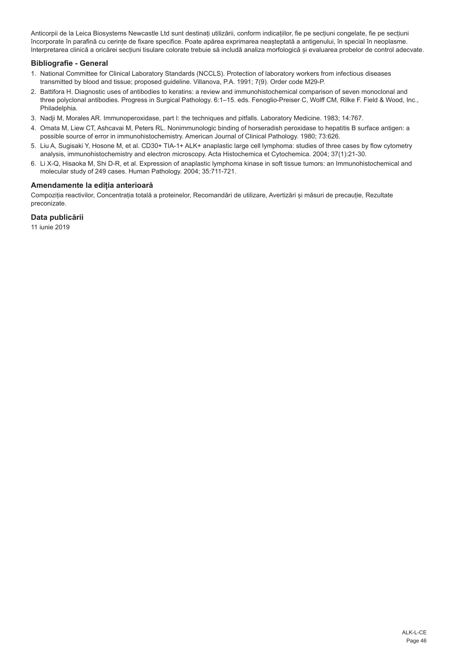Anticorpii de la Leica Biosystems Newcastle Ltd sunt destinați utilizării, conform indicațiilor, fie pe secțiuni congelate, fie pe secțiuni încorporate în parafină cu cerințe de fixare specifice. Poate apărea exprimarea neașteptată a antigenului, în special în neoplasme. Interpretarea clinică a oricărei secțiuni tisulare colorate trebuie să includă analiza morfologică și evaluarea probelor de control adecvate.

## **Bibliografie - General**

- 1. National Committee for Clinical Laboratory Standards (NCCLS). Protection of laboratory workers from infectious diseases transmitted by blood and tissue; proposed guideline. Villanova, P.A. 1991; 7(9). Order code M29-P.
- 2. Battifora H. Diagnostic uses of antibodies to keratins: a review and immunohistochemical comparison of seven monoclonal and three polyclonal antibodies. Progress in Surgical Pathology. 6:1–15. eds. Fenoglio-Preiser C, Wolff CM, Rilke F. Field & Wood, Inc., Philadelphia.
- 3. Nadji M, Morales AR. Immunoperoxidase, part I: the techniques and pitfalls. Laboratory Medicine. 1983; 14:767.
- 4. Omata M, Liew CT, Ashcavai M, Peters RL. Nonimmunologic binding of horseradish peroxidase to hepatitis B surface antigen: a possible source of error in immunohistochemistry. American Journal of Clinical Pathology. 1980; 73:626.
- 5. Liu A, Sugisaki Y, Hosone M, et al. CD30+ TIA-1+ ALK+ anaplastic large cell lymphoma: studies of three cases by flow cytometry analysis, immunohistochemistry and electron microscopy. Acta Histochemica et Cytochemica. 2004; 37(1):21-30.
- 6. Li X-Q, Hisaoka M, Shi D-R, et al. Expression of anaplastic lymphoma kinase in soft tissue tumors: an Immunohistochemical and molecular study of 249 cases. Human Pathology. 2004; 35:711-721.

# **Amendamente la ediția anterioară**

Compoziția reactivilor, Concentrația totală a proteinelor, Recomandări de utilizare, Avertizări și măsuri de precauție, Rezultate preconizate.

# **Data publicării**

11 iunie 2019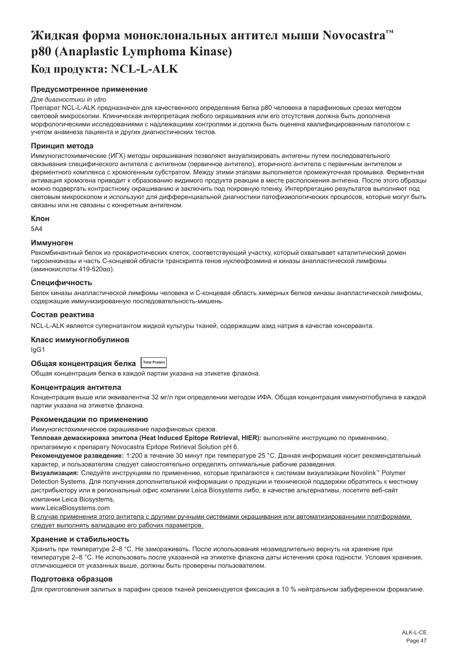# <span id="page-47-0"></span>**Жидкая форма моноклональных антител мыши Novocastra™ p80 (Anaplastic Lymphoma Kinase) Код продукта: NCL-L-ALK**

# **Предусмотренное применение**

#### *Для диагностики in vitro*

Препарат NCL-L-ALK предназначен для качественного определения белка p80 человека в парафиновых срезах методом световой микроскопии. Клиническая интерпретация любого окрашивания или его отсутствия должна быть дополнена морфологическими исследованиями с надлежащими контролями и должна быть оценена квалифицированным патологом с учетом анамнеза пациента и других диагностических тестов.

#### **Принцип метода**

Иммуногистохимические (ИГХ) методы окрашивания позволяют визуализировать антигены путем последовательного связывания специфического антитела с антигеном (первичное антитело), вторичного антитела с первичным антителом и ферментного комплекса с хромогенным субстратом. Между этими этапами выполняется промежуточная промывка. Ферментная активация хромогена приводит к образованию видимого продукта реакции в месте расположения антигена. После этого образцы можно подвергать контрастному окрашиванию и заключить под покровную пленку. Интерпретацию результатов выполняют под световым микроскопом и используют для дифференциальной диагностики патофизиологических процессов, которые могут быть связаны или не связаны с конкретным антигеном.

#### **Клон**

5A4

#### **Иммуноген**

Рекомбинантный белок из прокариотических клеток, соответствующий участку, который охватывает каталитический домен тирозинкиназы и часть C-концевой области транскрипта генов нуклеофозмина и киназы анапластической лимфомы (аминокислоты 419-520αα).

#### **Специфичность**

Белок киназы анапластической лимфомы человека и С-концевая область химерных белков киназы анапластической лимфомы, содержащие иммунизированную последовательность-мишень.

#### **Состав реактива**

NCL-L-ALK является супернатантом жидкой культуры тканей, содержащим азид натрия в качестве консерванта.

#### **Класс иммуноглобулинов**

IgG1

**Общая концентрация белка Total Protein**

Общая концентрация белка в каждой партии указана на этикетке флакона.

#### **Концентрация антитела**

Концентрация выше или эквивалентна 32 мг/л при определении методом ИФА. Общая концентрация иммуноглобулина в каждой партии указана на этикетке флакона.

#### **Рекомендации по применению**

Иммуногистохимическое окрашивание парафиновых срезов.

**Тепловая демаскировка эпитопа (Heat Induced Epitope Retrieval, HIER):** выполняйте инструкцию по применению, прилагаемую к препарату Novocastra Epitope Retrieval Solution pH 6.

**Рекомендуемое разведение:** 1:200 в течение 30 минут при температуре 25 °C. Данная информация носит рекомендательный характер, и пользователям следует самостоятельно определять оптимальные рабочие разведения.

**Визуализация:** Следуйте инструкциям по применению, которые прилагаются к системам визуализации Novolink™ Polymer Detection Systems. Для получения дополнительной информации о продукции и технической поддержки обратитесь к местному дистрибьютору или в региональный офис компании Leica Biosystems либо, в качестве альтернативы, посетите веб-сайт компании Leica Biosystems,

www.LeicaBiosystems.com

В случае применения этого антитела с другими ручными системами окрашивания или автоматизированными платформами следует выполнять валидацию его рабочих параметров.

#### **Хранение и стабильность**

Хранить при температуре 2–8 °C. Не замораживать. После использования незамедлительно вернуть на хранение при температуре 2–8 °C. Не использовать после указанной на этикетке флакона даты истечения срока годности. Условия хранения, отличающиеся от указанных выше, должны быть проверены пользователем.

#### **Подготовка образцов**

Для приготовления залитых в парафин срезов тканей рекомендуется фиксация в 10 % нейтральном забуференном формалине.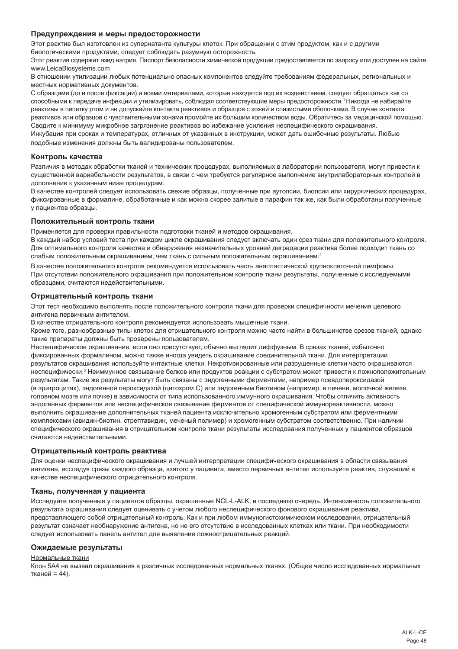#### **Предупреждения и меры предосторожности**

Этот реактив был изготовлен из супернатанта культуры клеток. При обращении с этим продуктом, как и с другими биологическими продуктами, следует соблюдать разумную осторожность.

Этот реактив содержит азид натрия. Паспорт безопасности химической продукции предоставляется по запросу или доступен на сайте www.LeicaBiosystems.com

В отношении утилизации любых потенциально опасных компонентов следуйте требованиям федеральных, региональных и местных нормативных документов.

С образцами (до и после фиксации) и всеми материалами, которые находятся под их воздействием, следует обращаться как со способными к передаче инфекции и утилизировать, соблюдая соответствующие меры предосторожности.<sup>1</sup>Никогда не набирайте реактивы в пипетку ртом и не допускайте контакта реактивов и образцов с кожей и слизистыми оболочками. В случае контакта реактивов или образцов с чувствительными зонами промойте их большим количеством воды. Обратитесь за медицинской помощью. Сводите к минимуму микробное загрязнение реактивов во избежание усиления неспецифического окрашивания. Инкубация при сроках и температурах, отличных от указанных в инструкции, может дать ошибочные результаты. Любые подобные изменения должны быть валидированы пользователем.

#### **Контроль качества**

Различия в методах обработки тканей и технических процедурах, выполняемых в лаборатории пользователя, могут привести к существенной вариабельности результатов, в связи с чем требуется регулярное выполнение внутрилабораторных контролей в дополнение к указанным ниже процедурам.

В качестве контролей следует использовать свежие образцы, полученные при аутопсии, биопсии или хирургических процедурах, фиксированные в формалине, обработанные и как можно скорее залитые в парафин так же, как были обработаны полученные у пациентов образцы.

#### **Положительный контроль ткани**

Применяется для проверки правильности подготовки тканей и методов окрашивания.

В каждый набор условий теста при каждом цикле окрашивания следует включать один срез ткани для положительного контроля. Для оптимального контроля качества и обнаружения незначительных уровней деградации реактива более подходит ткань со слабым положительным окрашиванием, чем ткань с сильным положительным окрашиванием.<sup>2</sup>

В качестве положительного контроля рекомендуется использовать часть анапластической крупноклеточной лимфомы. При отсутствии положительного окрашивания при положительном контроле ткани результаты, полученные с исследуемыми образцами, считаются недействительными.

#### **Отрицательный контроль ткани**

Этот тест необходимо выполнять после положительного контроля ткани для проверки специфичности мечения целевого антигена первичным антителом.

В качестве отрицательного контроля рекомендуется использовать мышечные ткани.

Кроме того, разнообразные типы клеток для отрицательного контроля можно часто найти в большинстве срезов тканей, однако такие препараты должны быть проверены пользователем.

Неспецифическое окрашивание, если оно присутствует, обычно выглядит диффузным. В срезах тканей, избыточно фиксированных формалином, можно также иногда увидеть окрашивание соединительной ткани. Для интерпретации результатов окрашивания используйте интактные клетки. Некротизированные или разрушенные клетки часто окрашиваются неспецифически.<sup>з</sup> Неиммунное связывание белков или продуктов реакции с субстратом может привести к ложноположительным результатам. Такие же результаты могут быть связаны с эндогенными ферментами, например псевдопероксидазой (в эритроцитах), эндогенной пероксидазой (цитохром C) или эндогенным биотином (например, в печени, молочной железе, головном мозге или почке) в зависимости от типа использованного иммунного окрашивания. Чтобы отличить активность эндогенных ферментов или неспецифическое связывание ферментов от специфической иммунореактивности, можно выполнить окрашивание дополнительных тканей пациента исключительно хромогенным субстратом или ферментными комплексами (авидин-биотин, стрептавидин, меченый полимер) и хромогенным субстратом соответственно. При наличии специфического окрашивания в отрицательном контроле ткани результаты исследования полученных у пациентов образцов считаются недействительными.

#### **Отрицательный контроль реактива**

Для оценки неспецифического окрашивания и лучшей интерпретации специфического окрашивания в области связывания антигена, исследуя срезы каждого образца, взятого у пациента, вместо первичных антител используйте реактив, служащий в качестве неспецифического отрицательного контроля.

#### **Ткань, полученная у пациента**

Исследуйте полученные у пациентов образцы, окрашенные NCL-L-ALK, в последнюю очередь. Интенсивность положительного результата окрашивания следует оценивать с учетом любого неспецифического фонового окрашивания реактива, представляющего собой отрицательный контроль. Как и при любом иммуногистохимическом исследовании, отрицательный результат означает необнаружение антигена, но не его отсутствие в исследованных клетках или ткани. При необходимости следует использовать панель антител для выявления ложноотрицательных реакций.

#### **Ожидаемые результаты**

#### Нормальные ткани

Клон 5A4 не вызвал окрашивания в различных исследованных нормальных тканях. (Общее число исследованных нормальных тканей = 44).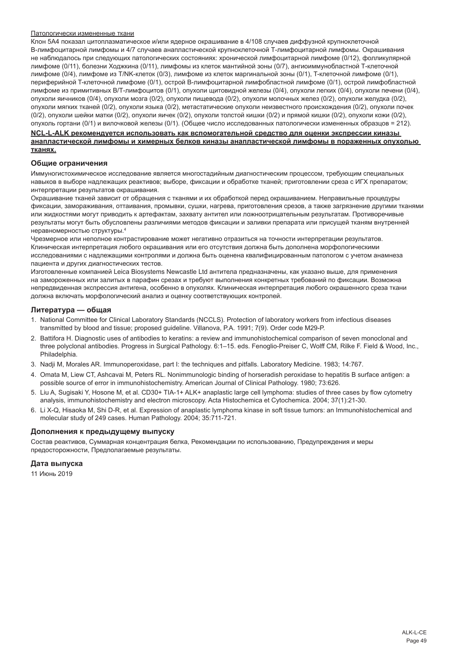#### Патологически измененные ткани

Клон 5A4 показал цитоплазматическое и/или ядерное окрашивание в 4/108 случаев диффузной крупноклеточной В-лимфоцитарной лимфомы и 4/7 случаев анапластической крупноклеточной Т-лимфоцитарной лимфомы. Окрашивания не наблюдалось при следующих патологических состояниях: хронической лимфоцитарной лимфоме (0/12), фолликулярной лимфоме (0/11), болезни Ходжкина (0/11), лимфомы из клеток мантийной зоны (0/7), ангиоиммунобластной Т-клеточной лимфоме (0/4), лимфоме из Т/NK-клеток (0/3), лимфоме из клеток маргинальной зоны (0/1), T-клеточной лимфоме (0/1), периферийной T-клеточной лимфоме (0/1), острой В-лимфоцитарной лимфобластной лимфоме (0/1), острой лимфобластной лимфоме из примитивных В/Т-лимфоцитов (0/1), опухоли щитовидной железы (0/4), опухоли легких (0/4), опухоли печени (0/4), опухоли яичников (0/4), опухоли мозга (0/2), опухоли пищевода (0/2), опухоли молочных желез (0/2), опухоли желудка (0/2), опухоли мягких тканей (0/2), опухоли языка (0/2), метастатические опухоли неизвестного происхождения (0/2), опухоли почек (0/2), опухоли шейки матки (0/2), опухоли яичек (0/2), опухоли толстой кишки (0/2) и прямой кишки (0/2), опухоли кожи (0/2), опухоль гортани (0/1) и вилочковой железы (0/1). (Общее число исследованных патологически измененных образцов = 212).

#### **NCL-L-ALK рекомендуется использовать как вспомогательной средство для оценки экспрессии киназы анапластической лимфомы и химерных белков киназы анапластической лимфомы в пораженных опухолью тканях.**

# **Общие ограничения**

Иммуногистохимическое исследование является многостадийным диагностическим процессом, требующим специальных навыков в выборе надлежащих реактивов; выборе, фиксации и обработке тканей; приготовлении среза с ИГХ препаратом; интерпретации результатов окрашивания.

Окрашивание тканей зависит от обращения с тканями и их обработкой перед окрашиванием. Неправильные процедуры фиксации, замораживания, оттаивания, промывки, сушки, нагрева, приготовления срезов, а также загрязнение другими тканями или жидкостями могут приводить к артефактам, захвату антител или ложноотрицательным результатам. Противоречивые результаты могут быть обусловлены различиями методов фиксации и заливки препарата или присущей тканям внутренней неравномерностью структуры.<sup>4</sup>

Чрезмерное или неполное контрастирование может негативно отразиться на точности интерпретации результатов. Клиническая интерпретация любого окрашивания или его отсутствия должна быть дополнена морфологическими исследованиями с надлежащими контролями и должна быть оценена квалифицированным патологом с учетом анамнеза пациента и других диагностических тестов.

Изготовленные компанией Leica Biosystems Newcastle Ltd антитела предназначены, как указано выше, для применения на замороженных или залитых в парафин срезах и требуют выполнения конкретных требований по фиксации. Возможна непредвиденная экспрессия антигена, особенно в опухолях. Клиническая интерпретация любого окрашенного среза ткани должна включать морфологический анализ и оценку соответствующих контролей.

#### **Литература — общая**

- 1. National Committee for Clinical Laboratory Standards (NCCLS). Protection of laboratory workers from infectious diseases transmitted by blood and tissue; proposed guideline. Villanova, P.A. 1991; 7(9). Order code M29-P.
- 2. Battifora H. Diagnostic uses of antibodies to keratins: a review and immunohistochemical comparison of seven monoclonal and three polyclonal antibodies. Progress in Surgical Pathology. 6:1–15. eds. Fenoglio-Preiser C, Wolff CM, Rilke F. Field & Wood, Inc., Philadelphia.
- 3. Nadji M, Morales AR. Immunoperoxidase, part I: the techniques and pitfalls. Laboratory Medicine. 1983; 14:767.
- 4. Omata M, Liew CT, Ashcavai M, Peters RL. Nonimmunologic binding of horseradish peroxidase to hepatitis B surface antigen: a possible source of error in immunohistochemistry. American Journal of Clinical Pathology. 1980; 73:626.
- 5. Liu A, Sugisaki Y, Hosone M, et al. CD30+ TIA-1+ ALK+ anaplastic large cell lymphoma: studies of three cases by flow cytometry analysis, immunohistochemistry and electron microscopy. Acta Histochemica et Cytochemica. 2004; 37(1):21-30.
- 6. Li X-Q, Hisaoka M, Shi D-R, et al. Expression of anaplastic lymphoma kinase in soft tissue tumors: an Immunohistochemical and molecular study of 249 cases. Human Pathology. 2004; 35:711-721.

#### **Дополнения к предыдущему выпуску**

Состав реактивов, Суммарная концентрация белка, Рекомендации по использованию, Предупреждения и меры предосторожности, Предполагаемые результаты.

#### **Дата выпуска**

11 Июнь 2019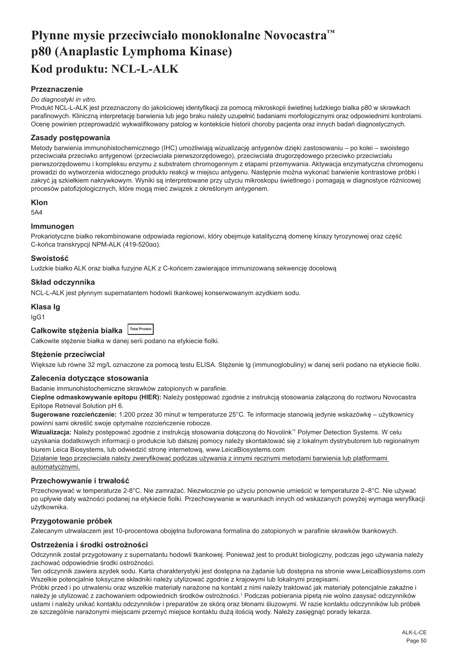# <span id="page-50-0"></span>**Płynne mysie przeciwciało monoklonalne Novocastra™ p80 (Anaplastic Lymphoma Kinase) Kod produktu: NCL-L-ALK**

# **Przeznaczenie**

#### *Do diagnostyki in vitro.*

Produkt NCL-L-ALK jest przeznaczony do jakościowej identyfikacji za pomocą mikroskopii świetlnej ludzkiego bialka p80 w skrawkach parafinowych. Kliniczną interpretację barwienia lub jego braku należy uzupełnić badaniami morfologicznymi oraz odpowiednimi kontrolami. Ocenę powinien przeprowadzić wykwalifikowany patolog w kontekście historii choroby pacjenta oraz innych badań diagnostycznych.

#### **Zasady postępowania**

Metody barwienia immunohistochemicznego (IHC) umożliwiają wizualizację antygenów dzięki zastosowaniu – po kolei – swoistego przeciwciała przeciwko antygenowi (przeciwciała pierwszorzędowego), przeciwciała drugorzędowego przeciwko przeciwciału pierwszorzędowemu i kompleksu enzymu z substratem chromogennym z etapami przemywania. Aktywacja enzymatyczna chromogenu prowadzi do wytworzenia widocznego produktu reakcji w miejscu antygenu. Następnie można wykonać barwienie kontrastowe próbki i zakryć ją szkiełkiem nakrywkowym. Wyniki są interpretowane przy użyciu mikroskopu świetlnego i pomagają w diagnostyce różnicowej procesów patofizjologicznych, które mogą mieć związek z określonym antygenem.

#### **Klon**

5A4

#### **Immunogen**

Prokariotyczne białko rekombinowane odpowiada regionowi, który obejmuje katalityczną domenę kinazy tyrozynowej oraz część C-końca transkrypcji NPM-ALK (419-520αα).

#### **Swoistość**

Ludzkie białko ALK oraz białka fuzyjne ALK z C-końcem zawierające immunizowaną sekwencję docelową

# **Skład odczynnika**

NCL-L-ALK jest płynnym supernatantem hodowli tkankowej konserwowanym azydkiem sodu.

#### **Klasa Ig**

IgG1

| Całkowite stężenia białka <b>ITOtal Protein</b> |  |
|-------------------------------------------------|--|
|-------------------------------------------------|--|

Całkowite stężenie białka w danej serii podano na etykiecie fiolki.

#### **Stężenie przeciwciał**

Większe lub równe 32 mg/L oznaczone za pomocą testu ELISA. Stężenie lg (immunoglobuliny) w danej serii podano na etykiecie fiolki.

#### **Zalecenia dotyczące stosowania**

Badanie immunohistochemiczne skrawków zatopionych w parafinie.

**Cieplne odmaskowywanie epitopu (HIER):** Należy postępować zgodnie z instrukcją stosowania załączoną do roztworu Novocastra Epitope Retrieval Solution pH 6.

**Sugerowane rozcieńczenie:** 1:200 przez 30 minut w temperaturze 25°C. Te informacje stanowią jedynie wskazówkę – użytkownicy powinni sami określić swoje optymalne rozcieńczenie robocze.

**Wizualizacja:** Należy postępować zgodnie z instrukcją stosowania dołączoną do Novolink™ Polymer Detection Systems. W celu uzyskania dodatkowych informacji o produkcie lub dalszej pomocy należy skontaktować się z lokalnym dystrybutorem lub regionalnym biurem Leica Biosystems, lub odwiedzić stronę internetową, www.LeicaBiosystems.com

Działanie tego przeciwciała należy zweryfikować podczas używania z innymi ręcznymi metodami barwienia lub platformami automatycznymi.

#### **Przechowywanie i trwałość**

Przechowywać w temperaturze 2-8°C. Nie zamrażać. Niezwłocznie po użyciu ponownie umieścić w temperaturze 2–8°C. Nie używać po upływie daty ważności podanej na etykiecie fiolki. Przechowywanie w warunkach innych od wskazanych powyżej wymaga weryfikacji użytkownika.

# **Przygotowanie próbek**

Zalecanym utrwalaczem jest 10-procentowa obojętna buforowana formalina do zatopionych w parafinie skrawków tkankowych.

# **Ostrzeżenia i środki ostrożności**

Odczynnik został przygotowany z supernatantu hodowli tkankowej. Ponieważ jest to produkt biologiczny, podczas jego używania należy zachować odpowiednie środki ostrożności.

Ten odczynnik zawiera azydek sodu. Karta charakterystyki jest dostępna na żądanie lub dostępna na stronie www.LeicaBiosystems.com Wszelkie potencjalnie toksyczne składniki należy utylizować zgodnie z krajowymi lub lokalnymi przepisami.

Próbki przed i po utrwaleniu oraz wszelkie materiały narażone na kontakt z nimi należy traktować jak materiały potencjalnie zakaźne i należy je utylizować z zachowaniem odpowiednich środków ostrożności.1 Podczas pobierania pipetą nie wolno zasysać odczynników ustami i należy unikać kontaktu odczynników i preparatów ze skórą oraz błonami śluzowymi. W razie kontaktu odczynników lub próbek ze szczególnie narażonymi miejscami przemyć miejsce kontaktu dużą ilością wody. Należy zasięgnąć porady lekarza.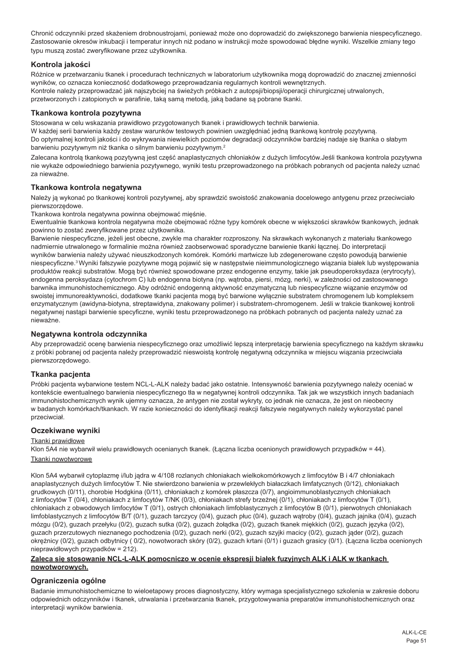Chronić odczynniki przed skażeniem drobnoustrojami, ponieważ może ono doprowadzić do zwiększonego barwienia niespecyficznego. Zastosowanie okresów inkubacji i temperatur innych niż podano w instrukcji może spowodować błędne wyniki. Wszelkie zmiany tego typu muszą zostać zweryfikowane przez użytkownika.

# **Kontrola jakości**

Różnice w przetwarzaniu tkanek i procedurach technicznych w laboratorium użytkownika mogą doprowadzić do znacznej zmienności wyników, co oznacza konieczność dodatkowego przeprowadzania regularnych kontroli wewnętrznych. Kontrole należy przeprowadzać jak najszybciej na świeżych próbkach z autopsji/biopsji/operacji chirurgicznej utrwalonych, przetworzonych i zatopionych w parafinie, taką samą metodą, jaką badane są pobrane tkanki.

# **Tkankowa kontrola pozytywna**

Stosowana w celu wskazania prawidłowo przygotowanych tkanek i prawidłowych technik barwienia.

W każdej serii barwienia każdy zestaw warunków testowych powinien uwzględniać jedną tkankową kontrolę pozytywną. Do optymalnej kontroli jakości i do wykrywania niewielkich poziomów degradacji odczynników bardziej nadaje się tkanka o słabym barwieniu pozytywnym niż tkanka o silnym barwieniu pozytywnym.<sup>2</sup>

Zalecana kontrolą tkankową pozytywną jest część anaplastycznych chłoniaków z dużych limfocytów.Jeśli tkankowa kontrola pozytywna nie wykaże odpowiedniego barwienia pozytywnego, wyniki testu przeprowadzonego na próbkach pobranych od pacjenta należy uznać za nieważne.

#### **Tkankowa kontrola negatywna**

Należy ją wykonać po tkankowej kontroli pozytywnej, aby sprawdzić swoistość znakowania docelowego antygenu przez przeciwciało pierwszorzędowe.

Tkankowa kontrola negatywna powinna obejmować mięśnie.

Ewentualnie tkankowa kontrola negatywna może obejmować różne typy komórek obecne w większości skrawków tkankowych, jednak powinno to zostać zweryfikowane przez użytkownika.

Barwienie niespecyficzne, jeżeli jest obecne, zwykle ma charakter rozproszony. Na skrawkach wykonanych z materiału tkankowego nadmiernie utrwalonego w formalinie można również zaobserwować sporadyczne barwienie tkanki łącznej. Do interpretacji wyników barwienia należy używać nieuszkodzonych komórek. Komórki martwicze lub zdegenerowane często powodują barwienie niespecyficzne.<sup>3</sup>Wyniki fałszywie pozytywne mogą pojawić się w następstwie nieimmunologicznego wiązania białek lub występowania produktów reakcji substratów. Mogą być również spowodowane przez endogenne enzymy, takie jak pseudoperoksydaza (erytrocyty), endogenna peroksydaza (cytochrom C) lub endogenna biotyna (np. wątroba, piersi, mózg, nerki), w zależności od zastosowanego barwnika immunohistochemicznego. Aby odróżnić endogenną aktywność enzymatyczną lub niespecyficzne wiązanie enzymów od swoistej immunoreaktywności, dodatkowe tkanki pacjenta mogą być barwione wyłącznie substratem chromogenem lub kompleksem enzymatycznym (awidyna-biotyna, streptawidyna, znakowany polimer) i substratem-chromogenem. Jeśli w trakcie tkankowej kontroli negatywnej nastąpi barwienie specyficzne, wyniki testu przeprowadzonego na próbkach pobranych od pacjenta należy uznać za nieważne.

# **Negatywna kontrola odczynnika**

Aby przeprowadzić ocenę barwienia niespecyficznego oraz umożliwić lepszą interpretację barwienia specyficznego na każdym skrawku z próbki pobranej od pacjenta należy przeprowadzić nieswoistą kontrolę negatywną odczynnika w miejscu wiązania przeciwciała pierwszorzędowego.

# **Tkanka pacjenta**

Próbki pacjenta wybarwione testem NCL-L-ALK należy badać jako ostatnie. Intensywność barwienia pozytywnego należy oceniać w kontekście ewentualnego barwienia niespecyficznego tła w negatywnej kontroli odczynnika. Tak jak we wszystkich innych badaniach immunohistochemicznych wynik ujemny oznacza, że antygen nie został wykryty, co jednak nie oznacza, że jest on nieobecny w badanych komórkach/tkankach. W razie konieczności do identyfikacji reakcji fałszywie negatywnych należy wykorzystać panel przeciwciał.

### **Oczekiwane wyniki**

#### Tkanki prawidłowe

Klon 5A4 nie wybarwił wielu prawidłowych ocenianych tkanek. (Łączna liczba ocenionych prawidłowych przypadków = 44). Tkanki nowotworowe

Klon 5A4 wybarwił cytoplazmę i/lub jądra w 4/108 rozlanych chłoniakach wielkokomórkowych z limfocytów B i 4/7 chłoniakach

anaplastycznych dużych limfocytów T. Nie stwierdzono barwienia w przewlekłych białaczkach limfatycznych (0/12), chłoniakach grudkowych (0/11), chorobie Hodgkina (0/11), chłoniakach z komórek płaszcza (0/7), angioimmunoblastycznych chłoniakach z limfocytów T (0/4), chłoniakach z limfocytów T/NK (0/3), chłoniakach strefy brzeżnej (0/1), chłoniakach z limfocytów T (0/1), chłoniakach z obwodowych limfocytów T (0/1), ostrych chłoniakach limfoblastycznych z limfocytów B (0/1), pierwotnych chłoniakach limfoblastycznych z limfocytów B/T (0/1), guzach tarczycy (0/4), guzach płuc (0/4), guzach wątroby (0/4), guzach jajnika (0/4), guzach mózgu (0/2), guzach przełyku (0/2), guzach sutka (0/2), guzach żołądka (0/2), guzach tkanek miękkich (0/2), guzach języka (0/2), guzach przerzutowych nieznanego pochodzenia (0/2), guzach nerki (0/2), guzach szyjki macicy (0/2), guzach jąder (0/2), guzach okrężnicy (0/2), guzach odbytnicy ( 0/2), nowotworach skóry (0/2), guzach krtani (0/1) i guzach grasicy (0/1). (Łączna liczba ocenionych nieprawidłowych przypadków = 212).

#### **Zaleca się stosowanie NCL-L-ALK pomocniczo w ocenie ekspresji białek fuzyjnych ALK i ALK w tkankach nowotworowych.**

#### **Ograniczenia ogólne**

Badanie immunohistochemiczne to wieloetapowy proces diagnostyczny, który wymaga specjalistycznego szkolenia w zakresie doboru odpowiednich odczynników i tkanek, utrwalania i przetwarzania tkanek, przygotowywania preparatów immunohistochemicznych oraz interpretacji wyników barwienia.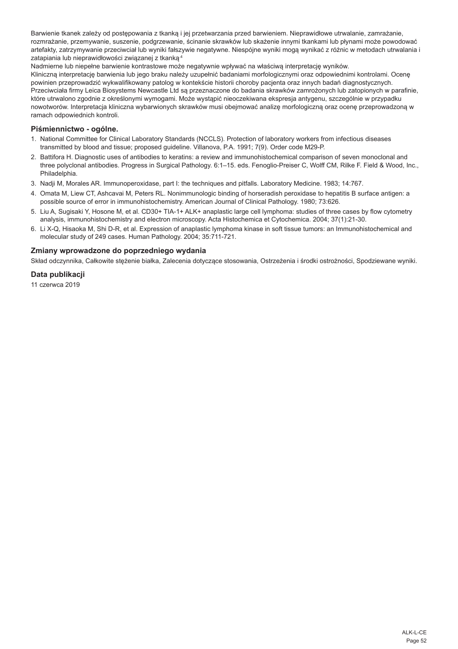Barwienie tkanek zależy od postępowania z tkanką i jej przetwarzania przed barwieniem. Nieprawidłowe utrwalanie, zamrażanie, rozmrażanie, przemywanie, suszenie, podgrzewanie, ścinanie skrawków lub skażenie innymi tkankami lub płynami może powodować artefakty, zatrzymywanie przeciwciał lub wyniki fałszywie negatywne. Niespójne wyniki mogą wynikać z różnic w metodach utrwalania i zatapiania lub nieprawidłowości związanej z tkanką.4

Nadmierne lub niepełne barwienie kontrastowe może negatywnie wpływać na właściwą interpretację wyników. Kliniczną interpretację barwienia lub jego braku należy uzupełnić badaniami morfologicznymi oraz odpowiednimi kontrolami. Ocenę powinien przeprowadzić wykwalifikowany patolog w kontekście historii choroby pacjenta oraz innych badań diagnostycznych. Przeciwciała firmy Leica Biosystems Newcastle Ltd są przeznaczone do badania skrawków zamrożonych lub zatopionych w parafinie, które utrwalono zgodnie z określonymi wymogami. Może wystąpić nieoczekiwana ekspresja antygenu, szczególnie w przypadku nowotworów. Interpretacja kliniczna wybarwionych skrawków musi obejmować analizę morfologiczną oraz ocenę przeprowadzoną w ramach odpowiednich kontroli.

# **Piśmiennictwo - ogólne.**

- 1. National Committee for Clinical Laboratory Standards (NCCLS). Protection of laboratory workers from infectious diseases transmitted by blood and tissue; proposed guideline. Villanova, P.A. 1991; 7(9). Order code M29-P.
- 2. Battifora H. Diagnostic uses of antibodies to keratins: a review and immunohistochemical comparison of seven monoclonal and three polyclonal antibodies. Progress in Surgical Pathology. 6:1–15. eds. Fenoglio-Preiser C, Wolff CM, Rilke F. Field & Wood, Inc., Philadelphia.
- 3. Nadji M, Morales AR. Immunoperoxidase, part I: the techniques and pitfalls. Laboratory Medicine. 1983; 14:767.
- 4. Omata M, Liew CT, Ashcavai M, Peters RL. Nonimmunologic binding of horseradish peroxidase to hepatitis B surface antigen: a possible source of error in immunohistochemistry. American Journal of Clinical Pathology. 1980; 73:626.
- 5. Liu A, Sugisaki Y, Hosone M, et al. CD30+ TIA-1+ ALK+ anaplastic large cell lymphoma: studies of three cases by flow cytometry analysis, immunohistochemistry and electron microscopy. Acta Histochemica et Cytochemica. 2004; 37(1):21-30.
- 6. Li X-Q, Hisaoka M, Shi D-R, et al. Expression of anaplastic lymphoma kinase in soft tissue tumors: an Immunohistochemical and molecular study of 249 cases. Human Pathology. 2004; 35:711-721.

#### **Zmiany wprowadzone do poprzedniego wydania**

Skład odczynnika, Całkowite stężenie białka, Zalecenia dotyczące stosowania, Ostrzeżenia i środki ostrożności, Spodziewane wyniki.

# **Data publikacji**

11 czerwca 2019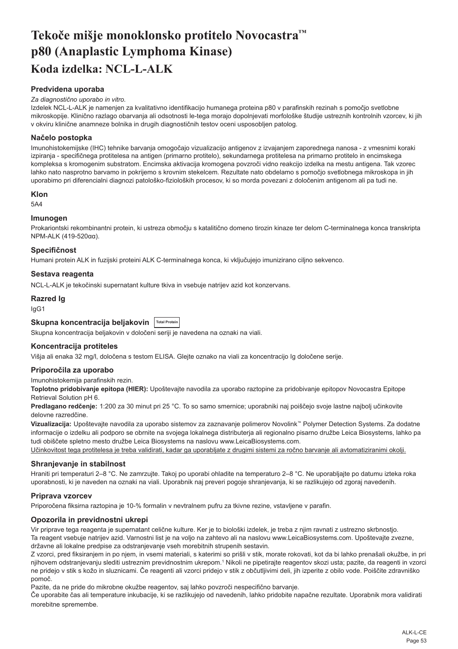# <span id="page-53-0"></span>**Tekoče mišje monoklonsko protitelo Novocastra™ p80 (Anaplastic Lymphoma Kinase) Koda izdelka: NCL-L-ALK**

# **Predvidena uporaba**

#### *Za diagnostično uporabo in vitro.*

Izdelek NCL-L-ALK je namenjen za kvalitativno identifikacijo humanega proteina p80 v parafinskih rezinah s pomočjo svetlobne mikroskopije. Klinično razlago obarvanja ali odsotnosti le-tega morajo dopolnjevati morfološke študije ustreznih kontrolnih vzorcev, ki jih v okviru klinične anamneze bolnika in drugih diagnostičnih testov oceni usposobljen patolog.

# **Načelo postopka**

Imunohistokemijske (IHC) tehnike barvanja omogočajo vizualizacijo antigenov z izvajanjem zaporednega nanosa - z vmesnimi koraki izpiranja - specifičnega protitelesa na antigen (primarno protitelo), sekundarnega protitelesa na primarno protitelo in encimskega kompleksa s kromogenim substratom. Encimska aktivacija kromogena povzroči vidno reakcijo izdelka na mestu antigena. Tak vzorec lahko nato nasprotno barvamo in pokrijemo s krovnim stekelcem. Rezultate nato obdelamo s pomočjo svetlobnega mikroskopa in jih uporabimo pri diferencialni diagnozi patološko-fizioloških procesov, ki so morda povezani z določenim antigenom ali pa tudi ne.

#### **Klon**

5A4

### **Imunogen**

Prokariontski rekombinantni protein, ki ustreza območju s katalitično domeno tirozin kinaze ter delom C-terminalnega konca transkripta NPM-ALK (419-520αα).

#### **Specifičnost**

Humani protein ALK in fuzijski proteini ALK C-terminalnega konca, ki vključujejo imunizirano ciljno sekvenco.

#### **Sestava reagenta**

NCL-L-ALK je tekočinski supernatant kulture tkiva in vsebuje natrijev azid kot konzervans.

#### **Razred Ig**

IgG1

# **Skupna koncentracija beljakovin Total Protein**

Skupna koncentracija beljakovin v določeni seriji je navedena na oznaki na viali.

#### **Koncentracija protiteles**

Višja ali enaka 32 mg/l, določena s testom ELISA. Glejte oznako na viali za koncentracijo Ig določene serije.

#### **Priporočila za uporabo**

Imunohistokemija parafinskih rezin.

**Toplotno pridobivanje epitopa (HIER):** Upoštevajte navodila za uporabo raztopine za pridobivanje epitopov Novocastra Epitope Retrieval Solution pH 6.

**Predlagano redčenje:** 1:200 za 30 minut pri 25 °C. To so samo smernice; uporabniki naj poiščejo svoje lastne najbolj učinkovite delovne razredčine.

**Vizualizacija:** Upoštevajte navodila za uporabo sistemov za zaznavanje polimerov Novolink™ Polymer Detection Systems. Za dodatne informacije o izdelku ali podporo se obrnite na svojega lokalnega distributerja ali regionalno pisarno družbe Leica Biosystems, lahko pa tudi obiščete spletno mesto družbe Leica Biosystems na naslovu www.LeicaBiosystems.com.

Učinkovitost tega protitelesa je treba validirati, kadar ga uporabljate z drugimi sistemi za ročno barvanje ali avtomatiziranimi okolji.

#### **Shranjevanje in stabilnost**

Hraniti pri temperaturi 2–8 °C. Ne zamrzujte. Takoj po uporabi ohladite na temperaturo 2–8 °C. Ne uporabljajte po datumu izteka roka uporabnosti, ki je naveden na oznaki na viali. Uporabnik naj preveri pogoje shranjevanja, ki se razlikujejo od zgoraj navedenih.

#### **Priprava vzorcev**

Priporočena fiksirna raztopina je 10-% formalin v nevtralnem pufru za tkivne rezine, vstavljene v parafin.

# **Opozorila in previdnostni ukrepi**

Vir priprave tega reagenta je supernatant celične kulture. Ker je to biološki izdelek, je treba z njim ravnati z ustrezno skrbnostjo. Ta reagent vsebuje natrijev azid. Varnostni list je na voljo na zahtevo ali na naslovu www.LeicaBiosystems.com. Upoštevajte zvezne, državne ali lokalne predpise za odstranjevanje vseh morebitnih strupenih sestavin.

Z vzorci, pred fiksiranjem in po njem, in vsemi materiali, s katerimi so prišli v stik, morate rokovati, kot da bi lahko prenašali okužbe, in pri njihovem odstranjevanju slediti ustreznim previdnostnim ukrepom.<sup>1</sup> Nikoli ne pipetirajte reagentov skozi usta; pazite, da reagenti in vzorci ne pridejo v stik s kožo in sluznicami. Če reagenti ali vzorci pridejo v stik z občutljivimi deli, jih izperite z obilo vode. Poiščite zdravniško pomoč.

Pazite, da ne pride do mikrobne okužbe reagentov, saj lahko povzroči nespecifično barvanje.

Če uporabite čas ali temperature inkubacije, ki se razlikujejo od navedenih, lahko pridobite napačne rezultate. Uporabnik mora validirati morebitne spremembe.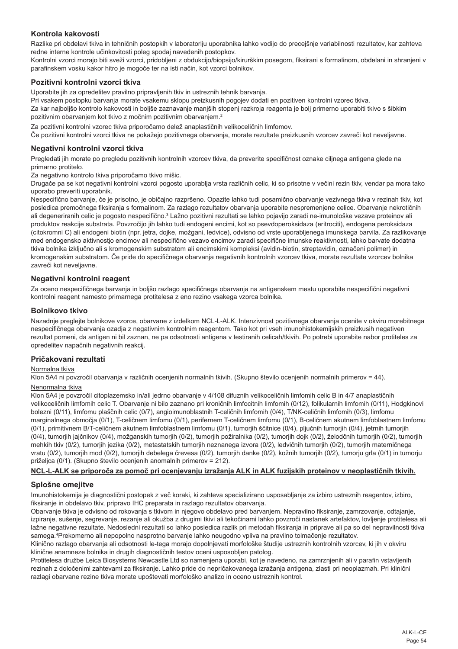# **Kontrola kakovosti**

Razlike pri obdelavi tkiva in tehničnih postopkih v laboratoriju uporabnika lahko vodijo do precejšnje variabilnosti rezultatov, kar zahteva redne interne kontrole učinkovitosti poleg spodaj navedenih postopkov.

Kontrolni vzorci morajo biti sveži vzorci, pridobljeni z obdukcijo/biopsijo/kirurškim posegom, fiksirani s formalinom, obdelani in shranjeni v parafinskem vosku kakor hitro je mogoče ter na isti način, kot vzorci bolnikov.

# **Pozitivni kontrolni vzorci tkiva**

Uporabite jih za opredelitev pravilno pripravljenih tkiv in ustreznih tehnik barvanja.

Pri vsakem postopku barvanja morate vsakemu sklopu preizkusnih pogojev dodati en pozitiven kontrolni vzorec tkiva.

Za kar najboljšo kontrolo kakovosti in boljše zaznavanje manjših stopenj razkroja reagenta je bolj primerno uporabiti tkivo s šibkim pozitivnim obarvanjem kot tkivo z močnim pozitivnim obarvanjem.<sup>2</sup>

Za pozitivni kontrolni vzorec tkiva priporočamo delež anaplastičnih velikoceličnih limfomov.

Če pozitivni kontrolni vzorci tkiva ne pokažejo pozitivnega obarvanja, morate rezultate preizkusnih vzorcev zavreči kot neveljavne.

#### **Negativni kontrolni vzorci tkiva**

Pregledati jih morate po pregledu pozitivnih kontrolnih vzorcev tkiva, da preverite specifičnost oznake ciljnega antigena glede na primarno protitelo.

Za negativno kontrolo tkiva priporočamo tkivo mišic.

Drugače pa se kot negativni kontrolni vzorci pogosto uporablja vrsta različnih celic, ki so prisotne v večini rezin tkiv, vendar pa mora tako uporabo preveriti uporabnik.

Nespecifično barvanje, če je prisotno, je običajno razpršeno. Opazite lahko tudi posamično obarvanje vezivnega tkiva v rezinah tkiv, kot posledica premočnega fiksiranja s formalinom. Za razlago rezultatov obarvanja uporabite nespremenjene celice. Obarvanje nekrotičnih ali degeneriranih celic je pogosto nespecifično.<sup>3</sup> Lažno pozitivni rezultati se lahko pojavijo zaradi ne-imunološke vezave proteinov ali produktov reakcije substrata. Povzročijo jih lahko tudi endogeni encimi, kot so psevdoperoksidaza (eritrociti), endogena peroksidaza (citokromni C) ali endogeni biotin (npr. jetra, dojke, možgani, ledvice), odvisno od vrste uporabljenega imunskega barvila. Za razlikovanje med endogensko aktivnostjo encimov ali nespecifično vezavo encimov zaradi specifične imunske reaktivnosti, lahko barvate dodatna tkiva bolnika izključno ali s kromogenskim substratom ali encimskimi kompleksi (avidin-biotin, streptavidin, označeni polimer) in kromogenskim substratom. Če pride do specifičnega obarvanja negativnih kontrolnih vzorcev tkiva, morate rezultate vzorcev bolnika zavreči kot neveljavne.

#### **Negativni kontrolni reagent**

Za oceno nespecifičnega barvanja in boljšo razlago specifičnega obarvanja na antigenskem mestu uporabite nespecifični negativni kontrolni reagent namesto primarnega protitelesa z eno rezino vsakega vzorca bolnika.

#### **Bolnikovo tkivo**

Nazadnje preglejte bolnikove vzorce, obarvane z izdelkom NCL-L-ALK. Intenzivnost pozitivnega obarvanja ocenite v okviru morebitnega nespecifičnega obarvanja ozadja z negativnim kontrolnim reagentom. Tako kot pri vseh imunohistokemijskih preizkusih negativen rezultat pomeni, da antigen ni bil zaznan, ne pa odsotnosti antigena v testiranih celicah/tkivih. Po potrebi uporabite nabor protiteles za opredelitev napačnih negativnih reakcij.

# **Pričakovani rezultati**

#### Normalna tkiva

Klon 5A4 ni povzročil obarvanja v različnih ocenjenih normalnih tkivih. (Skupno število ocenjenih normalnih primerov = 44).

## Nenormalna tkiva

Klon 5A4 je povzročil citoplazemsko in/ali jedrno obarvanje v 4/108 difuznih velikoceličnih limfomih celic B in 4/7 anaplastičnih velikoceličnih limfomih celic T. Obarvanje ni bilo zaznano pri kroničnih limfocitnih limfomih (0/12), folikularnih limfomih (0/11), Hodgkinovi bolezni (0/11), limfomu plaščnih celic (0/7), angioimunoblastnih T-celičnih limfomih (0/4), T/NK-celičnih limfomih (0/3), limfomu marginalnega območja (0/1), T-celičnem limfomu (0/1), perifernem T-celičnem limfomu (0/1), B-celičnem akutnem limfoblastnem limfomu (0/1), primitivnem B/T-celičnem akutnem limfoblastnem limfomu (0/1), tumorjih ščitnice (0/4), pljučnih tumorjih (0/4), jetrnih tumorjih (0/4), tumorjih jajčnikov (0/4), možganskih tumorjih (0/2), tumorjih požiralnika (0/2), tumorjih dojk (0/2), želodčnih tumorjih (0/2), tumorjih mehkih tkiv (0/2), tumorjih jezika (0/2), metastatskih tumorjih neznanega izvora (0/2), ledvičnih tumorjih (0/2), tumorjih materničnega vratu (0/2), tumorjih mod (0/2), tumorjih debelega črevesa (0/2), tumorjih danke (0/2), kožnih tumorjih (0/2), tumorju grla (0/1) in tumorju priželjca (0/1). (Skupno število ocenjenih anomalnih primerov = 212).

# **NCL-L-ALK se priporoča za pomoč pri ocenjevanju izražanja ALK in ALK fuzijskih proteinov v neoplastičnih tkivih.**

#### **Splošne omejitve**

Imunohistokemija je diagnostični postopek z več koraki, ki zahteva specializirano usposabljanje za izbiro ustreznih reagentov, izbiro, fiksiranje in obdelavo tkiv, pripravo IHC preparata in razlago rezultatov obarvanja.

Obarvanje tkiva je odvisno od rokovanja s tkivom in njegovo obdelavo pred barvanjem. Nepravilno fiksiranje, zamrzovanje, odtajanje, izpiranje, sušenje, segrevanje, rezanje ali okužba z drugimi tkivi ali tekočinami lahko povzroči nastanek artefaktov, lovljenje protitelesa ali lažne negativne rezultate. Nedosledni rezultati so lahko posledica razlik pri metodah fiksiranja in priprave ali pa so del nepravilnosti tkiva samega.<sup>4</sup> Prekomerno ali nepopolno nasprotno barvanje lahko neugodno vpliva na pravilno tolmačenje rezultatov.

Klinično razlago obarvanja ali odsotnosti le-tega morajo dopolnjevati morfološke študije ustreznih kontrolnih vzorcev, ki jih v okviru klinične anamneze bolnika in drugih diagnostičnih testov oceni usposobljen patolog.

Protitelesa družbe Leica Biosystems Newcastle Ltd so namenjena uporabi, kot je navedeno, na zamrznjenih ali v parafin vstavljenih rezinah z določenimi zahtevami za fiksiranje. Lahko pride do nepričakovanega izražanja antigena, zlasti pri neoplazmah. Pri klinični razlagi obarvane rezine tkiva morate upoštevati morfološko analizo in oceno ustreznih kontrol.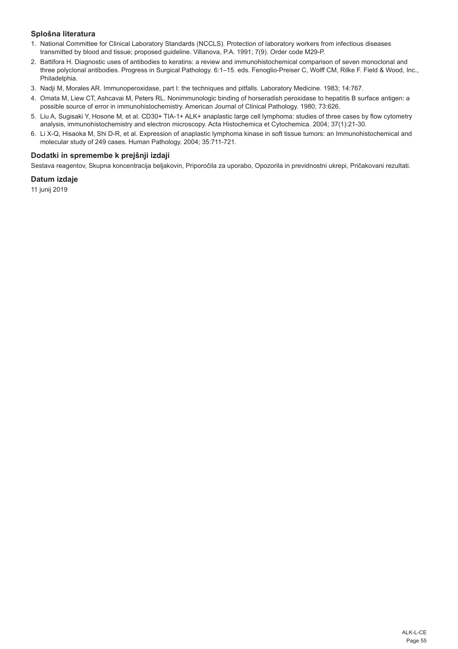# **Splošna literatura**

- 1. National Committee for Clinical Laboratory Standards (NCCLS). Protection of laboratory workers from infectious diseases transmitted by blood and tissue; proposed guideline. Villanova, P.A. 1991; 7(9). Order code M29-P.
- 2. Battifora H. Diagnostic uses of antibodies to keratins: a review and immunohistochemical comparison of seven monoclonal and three polyclonal antibodies. Progress in Surgical Pathology. 6:1–15. eds. Fenoglio-Preiser C, Wolff CM, Rilke F. Field & Wood, Inc., Philadelphia.
- 3. Nadji M, Morales AR. Immunoperoxidase, part I: the techniques and pitfalls. Laboratory Medicine. 1983; 14:767.
- 4. Omata M, Liew CT, Ashcavai M, Peters RL. Nonimmunologic binding of horseradish peroxidase to hepatitis B surface antigen: a possible source of error in immunohistochemistry. American Journal of Clinical Pathology. 1980; 73:626.
- 5. Liu A, Sugisaki Y, Hosone M, et al. CD30+ TIA-1+ ALK+ anaplastic large cell lymphoma: studies of three cases by flow cytometry analysis, immunohistochemistry and electron microscopy. Acta Histochemica et Cytochemica. 2004; 37(1):21-30.
- 6. Li X-Q, Hisaoka M, Shi D-R, et al. Expression of anaplastic lymphoma kinase in soft tissue tumors: an Immunohistochemical and molecular study of 249 cases. Human Pathology. 2004; 35:711-721.

# **Dodatki in spremembe k prejšnji izdaji**

Sestava reagentov, Skupna koncentracija beljakovin, Priporočila za uporabo, Opozorila in previdnostni ukrepi, Pričakovani rezultati.

#### **Datum izdaje**

11 junij 2019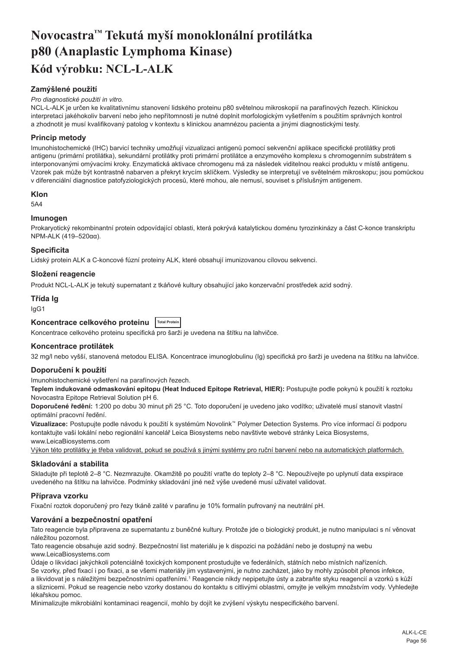# <span id="page-56-0"></span>**Novocastra™ Tekutá myší monoklonální protilátka p80 (Anaplastic Lymphoma Kinase) Kód výrobku: NCL-L-ALK**

# **Zamýšlené použití**

#### *Pro diagnostické použití in vitro.*

NCL-L-ALK je určen ke kvalitativnímu stanovení lidského proteinu p80 světelnou mikroskopií na parafínových řezech. Klinickou interpretaci jakéhokoliv barvení nebo jeho nepřítomnosti je nutné doplnit morfologickým vyšetřením s použitím správných kontrol a zhodnotit je musí kvalifikovaný patolog v kontextu s klinickou anamnézou pacienta a jinými diagnostickými testy.

# **Princip metody**

Imunohistochemické (IHC) barvicí techniky umožňují vizualizaci antigenů pomocí sekvenční aplikace specifické protilátky proti antigenu (primární protilátka), sekundární protilátky proti primární protilátce a enzymového komplexu s chromogenním substrátem s interponovanými omývacími kroky. Enzymatická aktivace chromogenu má za následek viditelnou reakci produktu v místě antigenu. Vzorek pak může být kontrastně nabarven a překryt krycím sklíčkem. Výsledky se interpretují ve světelném mikroskopu; jsou pomůckou v diferenciální diagnostice patofyziologických procesů, které mohou, ale nemusí, souviset s příslušným antigenem.

#### **Klon**

5A4

#### **Imunogen**

Prokaryotický rekombinantní protein odpovídající oblasti, která pokrývá katalytickou doménu tyrozinkinázy a část C-konce transkriptu NPM-ALK (419–520αα).

#### **Specificita**

Lidský protein ALK a C-koncové fúzní proteiny ALK, které obsahují imunizovanou cílovou sekvenci.

# **Složení reagencie**

Produkt NCL-L-ALK je tekutý supernatant z tkáňové kultury obsahující jako konzervační prostředek azid sodný.

# **Třída Ig**

IgG1

# **Koncentrace celkového proteinu Total Protein**

Koncentrace celkového proteinu specifická pro šarži je uvedena na štítku na lahvičce.

#### **Koncentrace protilátek**

32 mg/l nebo vyšší, stanovená metodou ELISA. Koncentrace imunoglobulinu (Ig) specifická pro šarži je uvedena na štítku na lahvičce.

#### **Doporučení k použití**

Imunohistochemické vyšetření na parafínových řezech.

**Teplem indukované odmaskování epitopu (Heat Induced Epitope Retrieval, HIER):** Postupujte podle pokynů k použití k roztoku Novocastra Epitope Retrieval Solution pH 6.

**Doporučené ředění:** 1:200 po dobu 30 minut při 25 °C. Toto doporučení je uvedeno jako vodítko; uživatelé musí stanovit vlastní optimální pracovní ředění.

**Vizualizace:** Postupujte podle návodu k použití k systémům Novolink™ Polymer Detection Systems. Pro více informací či podporu kontaktujte vaši lokální nebo regionální kancelář Leica Biosystems nebo navštivte webové stránky Leica Biosystems, www.LeicaBiosystems.com

Výkon této protilátky je třeba validovat, pokud se používá s jinými systémy pro ruční barvení nebo na automatických platformách.

#### **Skladování a stabilita**

Skladujte při teplotě 2–8 °C. Nezmrazujte. Okamžitě po použití vraťte do teploty 2–8 °C. Nepoužívejte po uplynutí data exspirace uvedeného na štítku na lahvičce. Podmínky skladování jiné než výše uvedené musí uživatel validovat.

#### **Příprava vzorku**

Fixační roztok doporučený pro řezy tkáně zalité v parafinu je 10% formalín pufrovaný na neutrální pH.

#### **Varování a bezpečnostní opatření**

Tato reagencie byla připravena ze supernatantu z buněčné kultury. Protože jde o biologický produkt, je nutno manipulaci s ní věnovat náležitou pozornost.

Tato reagencie obsahuje azid sodný. Bezpečnostní list materiálu je k dispozici na požádání nebo je dostupný na webu www.LeicaBiosystems.com

Údaje o likvidaci jakýchkoli potenciálně toxických komponent prostudujte ve federálních, státních nebo místních nařízeních. Se vzorky, před fixací i po fixaci, a se všemi materiály jim vystavenými, je nutno zacházet, jako by mohly způsobit přenos infekce, a likvidovat je s náležitými bezpečnostními opatřeními.<sup>1</sup> Reagencie nikdy nepipetujte ústy a zabraňte styku reagencií a vzorků s kůží

a sliznicemi. Pokud se reagencie nebo vzorky dostanou do kontaktu s citlivými oblastmi, omyjte je velkým množstvím vody. Vyhledejte lékařskou pomoc.

Minimalizujte mikrobiální kontaminaci reagencií, mohlo by dojít ke zvýšení výskytu nespecifického barvení.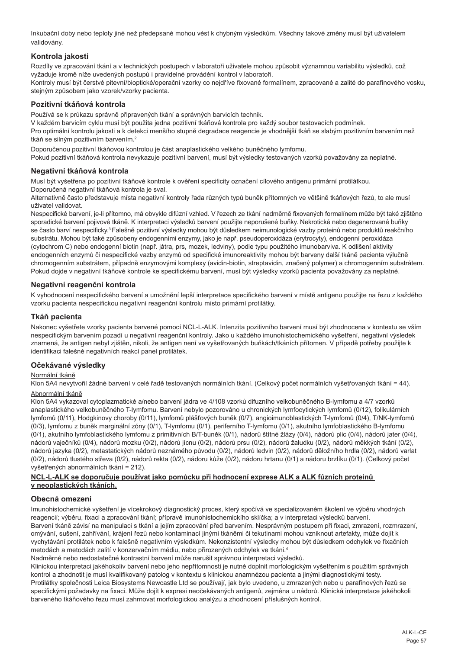Inkubační doby nebo teploty jiné než předepsané mohou vést k chybným výsledkům. Všechny takové změny musí být uživatelem validovány.

# **Kontrola jakosti**

Rozdíly ve zpracování tkání a v technických postupech v laboratoři uživatele mohou způsobit významnou variabilitu výsledků, což vyžaduje kromě níže uvedených postupů i pravidelné provádění kontrol v laboratoři.

Kontroly musí být čerstvé pitevní/bioptické/operační vzorky co nejdříve fixované formalínem, zpracované a zalité do parafínového vosku, stejným způsobem jako vzorek/vzorky pacienta.

# **Pozitivní tkáňová kontrola**

Používá se k průkazu správně připravených tkání a správných barvicích technik.

V každém barvicím cyklu musí být použita jedna pozitivní tkáňová kontrola pro každý soubor testovacích podmínek.

Pro optimální kontrolu jakosti a k detekci menšího stupně degradace reagencie je vhodnější tkáň se slabým pozitivním barvením než tkáň se silným pozitivním barvením.<sup>2</sup>

Doporučenou pozitivní tkáňovou kontrolou je část anaplastického velkého buněčného lymfomu.

Pokud pozitivní tkáňová kontrola nevykazuje pozitivní barvení, musí být výsledky testovaných vzorků považovány za neplatné.

#### **Negativní tkáňová kontrola**

Musí být vyšetřena po pozitivní tkáňové kontrole k ověření specificity označení cílového antigenu primární protilátkou.

Doporučená negativní tkáňová kontrola je sval.

Alternativně často představuje místa negativní kontroly řada různých typů buněk přítomných ve většině tkáňových řezů, to ale musí uživatel validovat.

Nespecifické barvení, je-li přítomno, má obvykle difúzní vzhled. V řezech ze tkání nadměrně fixovaných formalínem může být také zjištěno sporadické barvení pojivové tkáně. K interpretaci výsledků barvení použijte neporušené buňky. Nekrotické nebo degenerované buňky se často barví nespecificky.<sup>3</sup>Falešně pozitivní výsledky mohou být důsledkem neimunologické vazby proteinů nebo produktů reakčního substrátu. Mohou být také způsobeny endogenními enzymy, jako je např. pseudoperoxidáza (erytrocyty), endogenní peroxidáza (cytochrom C) nebo endogenní biotin (např. játra, prs, mozek, ledviny), podle typu použitého imunobarviva. K odlišení aktivity endogenních enzymů či nespecifické vazby enzymů od specifické imunoreaktivity mohou být barveny další tkáně pacienta výlučně chromogenním substrátem, případně enzymovými komplexy (avidin-biotin, streptavidin, značený polymer) a chromogenním substrátem. Pokud dojde v negativní tkáňové kontrole ke specifickému barvení, musí být výsledky vzorků pacienta považovány za neplatné.

# **Negativní reagenční kontrola**

K vyhodnocení nespecifického barvení a umožnění lepší interpretace specifického barvení v místě antigenu použijte na řezu z každého vzorku pacienta nespecifickou negativní reagenční kontrolu místo primární protilátky.

# **Tkáň pacienta**

Nakonec vyšetřete vzorky pacienta barvené pomocí NCL-L-ALK. Intenzita pozitivního barvení musí být zhodnocena v kontextu se vším nespecifickým barvením pozadí u negativní reagenční kontroly. Jako u každého imunohistochemického vyšetření, negativní výsledek znamená, že antigen nebyl zjištěn, nikoli, že antigen není ve vyšetřovaných buňkách/tkáních přítomen. V případě potřeby použijte k identifikaci falešně negativních reakcí panel protilátek.

# **Očekávané výsledky**

#### Normální tkáně

Klon 5A4 nevytvořil žádné barvení v celé řadě testovaných normálních tkání. (Celkový počet normálních vyšetřovaných tkání = 44). Abnormální tkáně

Klon 5A4 vykazoval cytoplazmatické a/nebo barvení jádra ve 4/108 vzorků difuzního velkobuněčného B-lymfomu a 4/7 vzorků anaplastického velkobuněčného T-lymfomu. Barvení nebylo pozorováno u chronických lymfocytických lymfomů (0/12), folikulárních lymfomů (0/11), Hodgkinovy choroby (0/11), lymfomů plášťových buněk (0/7), angioimunoblastických T-lymfomů (0/4), T/NK-lymfomů (0/3), lymfomu z buněk marginální zóny (0/1), T-lymfomu (0/1), periferního T-lymfomu (0/1), akutního lymfoblastického B-lymfomu (0/1), akutního lymfoblastického lymfomu z primitivních B/T-buněk (0/1), nádorů štítné žlázy (0/4), nádorů plic (0/4), nádorů jater (0/4), nádorů vaječníků (0/4), nádorů mozku (0/2), nádorů jícnu (0/2), nádorů prsu (0/2), nádorů žaludku (0/2), nádorů měkkých tkání (0/2), nádorů jazyka (0/2), metastatických nádorů neznámého původu (0/2), nádorů ledvin (0/2), nádorů děložního hrdla (0/2), nádorů varlat (0/2), nádorů tlustého střeva (0/2), nádorů rekta (0/2), nádoru kůže (0/2), nádoru hrtanu (0/1) a nádoru brzlíku (0/1). (Celkový počet vyšetřených abnormálních tkání = 212).

#### **NCL-L-ALK se doporučuje používat jako pomůcku při hodnocení exprese ALK a ALK fúzních proteinů v neoplastických tkáních.**

#### **Obecná omezení**

Imunohistochemické vyšetření je vícekrokový diagnostický proces, který spočívá ve specializovaném školení ve výběru vhodných reagencií; výběru, fixaci a zpracování tkání; přípravě imunohistochemickího sklíčka; a v interpretaci výsledků barvení. Barvení tkáně závisí na manipulaci s tkání a jejím zpracování před barvením. Nesprávným postupem při fixaci, zmrazení, rozmrazení, omývání, sušení, zahřívání, krájení řezů nebo kontaminací jinými tkáněmi či tekutinami mohou vzniknout artefakty, může dojít k vychytávání protilátek nebo k falešně negativním výsledkům. Nekonzistentní výsledky mohou být důsledkem odchylek ve fixačních metodách a metodách zalití v konzervačním médiu, nebo přirozených odchylek ve tkáni.<sup>4</sup>

Nadměrné nebo nedostatečné kontrastní barvení může narušit správnou interpretaci výsledků.

Klinickou interpretaci jakéhokoliv barvení nebo jeho nepřítomnosti je nutné doplnit morfologickým vyšetřením s použitím správných kontrol a zhodnotit je musí kvalifikovaný patolog v kontextu s klinickou anamnézou pacienta a jinými diagnostickými testy. Protilátky společnosti Leica Biosystems Newcastle Ltd se používají, jak bylo uvedeno, u zmrazených nebo u parafínových řezů se specifickými požadavky na fixaci. Může dojít k expresi neočekávaných antigenů, zejména u nádorů. Klinická interpretace jakéhokoli barveného tkáňového řezu musí zahrnovat morfologickou analýzu a zhodnocení příslušných kontrol.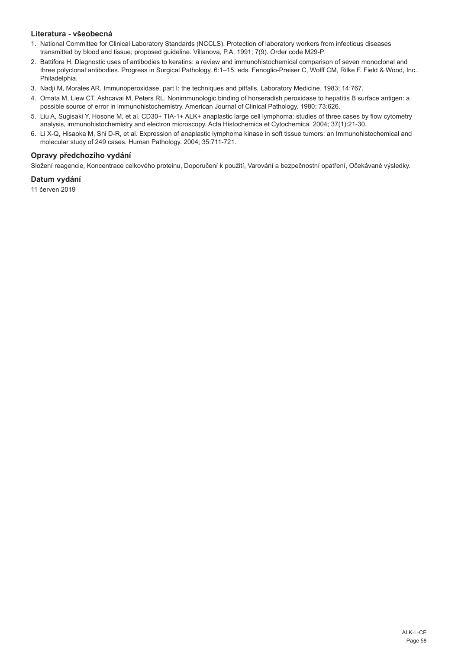# **Literatura - všeobecná**

- 1. National Committee for Clinical Laboratory Standards (NCCLS). Protection of laboratory workers from infectious diseases transmitted by blood and tissue; proposed guideline. Villanova, P.A. 1991; 7(9). Order code M29-P.
- 2. Battifora H. Diagnostic uses of antibodies to keratins: a review and immunohistochemical comparison of seven monoclonal and three polyclonal antibodies. Progress in Surgical Pathology. 6:1–15. eds. Fenoglio-Preiser C, Wolff CM, Rilke F. Field & Wood, Inc., Philadelphia.
- 3. Nadji M, Morales AR. Immunoperoxidase, part I: the techniques and pitfalls. Laboratory Medicine. 1983; 14:767.
- 4. Omata M, Liew CT, Ashcavai M, Peters RL. Nonimmunologic binding of horseradish peroxidase to hepatitis B surface antigen: a possible source of error in immunohistochemistry. American Journal of Clinical Pathology. 1980; 73:626.
- 5. Liu A, Sugisaki Y, Hosone M, et al. CD30+ TIA-1+ ALK+ anaplastic large cell lymphoma: studies of three cases by flow cytometry analysis, immunohistochemistry and electron microscopy. Acta Histochemica et Cytochemica. 2004; 37(1):21-30.
- 6. Li X-Q, Hisaoka M, Shi D-R, et al. Expression of anaplastic lymphoma kinase in soft tissue tumors: an Immunohistochemical and molecular study of 249 cases. Human Pathology. 2004; 35:711-721.

# **Opravy předchozího vydání**

Složení reagencie, Koncentrace celkového proteinu, Doporučení k použití, Varování a bezpečnostní opatření, Očekávané výsledky.

# **Datum vydání**

11 červen 2019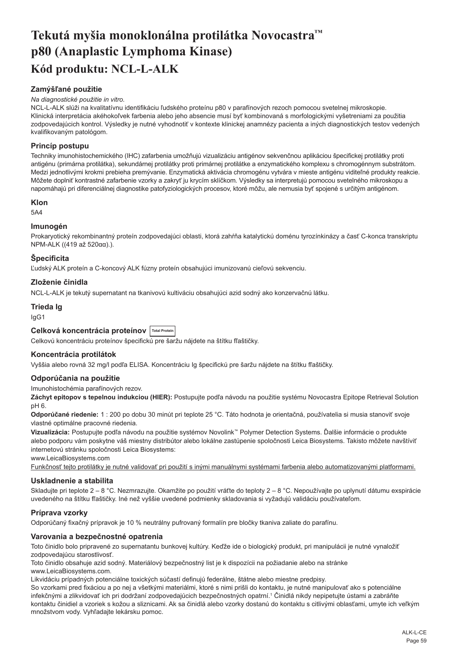# <span id="page-59-0"></span>**Tekutá myšia monoklonálna protilátka Novocastra™ p80 (Anaplastic Lymphoma Kinase) Kód produktu: NCL-L-ALK**

# **Zamýšľané použitie**

#### *Na diagnostické použitie in vitro.*

NCL-L-ALK slúži na kvalitatívnu identifikáciu ľudského proteínu p80 v parafínových rezoch pomocou svetelnej mikroskopie. Klinická interpretácia akéhokoľvek farbenia alebo jeho absencie musí byť kombinovaná s morfologickými vyšetreniami za použitia zodpovedajúcich kontrol. Výsledky je nutné vyhodnotiť v kontexte klinickej anamnézy pacienta a iných diagnostických testov vedených kvalifikovaným patológom.

# **Princíp postupu**

Techniky imunohistochemického (IHC) zafarbenia umožňujú vizualizáciu antigénov sekvenčnou aplikáciou špecifickej protilátky proti antigénu (primárna protilátka), sekundárnej protilátky proti primárnej protilátke a enzymatického komplexu s chromogénnym substrátom. Medzi jednotlivými krokmi prebieha premývanie. Enzymatická aktivácia chromogénu vytvára v mieste antigénu viditeľné produkty reakcie. Môžete doplniť kontrastné zafarbenie vzorky a zakryť ju krycím sklíčkom. Výsledky sa interpretujú pomocou svetelného mikroskopu a napomáhajú pri diferenciálnej diagnostike patofyziologických procesov, ktoré môžu, ale nemusia byť spojené s určitým antigénom.

#### **Klon**

5A4

# **Imunogén**

Prokaryotický rekombinantný proteín zodpovedajúci oblasti, ktorá zahŕňa katalytickú doménu tyrozínkinázy a časť C-konca transkriptu NPM-ALK ((419 až 520αα).).

# **Špecificita**

Ľudský ALK proteín a C-koncový ALK fúzny proteín obsahujúci imunizovanú cieľovú sekvenciu.

# **Zloženie činidla**

NCL-L-ALK je tekutý supernatant na tkanivovú kultiváciu obsahujúci azid sodný ako konzervačnú látku.

# **Trieda Ig**

IgG1

# **Celková koncentrácia proteínov Total Protein**

Celkovú koncentráciu proteínov špecifickú pre šaržu nájdete na štítku fľaštičky.

#### **Koncentrácia protilátok**

Vyššia alebo rovná 32 mg/l podľa ELISA. Koncentráciu Ig špecifickú pre šaržu nájdete na štítku fľaštičky.

#### **Odporúčania na použitie**

Imunohistochémia parafínových rezov.

**Záchyt epitopov s tepelnou indukciou (HIER):** Postupujte podľa návodu na použitie systému Novocastra Epitope Retrieval Solution pH 6.

**Odporúčané riedenie:** 1 : 200 po dobu 30 minút pri teplote 25 °C. Táto hodnota je orientačná, používatelia si musia stanoviť svoje vlastné optimálne pracovné riedenia.

**Vizualizácia:** Postupujte podľa návodu na použitie systémov Novolink™ Polymer Detection Systems. Ďalšie informácie o produkte alebo podporu vám poskytne váš miestny distribútor alebo lokálne zastúpenie spoločnosti Leica Biosystems. Takisto môžete navštíviť internetovú stránku spoločnosti Leica Biosystems:

www.LeicaBiosystems.com

Funkčnosť tejto protilátky je nutné validovať pri použití s inými manuálnymi systémami farbenia alebo automatizovanými platformami.

#### **Uskladnenie a stabilita**

Skladujte pri teplote 2 – 8 °C. Nezmrazujte. Okamžite po použití vráťte do teploty 2 – 8 °C. Nepoužívajte po uplynutí dátumu exspirácie uvedeného na štítku fľaštičky. Iné než vyššie uvedené podmienky skladovania si vyžadujú validáciu používateľom.

#### **Príprava vzorky**

Odporúčaný fixačný prípravok je 10 % neutrálny pufrovaný formalín pre bločky tkaniva zaliate do parafínu.

#### **Varovania a bezpečnostné opatrenia**

Toto činidlo bolo pripravené zo supernatantu bunkovej kultúry. Keďže ide o biologický produkt, pri manipulácii je nutné vynaložiť zodpovedajúcu starostlivosť.

Toto činidlo obsahuje azid sodný. Materiálový bezpečnostný list je k dispozícii na požiadanie alebo na stránke www.LeicaBiosystems.com.

Likvidáciu prípadných potenciálne toxických súčastí definujú federálne, štátne alebo miestne predpisy.

So vzorkami pred fixáciou a po nej a všetkými materiálmi, ktoré s nimi prišli do kontaktu, je nutné manipulovať ako s potenciálne infekčnými a zlikvidovať ich pri dodržaní zodpovedajúcich bezpečnostných opatrní.<sup>1</sup> Činidlá nikdy nepipetujte ústami a zabráňte kontaktu činidiel a vzoriek s kožou a sliznicami. Ak sa činidlá alebo vzorky dostanú do kontaktu s citlivými oblasťami, umyte ich veľkým množstvom vody. Vyhľadajte lekársku pomoc.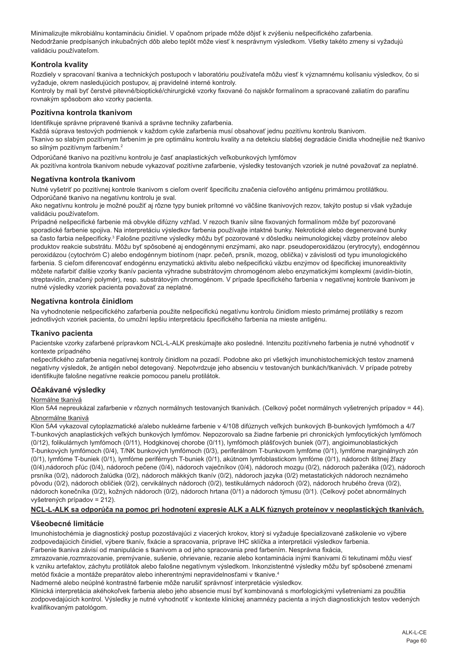Minimalizujte mikrobiálnu kontamináciu činidiel. V opačnom prípade môže dôjsť k zvýšeniu nešpecifického zafarbenia. Nedodržanie predpísaných inkubačných dôb alebo teplôt môže viesť k nesprávnym výsledkom. Všetky takéto zmeny si vyžadujú validáciu používateľom.

# **Kontrola kvality**

Rozdiely v spracovaní tkaniva a technických postupoch v laboratóriu používateľa môžu viesť k významnému kolísaniu výsledkov, čo si vyžaduje, okrem nasledujúcich postupov, aj pravidelné interné kontroly.

Kontroly by mali byť čerstvé pitevné/bioptické/chirurgické vzorky fixované čo najskôr formalínom a spracované zaliatím do parafínu rovnakým spôsobom ako vzorky pacienta.

# **Pozitívna kontrola tkanivom**

Identifikuje správne pripravené tkanivá a správne techniky zafarbenia.

Každá súprava testových podmienok v každom cykle zafarbenia musí obsahovať jednu pozitívnu kontrolu tkanivom.

Tkanivo so slabým pozitívnym farbením je pre optimálnu kontrolu kvality a na detekciu slabšej degradácie činidla vhodnejšie než tkanivo so silným pozitívnym farbením.<sup>2</sup>

Odporúčané tkanivo na pozitívnu kontrolu je časť anaplastických veľkobunkových lymfómov Ak pozitívna kontrola tkanivom nebude vykazovať pozitívne zafarbenie, výsledky testovaných vzoriek je nutné považovať za neplatné.

# **Negatívna kontrola tkanivom**

Nutné vyšetriť po pozitívnej kontrole tkanivom s cieľom overiť špecificitu značenia cieľového antigénu primárnou protilátkou. Odporúčané tkanivo na negatívnu kontrolu je sval.

Ako negatívnu kontrolu je možné použiť aj rôzne typy buniek prítomné vo väčšine tkanivových rezov, takýto postup si však vyžaduje validáciu používateľom.

Prípadné nešpecifické farbenie má obvykle difúzny vzhľad. V rezoch tkanív silne fixovaných formalínom môže byť pozorované sporadické farbenie spojiva. Na interpretáciu výsledkov farbenia používajte intaktné bunky. Nekrotické alebo degenerované bunky sa často farbia nešpecificky.<sup>3</sup> Falošne pozitívne výsledky môžu byť pozorované v dôsledku neimunologickej väzby proteínov alebo produktov reakcie substrátu. Môžu byť spôsobené aj endogénnymi enzýmami, ako napr. pseudoperoxidázou (erytrocyty), endogénnou peroxidázou (cytochróm C) alebo endogénnym biotínom (napr. pečeň, prsník, mozog, oblička) v závislosti od typu imunologického farbenia. S cieľom diferencovať endogénnu enzymatickú aktivitu alebo nešpecifickú väzbu enzýmov od špecifickej imunoreaktivity môžete nafarbiť ďalšie vzorky tkanív pacienta výhradne substrátovým chromogénom alebo enzymatickými komplexmi (avidín-biotín, streptavidín, značený polymér), resp. substrátovým chromogénom. V prípade špecifického farbenia v negatívnej kontrole tkanivom je nutné výsledky vzoriek pacienta považovať za neplatné.

# **Negatívna kontrola činidlom**

Na vyhodnotenie nešpecifického zafarbenia použite nešpecifickú negatívnu kontrolu činidlom miesto primárnej protilátky s rezom jednotlivých vzoriek pacienta, čo umožní lepšiu interpretáciu špecifického farbenia na mieste antigénu.

#### **Tkanivo pacienta**

Pacientske vzorky zafarbené prípravkom NCL-L-ALK preskúmajte ako posledné. Intenzitu pozitívneho farbenia je nutné vyhodnotiť v kontexte prípadného

nešpecifického zafarbenia negatívnej kontroly činidlom na pozadí. Podobne ako pri všetkých imunohistochemických testov znamená negatívny výsledok, že antigén nebol detegovaný. Nepotvrdzuje jeho absenciu v testovaných bunkách/tkanivách. V prípade potreby identifikujte falošne negatívne reakcie pomocou panelu protilátok.

#### **Očakávané výsledky**

#### Normálne tkanivá

Klon 5A4 nepreukázal zafarbenie v rôznych normálnych testovaných tkanivách. (Celkový počet normálnych vyšetrených prípadov = 44). Abnormálne tkanivá

Klon 5A4 vykazoval cytoplazmatické a/alebo nukleárne farbenie v 4/108 difúznych veľkých bunkových B-bunkových lymfómoch a 4/7 T-bunkových anaplastických veľkých bunkových lymfómov. Nepozorovalo sa žiadne farbenie pri chronických lymfocytických lymfómoch (0/12), folikulárnych lymfómoch (0/11), Hodgkinovej chorobe (0/11), lymfómoch plášťových buniek (0/7), angioimunoblastických T-bunkových lymfómoch (0/4), T/NK bunkových lymfómoch (0/3), periferálnom T-bunkovom lymfóme (0/1), lymfóme marginálnych zón (0/1), lymfóme T-buniek (0/1), lymfóme periférnych T-buniek (0/1), akútnom lymfoblastickom lymfóme (0/1), nádoroch štítnej žľazy (0/4),nádoroch pľúc (0/4), nádoroch pečene (0/4), nádoroch vaječníkov (0/4), nádoroch mozgu (0/2), nádoroch pažeráka (0/2), nádoroch prsníka (0/2), nádoroch žalúdka (0/2), nádoroch mäkkých tkanív (0/2), nádoroch jazyka (0/2) metastatických nádoroch neznámeho pôvodu (0/2), nádoroch obličiek (0/2), cervikálnych nádoroch (0/2), testikulárnych nádoroch (0/2), nádoroch hrubého čreva (0/2), nádoroch konečníka (0/2), kožných nádoroch (0/2), nádoroch hrtana (0/1) a nádoroch týmusu (0/1). (Celkový počet abnormálnych vyšetrených prípadov = 212).

#### **NCL-L-ALK sa odporúča na pomoc pri hodnotení expresie ALK a ALK fúznych proteínov v neoplastických tkanivách.**

# **Všeobecné limitácie**

Imunohistochémia je diagnostický postup pozostávajúci z viacerých krokov, ktorý si vyžaduje špecializované zaškolenie vo výbere zodpovedajúcich činidiel, výbere tkanív, fixácie a spracovania, príprave IHC sklíčka a interpretácii výsledkov farbenia. Farbenie tkaniva závisí od manipulácie s tkanivom a od jeho spracovania pred farbením. Nesprávna fixácia,

zmrazovanie,rozmrazovanie, premývanie, sušenie, ohrievanie, rezanie alebo kontaminácia inými tkanivami či tekutinami môžu viesť k vzniku artefaktov, záchytu protilátok alebo falošne negatívnym výsledkom. Inkonzistentné výsledky môžu byť spôsobené zmenami metód fixácie a montáže preparátov alebo inherentnými nepravidelnosťami v tkanive.<sup>4</sup>

Nadmerné alebo neúplné kontrastné farbenie môže narušiť správnosť interpretácie výsledkov.

Klinická interpretácia akéhokoľvek farbenia alebo jeho absencie musí byť kombinovaná s morfologickými vyšetreniami za použitia zodpovedajúcich kontrol. Výsledky je nutné vyhodnotiť v kontexte klinickej anamnézy pacienta a iných diagnostických testov vedených kvalifikovaným patológom.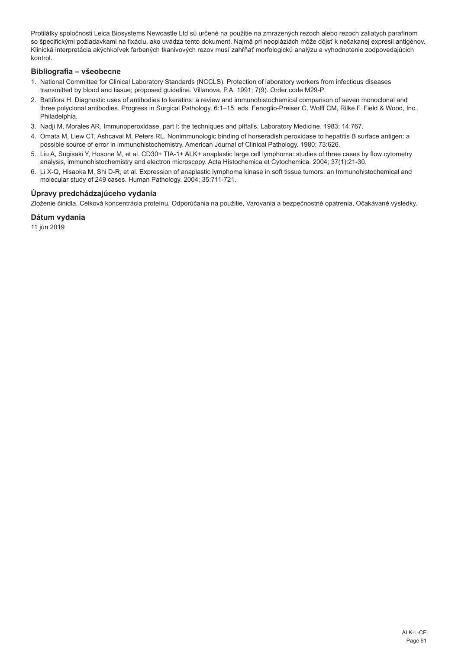Protilátky spoločnosti Leica Biosystems Newcastle Ltd sú určené na použitie na zmrazených rezoch alebo rezoch zaliatych parafínom so špecifickými požiadavkami na fixáciu, ako uvádza tento dokument. Najmä pri neopláziách môže dôjsť k nečakanej expresii antigénov. Klinická interpretácia akýchkoľvek farbených tkanivových rezov musí zahŕňať morfologickú analýzu a vyhodnotenie zodpovedajúcich kontrol.

## **Bibliografia – všeobecne**

- 1. National Committee for Clinical Laboratory Standards (NCCLS). Protection of laboratory workers from infectious diseases transmitted by blood and tissue; proposed guideline. Villanova, P.A. 1991; 7(9). Order code M29-P.
- 2. Battifora H. Diagnostic uses of antibodies to keratins: a review and immunohistochemical comparison of seven monoclonal and three polyclonal antibodies. Progress in Surgical Pathology. 6:1–15. eds. Fenoglio-Preiser C, Wolff CM, Rilke F. Field & Wood, Inc., Philadelphia.
- 3. Nadji M, Morales AR. Immunoperoxidase, part I: the techniques and pitfalls. Laboratory Medicine. 1983; 14:767.
- 4. Omata M, Liew CT, Ashcavai M, Peters RL. Nonimmunologic binding of horseradish peroxidase to hepatitis B surface antigen: a possible source of error in immunohistochemistry. American Journal of Clinical Pathology. 1980; 73:626.
- 5. Liu A, Sugisaki Y, Hosone M, et al. CD30+ TIA-1+ ALK+ anaplastic large cell lymphoma: studies of three cases by flow cytometry analysis, immunohistochemistry and electron microscopy. Acta Histochemica et Cytochemica. 2004; 37(1):21-30.
- 6. Li X-Q, Hisaoka M, Shi D-R, et al. Expression of anaplastic lymphoma kinase in soft tissue tumors: an Immunohistochemical and molecular study of 249 cases. Human Pathology. 2004; 35:711-721.

# **Úpravy predchádzajúceho vydania**

Zloženie činidla, Celková koncentrácia proteínu, Odporúčania na použitie, Varovania a bezpečnostné opatrenia, Očakávané výsledky.

#### **Dátum vydania**

11 jún 2019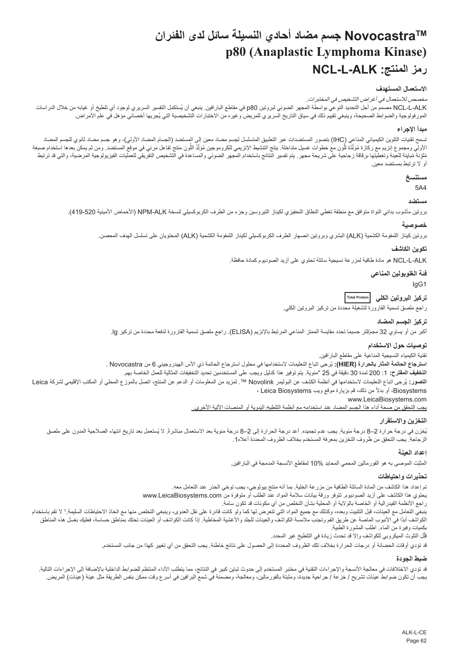# **NovocastraTM جسم مضاد أحادي النسيلة سائل لدى الفئران p80 (Anaplastic Lymphoma Kinase) NCL-L-ALK :المنتج رمز**

# **االستعمال المستهدف**

#### مخصص لالستعمال في أغراض التشخيص في المختبرات.

<span id="page-62-0"></span>NCL-L-ALK مصمم من اجل التحديد النوعي بواسطة المجهر الضوئي لبروتين B0 في مقاطع البارافين. ينبغي ان يُستكمل التفسير السريري لوجود اي تلطيخ او غيابه من خلال الدراسات المورفولوجية والضوابط الصحيحة، وينبغي تقييم ذلك في سياق التاريخ السريري للمريض وغيره من الأختبار ات التشخيصية التي يُجريها اخصائي مؤهل في علم الأمر اض.

#### **مبدأ اإلجراء**

تسمح تقنيات التلوين الكيميائي المناعي (IHC) بتصور المستضدات عبر التمليل لجسم لجس المصاد المضاد المضاد الأولي)، وهو جسم مضاد ثانوي للجسم المضاد الأولي ومجموع إنزيم مع ركازة مُؤلِّدة للّون مع خطوات غسيل متداخلة. ينتج التنثيط الإنزيمي للكروموجين مُؤلّد اللون من مع من استخدم من ثم يمكن بعدها استخدام صبغة ļ َّ֧֖֖֖֖֖֧֚֚֚֚֚֚֚֚֡֡֬֓֬<u>֓</u> نافية مُبلِنة للعينة وتغطيتها برقاقة زجاجية على شريحة مجهر. يتم تفسير النتئج باستخدام المراعة والتشخيص التفريقي للعمليات الفيزيولوجية المرصية، والتي قد ترتبط أو ال ترتبط بمستضد معين.

# **مستنسخ**

5A4

#### **مستضد**

بروتين مأشوب بدائي النواة متوافق مع منطقة تغطي النطاق التحفيزي لكيناز التيروسين وجزء من الطرف الكربوكسيلي لنسخة ALK-NPM( األحماض األمينية 419-520(.

#### **خصوصية**

بروتين كيناز اللمفومة الكشمية )ALK )البشري وبروتين انصهار الطرف الكربوكسيلي لكيناز اللمفومة الكشمية )ALK )المحتويان على تسلسل الهدف المحصن.

#### **تكوين الكاشف**

ALK-L-NCL هو مادة طافية لمزرعة نسيجية سائلة تحتوي على أزيد الصوديوم كمادة حافظة.

#### **فئة الغلوبولين المناعي**

IgG1

# **تركيز البروتين الكلي Total Protein**

راجع ملصق تسمية القارورة لتشغيلة محددة من تركيز البروتين الكلي.

#### **تركيز الجسم المضاد**

أكبر من أو يساوي 32 مجم/لتر حسبما تحدد مقايسة الممتز المناعي المرتبط باإلنزيم )ELISA). راجع ملصق تسمية القارورة لدفعة محددة من تركيز lg.

#### **توصيات حول االستخدام**

تقنية الكيمياء النسيجية المناعية على مقاطع البارافين.

ا**سترجاع الحاتمة المثار بالحرارة (HIER):** يُرجى اتباع التعليمات لاستخدامها في محلول استرجاع الحاتمة ذي الاس الهيدروجيني 6 من Novocastra . **التخفيف المقترح:** :1 200 لمدة 30 دقيقة في 25 °مئوية. يتم توفير هذا كدليل ويجب على المستخدمين تحديد التخفيفات المثالية للعمل الخاصة بهم. ا**لتصور**: يُرجى اتباع التعليمات لاستخدامها في انظمة الكشف عن البوليمر Novolink™ . لمزيد من المعلومات أو المحلي أو المحلي أو المكتب الإقليمي لشركة Leica

#### ً من ذلك، قم بزيارة موقع ويب Biosystems Leica ، Biosystems، أو بدال

www.LeicaBiosystems.com

يجب التحقق من صحة أداء هذا الجسم المضاد عند استخدامه مع أنظمة التلطيخ اليدوية أو المنصات اآللية األخرى.

#### **التخزين واالستقرار**

بُخزن في درجة حرارة 2–8 درجة مئوية. يجب عدم تجميده. أعد درجة الحرارة إلى 2–8 درجة مئوية بعد الاستعمال مباشرةً. لا يُستعمل بعد تاريخ انتهاء الصلاحية المدون على ملصق الزجاجة. يجب التحقق من ظروف التخزين بمعرفة المستخدم بخالف الظروف المحددة أعاله.1

#### **إعداد العينة**

المثَّنِت الموصىي به هو الفور مالين المحمي المحايد 10% لمقاطع الأنسجة المدمجة في البار افين.

#### **تحذيرات واحتياطات**

تم إعداد هذا الكاشف من المادة السائلة الطافية من مزرعة الخلية. بما أنه منتج بيولوجي، يجب توخي الحذر عند التعامل معه. يحتوي هذا الكاشف على أزيد الصوديوم. تتوفر ورقة بيانات سالمة المواد عند الطلب أو متوفرة من com.LeicaBiosystems.www راجع األنظمة الفيدرالية أو الخاصة بالوالية أو المحلية بشأن التخلص من أي مكونات قد تكون سامة. بنبغي التعامل مع العينات، قبل التثبيت وبعده، وكذلك مع جميع المواد التي تقام ولو كان التخلص والتن التخلص منها مع اتخاذ الاحتياطات السليمة.' لا تقم باستخدام الكواشف أبدًا في الأنبوب الماصة عن طريق الفم وتجنب ملامسة الكواشفينات المؤسس المخاطوية إذا كانت الكواشف أو العينات تحتك بمناطق حساسة، فعليك بغسل هذه المناطق بكميات وفيرة من الماء. اطلب المشورة الطبية. ِل التلوث الميكروبي للكواشف وإال قد تحدث زيادة في التلطيخ غير المحدد. قل j

قد تؤدي أوقات الحضانة أو درجات الحرارة بخالف تلك الظروف المحددة إلى الحصول على نتائج خاطئة. يجب التحقق من أي تغيير كهذا من جانب المستخدم.

#### **ضبط الجودة**

قد تزدي الاختلافات في معالجة الأنسجة والإجراءات التقنية في مختبر المستخدم إلى حدوث تباين كبير في النتائج، مما يتطلب الناشر الماستان المنافة بالإضافة إلى الإجراءات التالية. يجب أن تكون ضوابط عينات تشريح / خزعة / جراحية جديدة، ومثبتة بالفورمالين، ومعالجة، ومضمنة في شمع البرافين في أسرع وقت ممكن بنفس الطريقة مثل عينة (عينات) المريض.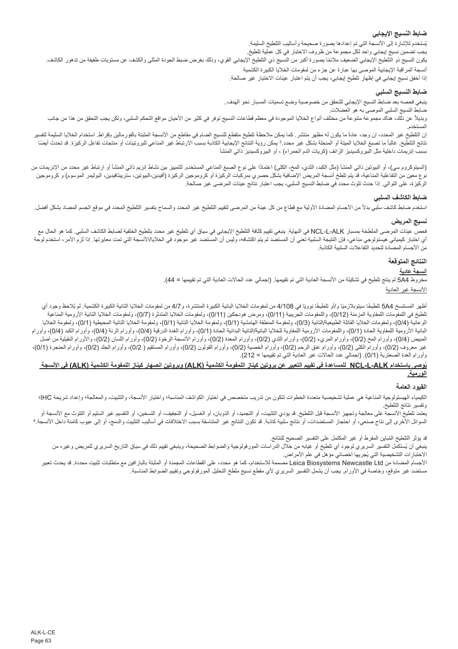# **ضابط النسيج اإليجابي**

بُستخدم للإشارة إلى الانسجة التي تم إعدادها بصنورة صحيحة واساليب التلطيخ السليمة.

يجب تضمين نسيج إيجابي واحد لكل مجموعة من ظروف االختبار في كل عملية تلطيخ.

يكون النسيج ذو التلطيخ الإيجابي الضعيف ملائمًا بصورة أكبر من النسيج ذي بإليه والتي بغرض ضبط الجودة المثلى والكشف عن مستويات طفيفة من تدهور الكاشف. أنسجة المراقبة اإليجابية الموصى بها عبارة عن جزء من لمفومات الخاليا الكبيرة الكشمية

إذا أخفق نسيج إيجابي في إظهار تلطيخ إيجابي، يجب أن يتم اعتبار عينات االختيار غير صالحة.

# **ضابط النسيج السلبي**

ينبغي فحصه بعد ضابط النسيج اإليجابي للتحقق من خصوصية وضع تسميات المسبار نحو الهدف..

ضابط النسيج السلبي الموصى به هو العضالت.

ربديلاً عن ذلك، هناك مجموعة متنوعة من مختلف أنواع الخلايا الموجودة في معظم قطاعات النسيج توفر في كالها على المعاه عامل التحكم السلبي، ولكن يجب التحقق من هذا من جانب المستخدم.

إن التلطيخ غير المحدد، إن وجد، عادة ما يكون له مظهر منتشر . كما يمكن منتظم من المنطق المثلج النساس الله المتها بالفرسالين بإفراط. استخدام الخلايا السليمة لتفسير نتائج التلطيخ. غالبا مالم المنحا المنحلة المنحلة بشكل غير محدد.3 يمكن المناع المناع المرتباط المنسب الارتباط غير المناعي للبروتينات أو منتجات تفاعل الركيزة. قد تحدث أيضا بسبب إنزيمات داخلية مثل البيروكسيديز الزائف (كريات الدم الحمراء) ، أو البيروكسيديز ذاتي المنشأ

(السيتوكروم سي)، أو البيوتين ذاتي المنشأ (مثل الكبد، الثدي، المخ، المناعي المستخدم الكلميز بين نشاط إنزيم ذاتي المنشأ أو ارتباط غير محدد من الإنزيمات من نوع معين من التفاعلية المناعية، قد يتم تلطخ أنسجة المريض الإصافية بشكل حصري بمركبات الركيزة الركيزة (أفيدين-البيوتين، ستريبتافيدين، البوليمر الموسوم) و كروموجين الركيزة، على التوالي. إذا حدث تلوث محدد في ضابط النسيج السلبي، يجب اعتبار نتائج عينات المرضى غير صالحة.

#### **ضابط الكاشف السلبي**

استخدم ضابط كاشف سلبي بدلأ من الأجسام المضادة الأولية مع قطاع من كل المحل التحاريخ غير المحدد والسماح بتفسير التلطيخ المحدد في موقع الجسم المضاد بشكلٍ أفضل.

# **نسيج المريض**

فحص عينات المرضى الملطخة بمسبار ALK-L-NCL في النهاية. ينبغي تقييم كثافة التلطيخ اإليجابي في سياق أي تلطيخ غير محدد بتلطيخ الخلفية لضابط الكاشف السلبي. كما هو الحال مع أي اختبار كيميائي هيستولوجي مناعي، فإن النتيجة السلبية تعني أن المستضد عبر سان أن المستضد غير موجود في الخلايا/الأنسجة التي تمت معايرتها. إذا لزم الأمر، استخدم لوحة من الأجسام المضادة لتحديد التفاعلات السلبية الكاذبة.

# **النتائج المتوقعة**

# **أنسجة عادية**

مخروط 4A5 لم ينتج تلطيخ في تشكيلة من األنسجة العادية التي تم تقييمها. )إجمالي عدد الحاالت العادية التي تم تقييمها = 44(.

األنسجة غير العادية

اظهر المستنسخ 5A4 تلطيخا سيتوبلازميًا و/او تلطيخا نوويًا في 4/108 من لمفومات الخياليائية الكبيرة الكثرة الكثية الكثيلة الكبيرة الكثمية. لم يُلاحظ وجود اي تلطيخ في اللمفومات اللمفاوية المزمنة (0/12)، واللمفومات الجريبية (0/11)، ومرض هودجكين (0/11)، ولمفومات الخلايا التائلية المفومات الخلايا التائية الأرومية المناعية الوعائية (0/4)، ولمفومات الخلايا القاتلة الطبيعية/التائية (3/3)، ولمفومة المامشية (4/1)، ولمفومة (0/1)، ولمفومة الخلايا التائية المحيطية (0/1)، ولمفومة الخاليا البائية الأرومية اللمفاوية الحادة (1/1)، واللمفومات الأرومية اللمفاوية للخالية البدائية الملاة الحادة (1/1)، وأورام الرئية (4/4)، وأورام الكبد (4/4)، وأورام الكبد (4/4)، وأورام الرئة (4/4)، وأورام الكبد (4/4)، وأورام الكبد المبيض (0/4) وأورام المخ (0/2)، وأورام المريء (0/2)، وأورام الثدي (0/2)، وأورام الأنسجة الرخوة (0/2)، وأورام اللسان (0/2)، والأورام النقيلية من أصل غير معروف (0/2)، وأورام الكلى (0/2)، وأورام عنق الرحم (0/2)، وأورام الخصية (0/2) وأورام القولون (0/2)، وأورام المصتقيم ( 0/2)، وأورام الجلد (0/2)، وأورام الحنجرة (0/1)، وأورام الغدة الصعترية (0/1). (إجمالي عدد الحالات غير العادية التي تم تقييمها = 212).

#### **ُوصى باستخدام ALK-L-NCL للمساعدة في تقييم التعبير عن بروتين كيناز اللمفومة الكشمية )ALK )وبروتين انصهار كيناز اللمفومة الكشمية )ALK )في األنسجة ي الورمية.**

#### **القيود العامة**

الكيمياء الهيستولوجية المناعية معلية تشخيصية متعددة الخطوات تتكون من تريب متخصص في اختيار الكواشفية، التشريف المعالجة، والتشريت، والمعالجة؛ وإعداد شريحة IHC؛ وإعداد شريحة IHC؛ وتفسير نتائج التلطيخ.

يعتمد تلطيخ الأنسجة على معالجة وتجهيز الأنسجة قبل التلطية، أو التجميد التجارية، أو التجارية، أو التصنين، أو التقسيم غير السليم أو التلوث مع الأنسجة أو السوائل الأخرى إلى نتاج صنعي، أو احتجاز المستضدات، أو نتائج ملائبة قد تكون النتاسقة قد النسبب الأختلافات في اساليب التثبيت والدمج، أو إلى عيوب كامنة داخل الانسجة.

قد يؤثر التلطيخ المُباين المفرط او غير المكتمل على التفسير الصحيح للنتائج.

بنغي ان يُستكمل التفسير السريري لوجود اي تلطيخ او غيابه من خلال الدراسات المورفولوجية والضوابط الصحيحة، وينبغي تقييم ذلك في سياق التاريخ السريري للمريض وغيره من الأختبار ات التشخيصية التي يُجريها اخصـائي مؤهل في علم الأمر اض.

الأجسام المضادة من Leica Biosystems Newcastle Ltd مصممة للاستخدام، كما هو محدد، على القطاعات المجمدة أو المثبتة بالبارافين مع متطلبات تثبيت محددة. قد يحدث تعبير مستضد غير متوقع، وخاصة في األورام. يجب أن يشمل التفسير السريري ألي مقطع نسيج ملطخ التحليل المورفولوجي وتقييم الضوابط المناسبة.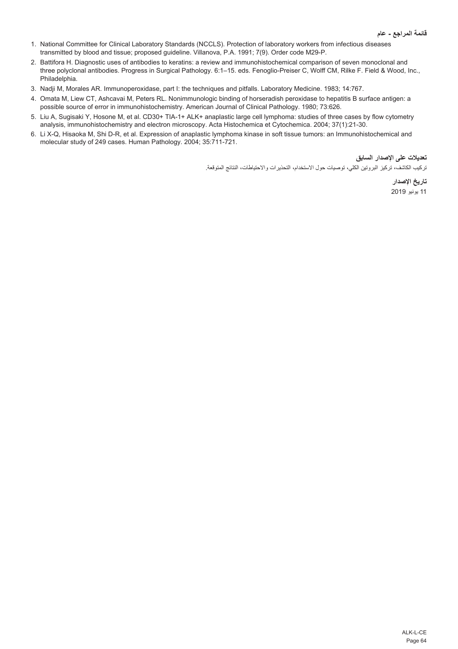- 1. National Committee for Clinical Laboratory Standards (NCCLS). Protection of laboratory workers from infectious diseases transmitted by blood and tissue; proposed guideline. Villanova, P.A. 1991; 7(9). Order code M29-P.
- 2. Battifora H. Diagnostic uses of antibodies to keratins: a review and immunohistochemical comparison of seven monoclonal and three polyclonal antibodies. Progress in Surgical Pathology. 6:1–15. eds. Fenoglio-Preiser C, Wolff CM, Rilke F. Field & Wood, Inc., Philadelphia.
- 3. Nadji M, Morales AR. Immunoperoxidase, part I: the techniques and pitfalls. Laboratory Medicine. 1983; 14:767.
- 4. Omata M, Liew CT, Ashcavai M, Peters RL. Nonimmunologic binding of horseradish peroxidase to hepatitis B surface antigen: a possible source of error in immunohistochemistry. American Journal of Clinical Pathology. 1980; 73:626.
- 5. Liu A, Sugisaki Y, Hosone M, et al. CD30+ TIA-1+ ALK+ anaplastic large cell lymphoma: studies of three cases by flow cytometry analysis, immunohistochemistry and electron microscopy. Acta Histochemica et Cytochemica. 2004; 37(1):21-30.
- 6. Li X-Q, Hisaoka M, Shi D-R, et al. Expression of anaplastic lymphoma kinase in soft tissue tumors: an Immunohistochemical and molecular study of 249 cases. Human Pathology. 2004; 35:711-721.

**تعديالت على اإلصدار السابق**

تركيب الكاشف، تركيز البروتين الكلي، توصيات حول االستخدام، التحذيرات واالحتياطات، النتائج المتوقعة.

**تاريخ اإلصدار** 11 يونيو 2019